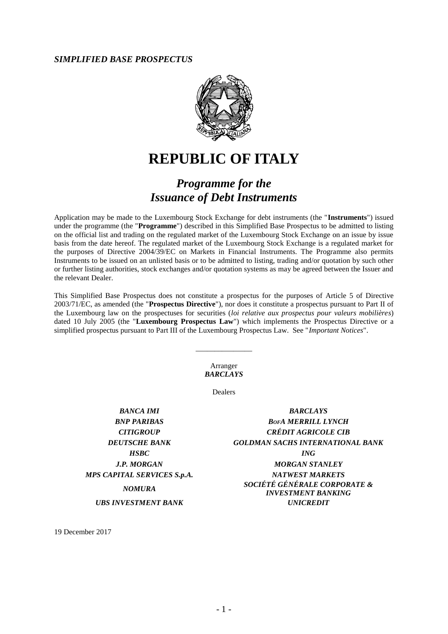#### *SIMPLIFIED BASE PROSPECTUS*



# **REPUBLIC OF ITALY**

# *Programme for the Issuance of Debt Instruments*

Application may be made to the Luxembourg Stock Exchange for debt instruments (the "**Instruments**") issued under the programme (the "**Programme**") described in this Simplified Base Prospectus to be admitted to listing on the official list and trading on the regulated market of the Luxembourg Stock Exchange on an issue by issue basis from the date hereof. The regulated market of the Luxembourg Stock Exchange is a regulated market for the purposes of Directive 2004/39/EC on Markets in Financial Instruments. The Programme also permits Instruments to be issued on an unlisted basis or to be admitted to listing, trading and/or quotation by such other or further listing authorities, stock exchanges and/or quotation systems as may be agreed between the Issuer and the relevant Dealer.

This Simplified Base Prospectus does not constitute a prospectus for the purposes of Article 5 of Directive 2003/71/EC, as amended (the "**Prospectus Directive**"), nor does it constitute a prospectus pursuant to Part II of the Luxembourg law on the prospectuses for securities (*loi relative aux prospectus pour valeurs mobilières*) dated 10 July 2005 (the "**Luxembourg Prospectus Law**") which implements the Prospectus Directive or a simplified prospectus pursuant to Part III of the Luxembourg Prospectus Law. See "*Important Notices*".

> Arranger *BARCLAYS*

\_\_\_\_\_\_\_\_\_\_\_\_\_\_\_

Dealers

*BANCA IMI BARCLAYS*

*BNP PARIBAS BOFA MERRILL LYNCH CITIGROUP CRÉDIT AGRICOLE CIB DEUTSCHE BANK GOLDMAN SACHS INTERNATIONAL BANK HSBC ING J.P. MORGAN MORGAN STANLEY MPS CAPITAL SERVICES S.p.A. NATWEST MARKETS NOMURA SOCIÉTÉ GÉNÉRALE CORPORATE & INVESTMENT BANKING UBS INVESTMENT BANK UNICREDIT*

19 December 2017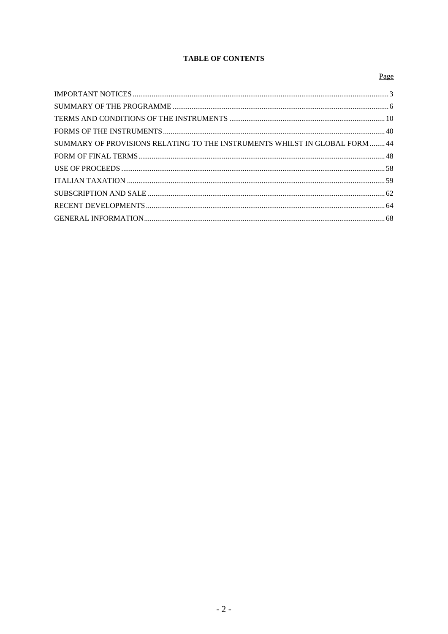### **TABLE OF CONTENTS**

## Page

| SUMMARY OF PROVISIONS RELATING TO THE INSTRUMENTS WHILST IN GLOBAL FORM  44 |  |
|-----------------------------------------------------------------------------|--|
|                                                                             |  |
|                                                                             |  |
|                                                                             |  |
|                                                                             |  |
|                                                                             |  |
|                                                                             |  |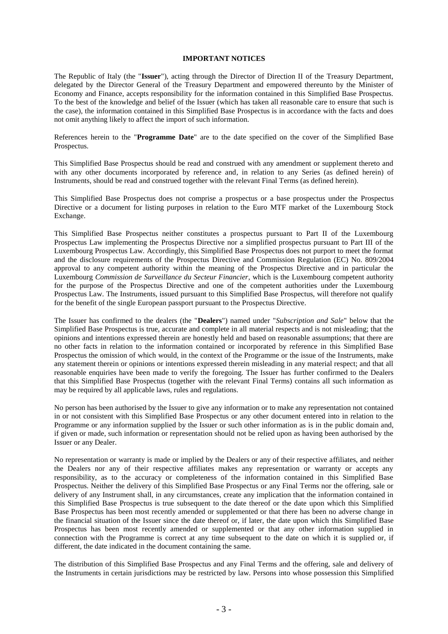#### **IMPORTANT NOTICES**

<span id="page-2-0"></span>The Republic of Italy (the "**Issuer**"), acting through the Director of Direction II of the Treasury Department, delegated by the Director General of the Treasury Department and empowered thereunto by the Minister of Economy and Finance, accepts responsibility for the information contained in this Simplified Base Prospectus. To the best of the knowledge and belief of the Issuer (which has taken all reasonable care to ensure that such is the case), the information contained in this Simplified Base Prospectus is in accordance with the facts and does not omit anything likely to affect the import of such information.

References herein to the "**Programme Date**" are to the date specified on the cover of the Simplified Base Prospectus.

This Simplified Base Prospectus should be read and construed with any amendment or supplement thereto and with any other documents incorporated by reference and, in relation to any Series (as defined herein) of Instruments, should be read and construed together with the relevant Final Terms (as defined herein).

This Simplified Base Prospectus does not comprise a prospectus or a base prospectus under the Prospectus Directive or a document for listing purposes in relation to the Euro MTF market of the Luxembourg Stock Exchange.

This Simplified Base Prospectus neither constitutes a prospectus pursuant to Part II of the Luxembourg Prospectus Law implementing the Prospectus Directive nor a simplified prospectus pursuant to Part III of the Luxembourg Prospectus Law. Accordingly, this Simplified Base Prospectus does not purport to meet the format and the disclosure requirements of the Prospectus Directive and Commission Regulation (EC) No. 809/2004 approval to any competent authority within the meaning of the Prospectus Directive and in particular the Luxembourg *Commission de Surveillance du Secteur Financier*, which is the Luxembourg competent authority for the purpose of the Prospectus Directive and one of the competent authorities under the Luxembourg Prospectus Law. The Instruments, issued pursuant to this Simplified Base Prospectus, will therefore not qualify for the benefit of the single European passport pursuant to the Prospectus Directive.

The Issuer has confirmed to the dealers (the "**Dealers**") named under "*Subscription and Sale*" below that the Simplified Base Prospectus is true, accurate and complete in all material respects and is not misleading; that the opinions and intentions expressed therein are honestly held and based on reasonable assumptions; that there are no other facts in relation to the information contained or incorporated by reference in this Simplified Base Prospectus the omission of which would, in the context of the Programme or the issue of the Instruments, make any statement therein or opinions or intentions expressed therein misleading in any material respect; and that all reasonable enquiries have been made to verify the foregoing. The Issuer has further confirmed to the Dealers that this Simplified Base Prospectus (together with the relevant Final Terms) contains all such information as may be required by all applicable laws, rules and regulations.

No person has been authorised by the Issuer to give any information or to make any representation not contained in or not consistent with this Simplified Base Prospectus or any other document entered into in relation to the Programme or any information supplied by the Issuer or such other information as is in the public domain and, if given or made, such information or representation should not be relied upon as having been authorised by the Issuer or any Dealer.

No representation or warranty is made or implied by the Dealers or any of their respective affiliates, and neither the Dealers nor any of their respective affiliates makes any representation or warranty or accepts any responsibility, as to the accuracy or completeness of the information contained in this Simplified Base Prospectus. Neither the delivery of this Simplified Base Prospectus or any Final Terms nor the offering, sale or delivery of any Instrument shall, in any circumstances, create any implication that the information contained in this Simplified Base Prospectus is true subsequent to the date thereof or the date upon which this Simplified Base Prospectus has been most recently amended or supplemented or that there has been no adverse change in the financial situation of the Issuer since the date thereof or, if later, the date upon which this Simplified Base Prospectus has been most recently amended or supplemented or that any other information supplied in connection with the Programme is correct at any time subsequent to the date on which it is supplied or, if different, the date indicated in the document containing the same.

The distribution of this Simplified Base Prospectus and any Final Terms and the offering, sale and delivery of the Instruments in certain jurisdictions may be restricted by law. Persons into whose possession this Simplified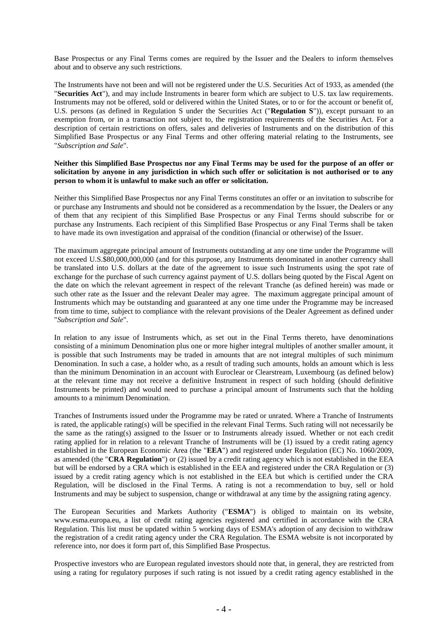Base Prospectus or any Final Terms comes are required by the Issuer and the Dealers to inform themselves about and to observe any such restrictions.

The Instruments have not been and will not be registered under the U.S. Securities Act of 1933, as amended (the "**Securities Act**"), and may include Instruments in bearer form which are subject to U.S. tax law requirements. Instruments may not be offered, sold or delivered within the United States, or to or for the account or benefit of, U.S. persons (as defined in Regulation S under the Securities Act ("**Regulation S**")), except pursuant to an exemption from, or in a transaction not subject to, the registration requirements of the Securities Act. For a description of certain restrictions on offers, sales and deliveries of Instruments and on the distribution of this Simplified Base Prospectus or any Final Terms and other offering material relating to the Instruments, see "*Subscription and Sale*".

#### **Neither this Simplified Base Prospectus nor any Final Terms may be used for the purpose of an offer or solicitation by anyone in any jurisdiction in which such offer or solicitation is not authorised or to any person to whom it is unlawful to make such an offer or solicitation.**

Neither this Simplified Base Prospectus nor any Final Terms constitutes an offer or an invitation to subscribe for or purchase any Instruments and should not be considered as a recommendation by the Issuer, the Dealers or any of them that any recipient of this Simplified Base Prospectus or any Final Terms should subscribe for or purchase any Instruments. Each recipient of this Simplified Base Prospectus or any Final Terms shall be taken to have made its own investigation and appraisal of the condition (financial or otherwise) of the Issuer.

The maximum aggregate principal amount of Instruments outstanding at any one time under the Programme will not exceed U.S.\$80,000,000,000 (and for this purpose, any Instruments denominated in another currency shall be translated into U.S. dollars at the date of the agreement to issue such Instruments using the spot rate of exchange for the purchase of such currency against payment of U.S. dollars being quoted by the Fiscal Agent on the date on which the relevant agreement in respect of the relevant Tranche (as defined herein) was made or such other rate as the Issuer and the relevant Dealer may agree. The maximum aggregate principal amount of Instruments which may be outstanding and guaranteed at any one time under the Programme may be increased from time to time, subject to compliance with the relevant provisions of the Dealer Agreement as defined under "*Subscription and Sale*".

In relation to any issue of Instruments which, as set out in the Final Terms thereto, have denominations consisting of a minimum Denomination plus one or more higher integral multiples of another smaller amount, it is possible that such Instruments may be traded in amounts that are not integral multiples of such minimum Denomination. In such a case, a holder who, as a result of trading such amounts, holds an amount which is less than the minimum Denomination in an account with Euroclear or Clearstream, Luxembourg (as defined below) at the relevant time may not receive a definitive Instrument in respect of such holding (should definitive Instruments be printed) and would need to purchase a principal amount of Instruments such that the holding amounts to a minimum Denomination.

Tranches of Instruments issued under the Programme may be rated or unrated. Where a Tranche of Instruments is rated, the applicable rating(s) will be specified in the relevant Final Terms. Such rating will not necessarily be the same as the rating(s) assigned to the Issuer or to Instruments already issued. Whether or not each credit rating applied for in relation to a relevant Tranche of Instruments will be (1) issued by a credit rating agency established in the European Economic Area (the "**EEA**") and registered under Regulation (EC) No. 1060/2009, as amended (the "**CRA Regulation**") or (2) issued by a credit rating agency which is not established in the EEA but will be endorsed by a CRA which is established in the EEA and registered under the CRA Regulation or (3) issued by a credit rating agency which is not established in the EEA but which is certified under the CRA Regulation, will be disclosed in the Final Terms. A rating is not a recommendation to buy, sell or hold Instruments and may be subject to suspension, change or withdrawal at any time by the assigning rating agency.

The European Securities and Markets Authority ("**ESMA**") is obliged to maintain on its website, www.esma.europa.eu, a list of credit rating agencies registered and certified in accordance with the CRA Regulation. This list must be updated within 5 working days of ESMA's adoption of any decision to withdraw the registration of a credit rating agency under the CRA Regulation. The ESMA website is not incorporated by reference into, nor does it form part of, this Simplified Base Prospectus.

Prospective investors who are European regulated investors should note that, in general, they are restricted from using a rating for regulatory purposes if such rating is not issued by a credit rating agency established in the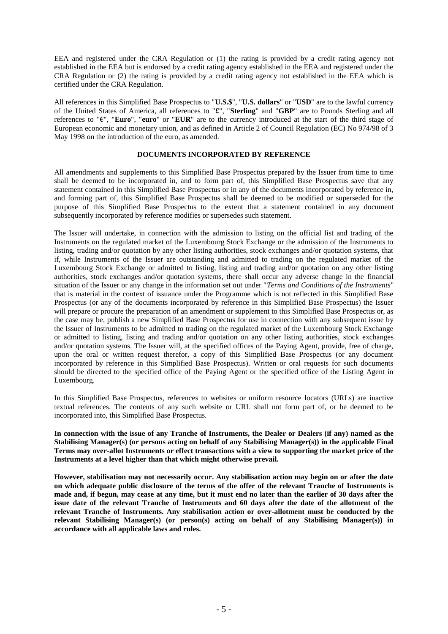EEA and registered under the CRA Regulation or (1) the rating is provided by a credit rating agency not established in the EEA but is endorsed by a credit rating agency established in the EEA and registered under the CRA Regulation or (2) the rating is provided by a credit rating agency not established in the EEA which is certified under the CRA Regulation.

All references in this Simplified Base Prospectus to "**U.S.\$**", "**U.S. dollars**" or "**USD**" are to the lawful currency of the United States of America, all references to "**£**", "**Sterling**" and "**GBP**" are to Pounds Sterling and all references to "**€**", "**Euro**", "**euro**" or "**EUR**" are to the currency introduced at the start of the third stage of European economic and monetary union, and as defined in Article 2 of Council Regulation (EC) No 974/98 of 3 May 1998 on the introduction of the euro, as amended.

#### **DOCUMENTS INCORPORATED BY REFERENCE**

All amendments and supplements to this Simplified Base Prospectus prepared by the Issuer from time to time shall be deemed to be incorporated in, and to form part of, this Simplified Base Prospectus save that any statement contained in this Simplified Base Prospectus or in any of the documents incorporated by reference in, and forming part of, this Simplified Base Prospectus shall be deemed to be modified or superseded for the purpose of this Simplified Base Prospectus to the extent that a statement contained in any document subsequently incorporated by reference modifies or supersedes such statement.

The Issuer will undertake, in connection with the admission to listing on the official list and trading of the Instruments on the regulated market of the Luxembourg Stock Exchange or the admission of the Instruments to listing, trading and/or quotation by any other listing authorities, stock exchanges and/or quotation systems, that if, while Instruments of the Issuer are outstanding and admitted to trading on the regulated market of the Luxembourg Stock Exchange or admitted to listing, listing and trading and/or quotation on any other listing authorities, stock exchanges and/or quotation systems, there shall occur any adverse change in the financial situation of the Issuer or any change in the information set out under "*Terms and Conditions of the Instruments*" that is material in the context of issuance under the Programme which is not reflected in this Simplified Base Prospectus (or any of the documents incorporated by reference in this Simplified Base Prospectus) the Issuer will prepare or procure the preparation of an amendment or supplement to this Simplified Base Prospectus or, as the case may be, publish a new Simplified Base Prospectus for use in connection with any subsequent issue by the Issuer of Instruments to be admitted to trading on the regulated market of the Luxembourg Stock Exchange or admitted to listing, listing and trading and/or quotation on any other listing authorities, stock exchanges and/or quotation systems. The Issuer will, at the specified offices of the Paying Agent, provide, free of charge, upon the oral or written request therefor, a copy of this Simplified Base Prospectus (or any document incorporated by reference in this Simplified Base Prospectus). Written or oral requests for such documents should be directed to the specified office of the Paying Agent or the specified office of the Listing Agent in Luxembourg.

In this Simplified Base Prospectus, references to websites or uniform resource locators (URLs) are inactive textual references. The contents of any such website or URL shall not form part of, or be deemed to be incorporated into, this Simplified Base Prospectus.

**In connection with the issue of any Tranche of Instruments, the Dealer or Dealers (if any) named as the Stabilising Manager(s) (or persons acting on behalf of any Stabilising Manager(s)) in the applicable Final Terms may over-allot Instruments or effect transactions with a view to supporting the market price of the Instruments at a level higher than that which might otherwise prevail.**

**However, stabilisation may not necessarily occur. Any stabilisation action may begin on or after the date on which adequate public disclosure of the terms of the offer of the relevant Tranche of Instruments is made and, if begun, may cease at any time, but it must end no later than the earlier of 30 days after the issue date of the relevant Tranche of Instruments and 60 days after the date of the allotment of the relevant Tranche of Instruments. Any stabilisation action or over-allotment must be conducted by the**  relevant Stabilising Manager(s) (or person(s) acting on behalf of any Stabilising Manager(s)) in **accordance with all applicable laws and rules.**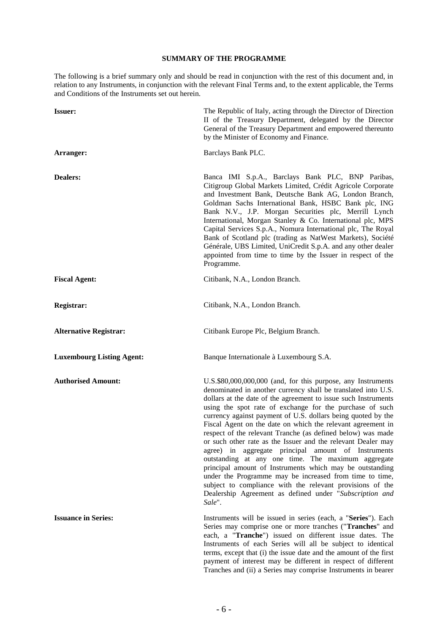#### **SUMMARY OF THE PROGRAMME**

<span id="page-5-0"></span>The following is a brief summary only and should be read in conjunction with the rest of this document and, in relation to any Instruments, in conjunction with the relevant Final Terms and, to the extent applicable, the Terms and Conditions of the Instruments set out herein.

| <b>Issuer:</b>                   | The Republic of Italy, acting through the Director of Direction<br>II of the Treasury Department, delegated by the Director<br>General of the Treasury Department and empowered thereunto<br>by the Minister of Economy and Finance.                                                                                                                                                                                                                                                                                                                                                                                                                                                                                                                                                                                                                                                            |
|----------------------------------|-------------------------------------------------------------------------------------------------------------------------------------------------------------------------------------------------------------------------------------------------------------------------------------------------------------------------------------------------------------------------------------------------------------------------------------------------------------------------------------------------------------------------------------------------------------------------------------------------------------------------------------------------------------------------------------------------------------------------------------------------------------------------------------------------------------------------------------------------------------------------------------------------|
| Arranger:                        | Barclays Bank PLC.                                                                                                                                                                                                                                                                                                                                                                                                                                                                                                                                                                                                                                                                                                                                                                                                                                                                              |
| <b>Dealers:</b>                  | Banca IMI S.p.A., Barclays Bank PLC, BNP Paribas,<br>Citigroup Global Markets Limited, Crédit Agricole Corporate<br>and Investment Bank, Deutsche Bank AG, London Branch,<br>Goldman Sachs International Bank, HSBC Bank plc, ING<br>Bank N.V., J.P. Morgan Securities plc, Merrill Lynch<br>International, Morgan Stanley & Co. International plc, MPS<br>Capital Services S.p.A., Nomura International plc, The Royal<br>Bank of Scotland plc (trading as NatWest Markets), Société<br>Générale, UBS Limited, UniCredit S.p.A. and any other dealer<br>appointed from time to time by the Issuer in respect of the<br>Programme.                                                                                                                                                                                                                                                              |
| <b>Fiscal Agent:</b>             | Citibank, N.A., London Branch.                                                                                                                                                                                                                                                                                                                                                                                                                                                                                                                                                                                                                                                                                                                                                                                                                                                                  |
| Registrar:                       | Citibank, N.A., London Branch.                                                                                                                                                                                                                                                                                                                                                                                                                                                                                                                                                                                                                                                                                                                                                                                                                                                                  |
| <b>Alternative Registrar:</b>    | Citibank Europe Plc, Belgium Branch.                                                                                                                                                                                                                                                                                                                                                                                                                                                                                                                                                                                                                                                                                                                                                                                                                                                            |
| <b>Luxembourg Listing Agent:</b> | Banque Internationale à Luxembourg S.A.                                                                                                                                                                                                                                                                                                                                                                                                                                                                                                                                                                                                                                                                                                                                                                                                                                                         |
| <b>Authorised Amount:</b>        | U.S.\$80,000,000,000 (and, for this purpose, any Instruments<br>denominated in another currency shall be translated into U.S.<br>dollars at the date of the agreement to issue such Instruments<br>using the spot rate of exchange for the purchase of such<br>currency against payment of U.S. dollars being quoted by the<br>Fiscal Agent on the date on which the relevant agreement in<br>respect of the relevant Tranche (as defined below) was made<br>or such other rate as the Issuer and the relevant Dealer may<br>agree) in aggregate principal amount of Instruments<br>outstanding at any one time. The maximum aggregate<br>principal amount of Instruments which may be outstanding<br>under the Programme may be increased from time to time,<br>subject to compliance with the relevant provisions of the<br>Dealership Agreement as defined under "Subscription and<br>Sale". |
| <b>Issuance in Series:</b>       | Instruments will be issued in series (each, a "Series"). Each<br>Series may comprise one or more tranches ("Tranches" and<br>each, a "Tranche") issued on different issue dates. The<br>Instruments of each Series will all be subject to identical<br>terms, except that (i) the issue date and the amount of the first<br>payment of interest may be different in respect of different<br>Tranches and (ii) a Series may comprise Instruments in bearer                                                                                                                                                                                                                                                                                                                                                                                                                                       |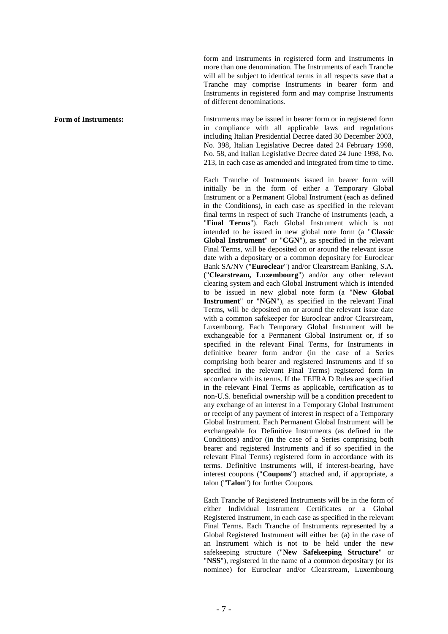form and Instruments in registered form and Instruments in more than one denomination. The Instruments of each Tranche will all be subject to identical terms in all respects save that a Tranche may comprise Instruments in bearer form and Instruments in registered form and may comprise Instruments of different denominations.

**Form of Instruments:** Instruments may be issued in bearer form or in registered form in compliance with all applicable laws and regulations including Italian Presidential Decree dated 30 December 2003, No. 398, Italian Legislative Decree dated 24 February 1998, No. 58, and Italian Legislative Decree dated 24 June 1998, No. 213, in each case as amended and integrated from time to time.

> Each Tranche of Instruments issued in bearer form will initially be in the form of either a Temporary Global Instrument or a Permanent Global Instrument (each as defined in the Conditions), in each case as specified in the relevant final terms in respect of such Tranche of Instruments (each, a "**Final Terms**"). Each Global Instrument which is not intended to be issued in new global note form (a "**Classic Global Instrument**" or "**CGN**"), as specified in the relevant Final Terms, will be deposited on or around the relevant issue date with a depositary or a common depositary for Euroclear Bank SA/NV ("**Euroclear**") and/or Clearstream Banking, S.A*.* ("**Clearstream, Luxembourg**") and/or any other relevant clearing system and each Global Instrument which is intended to be issued in new global note form (a "**New Global Instrument**" or "**NGN**"), as specified in the relevant Final Terms, will be deposited on or around the relevant issue date with a common safekeeper for Euroclear and/or Clearstream. Luxembourg. Each Temporary Global Instrument will be exchangeable for a Permanent Global Instrument or, if so specified in the relevant Final Terms, for Instruments in definitive bearer form and/or (in the case of a Series comprising both bearer and registered Instruments and if so specified in the relevant Final Terms) registered form in accordance with its terms. If the TEFRA D Rules are specified in the relevant Final Terms as applicable, certification as to non-U.S. beneficial ownership will be a condition precedent to any exchange of an interest in a Temporary Global Instrument or receipt of any payment of interest in respect of a Temporary Global Instrument. Each Permanent Global Instrument will be exchangeable for Definitive Instruments (as defined in the Conditions) and/or (in the case of a Series comprising both bearer and registered Instruments and if so specified in the relevant Final Terms) registered form in accordance with its terms. Definitive Instruments will, if interest-bearing, have interest coupons ("**Coupons**") attached and, if appropriate, a talon ("**Talon**") for further Coupons.

> Each Tranche of Registered Instruments will be in the form of either Individual Instrument Certificates or a Global Registered Instrument, in each case as specified in the relevant Final Terms. Each Tranche of Instruments represented by a Global Registered Instrument will either be: (a) in the case of an Instrument which is not to be held under the new safekeeping structure ("**New Safekeeping Structure**" or "**NSS**"), registered in the name of a common depositary (or its nominee) for Euroclear and/or Clearstream, Luxembourg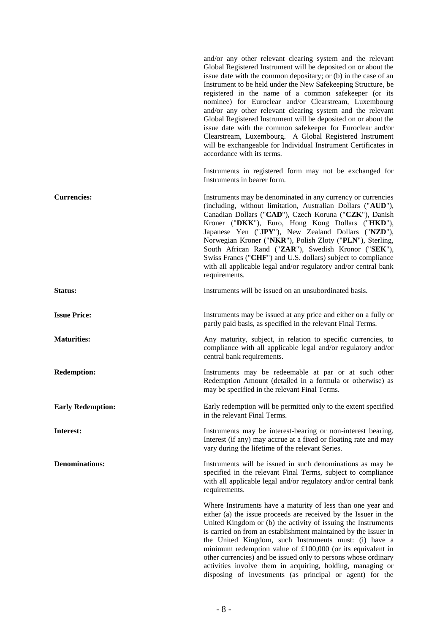and/or any other relevant clearing system and the relevant Global Registered Instrument will be deposited on or about the issue date with the common depositary; or (b) in the case of an Instrument to be held under the New Safekeeping Structure, be registered in the name of a common safekeeper (or its nominee) for Euroclear and/or Clearstream, Luxembourg and/or any other relevant clearing system and the relevant Global Registered Instrument will be deposited on or about the issue date with the common safekeeper for Euroclear and/or Clearstream, Luxembourg. A Global Registered Instrument will be exchangeable for Individual Instrument Certificates in accordance with its terms. Instruments in registered form may not be exchanged for Instruments in bearer form. **Currencies:** Instruments may be denominated in any currency or currencies (including, without limitation, Australian Dollars ("**AUD**"), Canadian Dollars ("**CAD**"), Czech Koruna ("**CZK**"), Danish Kroner ("**DKK**"), Euro, Hong Kong Dollars ("**HKD**"), Japanese Yen ("**JPY**"), New Zealand Dollars ("**NZD**"), Norwegian Kroner ("**NKR**"), Polish Zloty ("**PLN**"), Sterling, South African Rand ("**ZAR**"), Swedish Kronor ("**SEK**"), Swiss Francs ("**CHF**") and U.S. dollars) subject to compliance with all applicable legal and/or regulatory and/or central bank requirements. **Status:** Instruments will be issued on an unsubordinated basis. **Issue Price:** Instruments may be issued at any price and either on a fully or partly paid basis, as specified in the relevant Final Terms. **Maturities:** Any maturity, subject, in relation to specific currencies, to compliance with all applicable legal and/or regulatory and/or central bank requirements. **Redemption:** Instruments may be redeemable at par or at such other Redemption Amount (detailed in a formula or otherwise) as may be specified in the relevant Final Terms. **Early Redemption:** Early redemption will be permitted only to the extent specified in the relevant Final Terms. **Interest:** Instruments may be interest-bearing or non-interest bearing. Interest (if any) may accrue at a fixed or floating rate and may vary during the lifetime of the relevant Series. **Denominations:** Instruments will be issued in such denominations as may be specified in the relevant Final Terms, subject to compliance with all applicable legal and/or regulatory and/or central bank requirements. Where Instruments have a maturity of less than one year and either (a) the issue proceeds are received by the Issuer in the United Kingdom or (b) the activity of issuing the Instruments is carried on from an establishment maintained by the Issuer in the United Kingdom, such Instruments must: (i) have a minimum redemption value of  $£100,000$  (or its equivalent in other currencies) and be issued only to persons whose ordinary activities involve them in acquiring, holding, managing or disposing of investments (as principal or agent) for the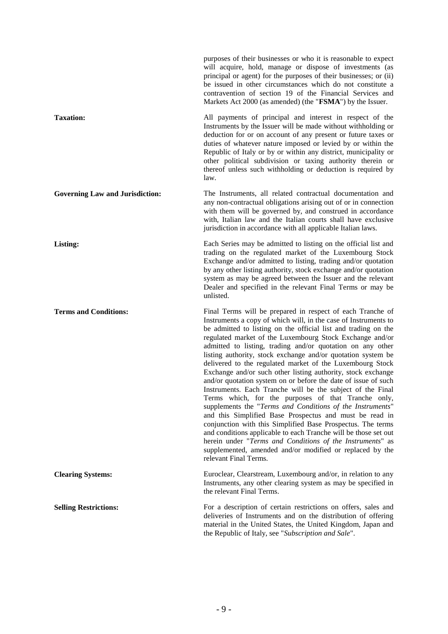|                                        | purposes of their businesses or who it is reasonable to expect<br>will acquire, hold, manage or dispose of investments (as<br>principal or agent) for the purposes of their businesses; or (ii)<br>be issued in other circumstances which do not constitute a<br>contravention of section 19 of the Financial Services and<br>Markets Act 2000 (as amended) (the "FSMA") by the Issuer.                                                                                                                                                                                                                                                                                                                                                                                                                                                                                                                                                                                                                                                                                                                                   |
|----------------------------------------|---------------------------------------------------------------------------------------------------------------------------------------------------------------------------------------------------------------------------------------------------------------------------------------------------------------------------------------------------------------------------------------------------------------------------------------------------------------------------------------------------------------------------------------------------------------------------------------------------------------------------------------------------------------------------------------------------------------------------------------------------------------------------------------------------------------------------------------------------------------------------------------------------------------------------------------------------------------------------------------------------------------------------------------------------------------------------------------------------------------------------|
| <b>Taxation:</b>                       | All payments of principal and interest in respect of the<br>Instruments by the Issuer will be made without withholding or<br>deduction for or on account of any present or future taxes or<br>duties of whatever nature imposed or levied by or within the<br>Republic of Italy or by or within any district, municipality or<br>other political subdivision or taxing authority therein or<br>thereof unless such withholding or deduction is required by<br>law.                                                                                                                                                                                                                                                                                                                                                                                                                                                                                                                                                                                                                                                        |
| <b>Governing Law and Jurisdiction:</b> | The Instruments, all related contractual documentation and<br>any non-contractual obligations arising out of or in connection<br>with them will be governed by, and construed in accordance<br>with, Italian law and the Italian courts shall have exclusive<br>jurisdiction in accordance with all applicable Italian laws.                                                                                                                                                                                                                                                                                                                                                                                                                                                                                                                                                                                                                                                                                                                                                                                              |
| Listing:                               | Each Series may be admitted to listing on the official list and<br>trading on the regulated market of the Luxembourg Stock<br>Exchange and/or admitted to listing, trading and/or quotation<br>by any other listing authority, stock exchange and/or quotation<br>system as may be agreed between the Issuer and the relevant<br>Dealer and specified in the relevant Final Terms or may be<br>unlisted.                                                                                                                                                                                                                                                                                                                                                                                                                                                                                                                                                                                                                                                                                                                  |
| <b>Terms and Conditions:</b>           | Final Terms will be prepared in respect of each Tranche of<br>Instruments a copy of which will, in the case of Instruments to<br>be admitted to listing on the official list and trading on the<br>regulated market of the Luxembourg Stock Exchange and/or<br>admitted to listing, trading and/or quotation on any other<br>listing authority, stock exchange and/or quotation system be<br>delivered to the regulated market of the Luxembourg Stock<br>Exchange and/or such other listing authority, stock exchange<br>and/or quotation system on or before the date of issue of such<br>Instruments. Each Tranche will be the subject of the Final<br>Terms which, for the purposes of that Tranche only,<br>supplements the "Terms and Conditions of the Instruments"<br>and this Simplified Base Prospectus and must be read in<br>conjunction with this Simplified Base Prospectus. The terms<br>and conditions applicable to each Tranche will be those set out<br>herein under "Terms and Conditions of the Instruments" as<br>supplemented, amended and/or modified or replaced by the<br>relevant Final Terms. |
| <b>Clearing Systems:</b>               | Euroclear, Clearstream, Luxembourg and/or, in relation to any<br>Instruments, any other clearing system as may be specified in<br>the relevant Final Terms.                                                                                                                                                                                                                                                                                                                                                                                                                                                                                                                                                                                                                                                                                                                                                                                                                                                                                                                                                               |
| <b>Selling Restrictions:</b>           | For a description of certain restrictions on offers, sales and<br>deliveries of Instruments and on the distribution of offering<br>material in the United States, the United Kingdom, Japan and<br>the Republic of Italy, see "Subscription and Sale".                                                                                                                                                                                                                                                                                                                                                                                                                                                                                                                                                                                                                                                                                                                                                                                                                                                                    |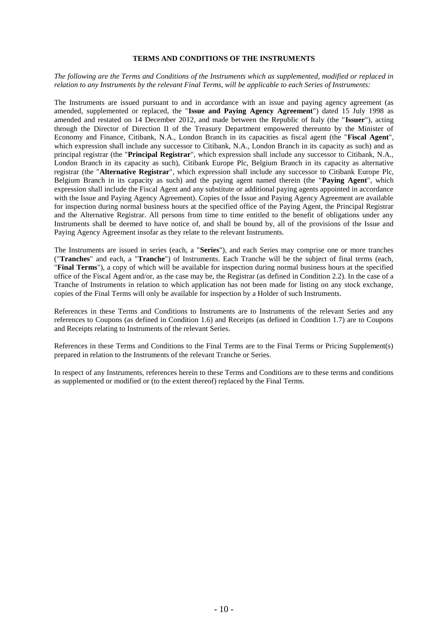#### **TERMS AND CONDITIONS OF THE INSTRUMENTS**

<span id="page-9-0"></span>*The following are the Terms and Conditions of the Instruments which as supplemented, modified or replaced in relation to any Instruments by the relevant Final Terms, will be applicable to each Series of Instruments:*

The Instruments are issued pursuant to and in accordance with an issue and paying agency agreement (as amended, supplemented or replaced, the "**Issue and Paying Agency Agreement**") dated 15 July 1998 as amended and restated on 14 December 2012, and made between the Republic of Italy (the "**Issuer**"), acting through the Director of Direction II of the Treasury Department empowered thereunto by the Minister of Economy and Finance, Citibank, N.A., London Branch in its capacities as fiscal agent (the "**Fiscal Agent**", which expression shall include any successor to Citibank, N.A., London Branch in its capacity as such) and as principal registrar (the "**Principal Registrar**", which expression shall include any successor to Citibank, N.A., London Branch in its capacity as such), Citibank Europe Plc, Belgium Branch in its capacity as alternative registrar (the "**Alternative Registrar**", which expression shall include any successor to Citibank Europe Plc, Belgium Branch in its capacity as such) and the paying agent named therein (the "**Paying Agent**", which expression shall include the Fiscal Agent and any substitute or additional paying agents appointed in accordance with the Issue and Paying Agency Agreement). Copies of the Issue and Paying Agency Agreement are available for inspection during normal business hours at the specified office of the Paying Agent, the Principal Registrar and the Alternative Registrar. All persons from time to time entitled to the benefit of obligations under any Instruments shall be deemed to have notice of, and shall be bound by, all of the provisions of the Issue and Paying Agency Agreement insofar as they relate to the relevant Instruments.

The Instruments are issued in series (each, a "**Series**"), and each Series may comprise one or more tranches ("**Tranches**" and each, a "**Tranche**") of Instruments. Each Tranche will be the subject of final terms (each, "**Final Terms**"), a copy of which will be available for inspection during normal business hours at the specified office of the Fiscal Agent and/or, as the case may be, the Registrar (as defined in Condition 2.2). In the case of a Tranche of Instruments in relation to which application has not been made for listing on any stock exchange, copies of the Final Terms will only be available for inspection by a Holder of such Instruments.

References in these Terms and Conditions to Instruments are to Instruments of the relevant Series and any references to Coupons (as defined in Condition 1.6) and Receipts (as defined in Condition 1.7) are to Coupons and Receipts relating to Instruments of the relevant Series.

References in these Terms and Conditions to the Final Terms are to the Final Terms or Pricing Supplement(s) prepared in relation to the Instruments of the relevant Tranche or Series.

In respect of any Instruments, references herein to these Terms and Conditions are to these terms and conditions as supplemented or modified or (to the extent thereof) replaced by the Final Terms.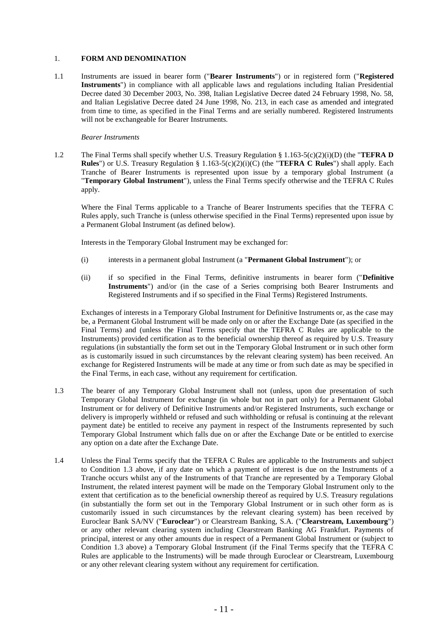#### 1. **FORM AND DENOMINATION**

1.1 Instruments are issued in bearer form ("**Bearer Instruments**") or in registered form ("**Registered Instruments**") in compliance with all applicable laws and regulations including Italian Presidential Decree dated 30 December 2003, No. 398, Italian Legislative Decree dated 24 February 1998, No. 58, and Italian Legislative Decree dated 24 June 1998, No. 213, in each case as amended and integrated from time to time, as specified in the Final Terms and are serially numbered. Registered Instruments will not be exchangeable for Bearer Instruments.

#### *Bearer Instruments*

1.2 The Final Terms shall specify whether U.S. Treasury Regulation § 1.163-5(c)(2)(i)(D) (the "**TEFRA D Rules**") or U.S. Treasury Regulation § 1.163-5(c)(2)(i)(C) (the "**TEFRA C Rules**") shall apply. Each Tranche of Bearer Instruments is represented upon issue by a temporary global Instrument (a "**Temporary Global Instrument**"), unless the Final Terms specify otherwise and the TEFRA C Rules apply.

Where the Final Terms applicable to a Tranche of Bearer Instruments specifies that the TEFRA C Rules apply, such Tranche is (unless otherwise specified in the Final Terms) represented upon issue by a Permanent Global Instrument (as defined below).

Interests in the Temporary Global Instrument may be exchanged for:

- (i) interests in a permanent global Instrument (a "**Permanent Global Instrument**"); or
- (ii) if so specified in the Final Terms, definitive instruments in bearer form ("**Definitive Instruments**") and/or (in the case of a Series comprising both Bearer Instruments and Registered Instruments and if so specified in the Final Terms) Registered Instruments.

Exchanges of interests in a Temporary Global Instrument for Definitive Instruments or, as the case may be, a Permanent Global Instrument will be made only on or after the Exchange Date (as specified in the Final Terms) and (unless the Final Terms specify that the TEFRA C Rules are applicable to the Instruments) provided certification as to the beneficial ownership thereof as required by U.S. Treasury regulations (in substantially the form set out in the Temporary Global Instrument or in such other form as is customarily issued in such circumstances by the relevant clearing system) has been received. An exchange for Registered Instruments will be made at any time or from such date as may be specified in the Final Terms, in each case, without any requirement for certification.

- 1.3 The bearer of any Temporary Global Instrument shall not (unless, upon due presentation of such Temporary Global Instrument for exchange (in whole but not in part only) for a Permanent Global Instrument or for delivery of Definitive Instruments and/or Registered Instruments, such exchange or delivery is improperly withheld or refused and such withholding or refusal is continuing at the relevant payment date) be entitled to receive any payment in respect of the Instruments represented by such Temporary Global Instrument which falls due on or after the Exchange Date or be entitled to exercise any option on a date after the Exchange Date.
- 1.4 Unless the Final Terms specify that the TEFRA C Rules are applicable to the Instruments and subject to Condition 1.3 above, if any date on which a payment of interest is due on the Instruments of a Tranche occurs whilst any of the Instruments of that Tranche are represented by a Temporary Global Instrument, the related interest payment will be made on the Temporary Global Instrument only to the extent that certification as to the beneficial ownership thereof as required by U.S. Treasury regulations (in substantially the form set out in the Temporary Global Instrument or in such other form as is customarily issued in such circumstances by the relevant clearing system) has been received by Euroclear Bank SA/NV ("**Euroclear**") or Clearstream Banking, S.A. ("**Clearstream, Luxembourg**") or any other relevant clearing system including Clearstream Banking AG Frankfurt. Payments of principal, interest or any other amounts due in respect of a Permanent Global Instrument or (subject to Condition 1.3 above) a Temporary Global Instrument (if the Final Terms specify that the TEFRA C Rules are applicable to the Instruments) will be made through Euroclear or Clearstream, Luxembourg or any other relevant clearing system without any requirement for certification.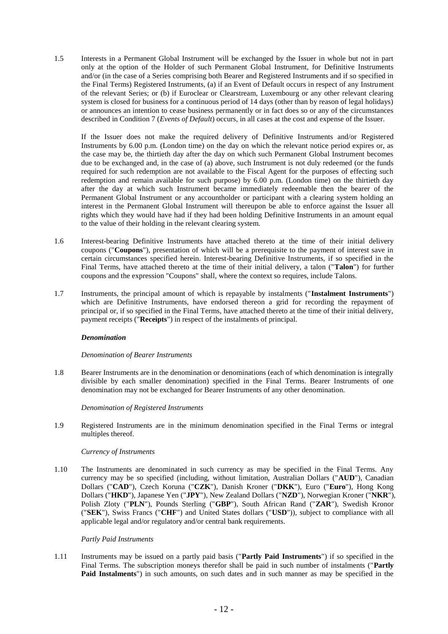1.5 Interests in a Permanent Global Instrument will be exchanged by the Issuer in whole but not in part only at the option of the Holder of such Permanent Global Instrument, for Definitive Instruments and/or (in the case of a Series comprising both Bearer and Registered Instruments and if so specified in the Final Terms) Registered Instruments, (a) if an Event of Default occurs in respect of any Instrument of the relevant Series; or (b) if Euroclear or Clearstream, Luxembourg or any other relevant clearing system is closed for business for a continuous period of 14 days (other than by reason of legal holidays) or announces an intention to cease business permanently or in fact does so or any of the circumstances described in Condition 7 (*Events of Default*) occurs, in all cases at the cost and expense of the Issuer.

If the Issuer does not make the required delivery of Definitive Instruments and/or Registered Instruments by 6.00 p.m. (London time) on the day on which the relevant notice period expires or, as the case may be, the thirtieth day after the day on which such Permanent Global Instrument becomes due to be exchanged and, in the case of (a) above, such Instrument is not duly redeemed (or the funds required for such redemption are not available to the Fiscal Agent for the purposes of effecting such redemption and remain available for such purpose) by 6.00 p.m. (London time) on the thirtieth day after the day at which such Instrument became immediately redeemable then the bearer of the Permanent Global Instrument or any accountholder or participant with a clearing system holding an interest in the Permanent Global Instrument will thereupon be able to enforce against the Issuer all rights which they would have had if they had been holding Definitive Instruments in an amount equal to the value of their holding in the relevant clearing system.

- 1.6 Interest-bearing Definitive Instruments have attached thereto at the time of their initial delivery coupons ("**Coupons**"), presentation of which will be a prerequisite to the payment of interest save in certain circumstances specified herein. Interest-bearing Definitive Instruments, if so specified in the Final Terms, have attached thereto at the time of their initial delivery, a talon ("**Talon**") for further coupons and the expression "Coupons" shall, where the context so requires, include Talons.
- 1.7 Instruments, the principal amount of which is repayable by instalments ("**Instalment Instruments**") which are Definitive Instruments, have endorsed thereon a grid for recording the repayment of principal or, if so specified in the Final Terms, have attached thereto at the time of their initial delivery, payment receipts ("**Receipts**") in respect of the instalments of principal.

#### *Denomination*

#### *Denomination of Bearer Instruments*

1.8 Bearer Instruments are in the denomination or denominations (each of which denomination is integrally divisible by each smaller denomination) specified in the Final Terms. Bearer Instruments of one denomination may not be exchanged for Bearer Instruments of any other denomination.

#### *Denomination of Registered Instruments*

1.9 Registered Instruments are in the minimum denomination specified in the Final Terms or integral multiples thereof.

#### *Currency of Instruments*

1.10 The Instruments are denominated in such currency as may be specified in the Final Terms. Any currency may be so specified (including, without limitation, Australian Dollars ("**AUD**"), Canadian Dollars ("**CAD**"), Czech Koruna ("**CZK**"), Danish Kroner ("**DKK**"), Euro ("**Euro**"), Hong Kong Dollars ("**HKD**"), Japanese Yen ("**JPY**"), New Zealand Dollars ("**NZD**"), Norwegian Kroner ("**NKR**"), Polish Zloty ("**PLN**"), Pounds Sterling ("**GBP**"), South African Rand ("**ZAR**"), Swedish Kronor ("**SEK**"), Swiss Francs ("**CHF**") and United States dollars ("**USD**")), subject to compliance with all applicable legal and/or regulatory and/or central bank requirements.

#### *Partly Paid Instruments*

1.11 Instruments may be issued on a partly paid basis ("**Partly Paid Instruments**") if so specified in the Final Terms. The subscription moneys therefor shall be paid in such number of instalments ("**Partly Paid Instalments**") in such amounts, on such dates and in such manner as may be specified in the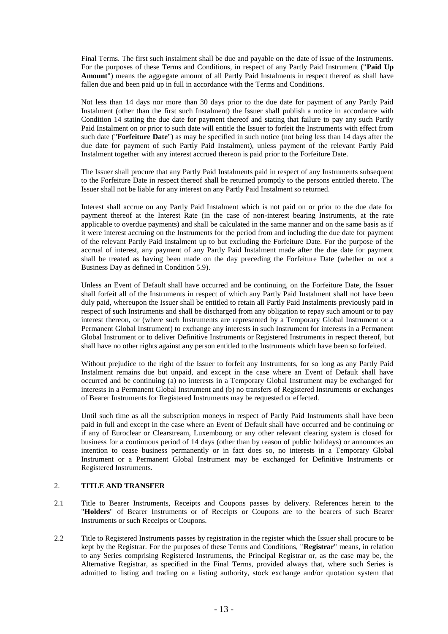Final Terms. The first such instalment shall be due and payable on the date of issue of the Instruments. For the purposes of these Terms and Conditions, in respect of any Partly Paid Instrument ("**Paid Up Amount**") means the aggregate amount of all Partly Paid Instalments in respect thereof as shall have fallen due and been paid up in full in accordance with the Terms and Conditions.

Not less than 14 days nor more than 30 days prior to the due date for payment of any Partly Paid Instalment (other than the first such Instalment) the Issuer shall publish a notice in accordance with Condition 14 stating the due date for payment thereof and stating that failure to pay any such Partly Paid Instalment on or prior to such date will entitle the Issuer to forfeit the Instruments with effect from such date ("**Forfeiture Date**") as may be specified in such notice (not being less than 14 days after the due date for payment of such Partly Paid Instalment), unless payment of the relevant Partly Paid Instalment together with any interest accrued thereon is paid prior to the Forfeiture Date.

The Issuer shall procure that any Partly Paid Instalments paid in respect of any Instruments subsequent to the Forfeiture Date in respect thereof shall be returned promptly to the persons entitled thereto. The Issuer shall not be liable for any interest on any Partly Paid Instalment so returned.

Interest shall accrue on any Partly Paid Instalment which is not paid on or prior to the due date for payment thereof at the Interest Rate (in the case of non-interest bearing Instruments, at the rate applicable to overdue payments) and shall be calculated in the same manner and on the same basis as if it were interest accruing on the Instruments for the period from and including the due date for payment of the relevant Partly Paid Instalment up to but excluding the Forfeiture Date. For the purpose of the accrual of interest, any payment of any Partly Paid Instalment made after the due date for payment shall be treated as having been made on the day preceding the Forfeiture Date (whether or not a Business Day as defined in Condition 5.9).

Unless an Event of Default shall have occurred and be continuing, on the Forfeiture Date, the Issuer shall forfeit all of the Instruments in respect of which any Partly Paid Instalment shall not have been duly paid, whereupon the Issuer shall be entitled to retain all Partly Paid Instalments previously paid in respect of such Instruments and shall be discharged from any obligation to repay such amount or to pay interest thereon, or (where such Instruments are represented by a Temporary Global Instrument or a Permanent Global Instrument) to exchange any interests in such Instrument for interests in a Permanent Global Instrument or to deliver Definitive Instruments or Registered Instruments in respect thereof, but shall have no other rights against any person entitled to the Instruments which have been so forfeited.

Without prejudice to the right of the Issuer to forfeit any Instruments, for so long as any Partly Paid Instalment remains due but unpaid, and except in the case where an Event of Default shall have occurred and be continuing (a) no interests in a Temporary Global Instrument may be exchanged for interests in a Permanent Global Instrument and (b) no transfers of Registered Instruments or exchanges of Bearer Instruments for Registered Instruments may be requested or effected.

Until such time as all the subscription moneys in respect of Partly Paid Instruments shall have been paid in full and except in the case where an Event of Default shall have occurred and be continuing or if any of Euroclear or Clearstream, Luxembourg or any other relevant clearing system is closed for business for a continuous period of 14 days (other than by reason of public holidays) or announces an intention to cease business permanently or in fact does so, no interests in a Temporary Global Instrument or a Permanent Global Instrument may be exchanged for Definitive Instruments or Registered Instruments.

#### 2. **TITLE AND TRANSFER**

- 2.1 Title to Bearer Instruments, Receipts and Coupons passes by delivery. References herein to the "**Holders**" of Bearer Instruments or of Receipts or Coupons are to the bearers of such Bearer Instruments or such Receipts or Coupons.
- 2.2 Title to Registered Instruments passes by registration in the register which the Issuer shall procure to be kept by the Registrar. For the purposes of these Terms and Conditions, "**Registrar**" means, in relation to any Series comprising Registered Instruments, the Principal Registrar or, as the case may be, the Alternative Registrar, as specified in the Final Terms, provided always that, where such Series is admitted to listing and trading on a listing authority, stock exchange and/or quotation system that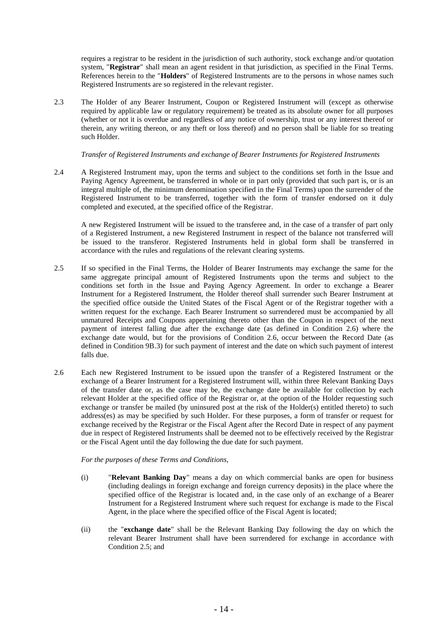requires a registrar to be resident in the jurisdiction of such authority, stock exchange and/or quotation system, "**Registrar**" shall mean an agent resident in that jurisdiction, as specified in the Final Terms. References herein to the "**Holders**" of Registered Instruments are to the persons in whose names such Registered Instruments are so registered in the relevant register.

2.3 The Holder of any Bearer Instrument, Coupon or Registered Instrument will (except as otherwise required by applicable law or regulatory requirement) be treated as its absolute owner for all purposes (whether or not it is overdue and regardless of any notice of ownership, trust or any interest thereof or therein, any writing thereon, or any theft or loss thereof) and no person shall be liable for so treating such Holder.

#### *Transfer of Registered Instruments and exchange of Bearer Instruments for Registered Instruments*

2.4 A Registered Instrument may, upon the terms and subject to the conditions set forth in the Issue and Paying Agency Agreement, be transferred in whole or in part only (provided that such part is, or is an integral multiple of, the minimum denomination specified in the Final Terms) upon the surrender of the Registered Instrument to be transferred, together with the form of transfer endorsed on it duly completed and executed, at the specified office of the Registrar.

A new Registered Instrument will be issued to the transferee and, in the case of a transfer of part only of a Registered Instrument, a new Registered Instrument in respect of the balance not transferred will be issued to the transferor. Registered Instruments held in global form shall be transferred in accordance with the rules and regulations of the relevant clearing systems.

- 2.5 If so specified in the Final Terms, the Holder of Bearer Instruments may exchange the same for the same aggregate principal amount of Registered Instruments upon the terms and subject to the conditions set forth in the Issue and Paying Agency Agreement. In order to exchange a Bearer Instrument for a Registered Instrument, the Holder thereof shall surrender such Bearer Instrument at the specified office outside the United States of the Fiscal Agent or of the Registrar together with a written request for the exchange. Each Bearer Instrument so surrendered must be accompanied by all unmatured Receipts and Coupons appertaining thereto other than the Coupon in respect of the next payment of interest falling due after the exchange date (as defined in Condition 2.6) where the exchange date would, but for the provisions of Condition 2.6, occur between the Record Date (as defined in Condition 9B.3) for such payment of interest and the date on which such payment of interest falls due.
- 2.6 Each new Registered Instrument to be issued upon the transfer of a Registered Instrument or the exchange of a Bearer Instrument for a Registered Instrument will, within three Relevant Banking Days of the transfer date or, as the case may be, the exchange date be available for collection by each relevant Holder at the specified office of the Registrar or, at the option of the Holder requesting such exchange or transfer be mailed (by uninsured post at the risk of the Holder(s) entitled thereto) to such address(es) as may be specified by such Holder. For these purposes, a form of transfer or request for exchange received by the Registrar or the Fiscal Agent after the Record Date in respect of any payment due in respect of Registered Instruments shall be deemed not to be effectively received by the Registrar or the Fiscal Agent until the day following the due date for such payment.

#### *For the purposes of these Terms and Conditions,*

- (i) "**Relevant Banking Day**" means a day on which commercial banks are open for business (including dealings in foreign exchange and foreign currency deposits) in the place where the specified office of the Registrar is located and, in the case only of an exchange of a Bearer Instrument for a Registered Instrument where such request for exchange is made to the Fiscal Agent, in the place where the specified office of the Fiscal Agent is located;
- (ii) the "**exchange date**" shall be the Relevant Banking Day following the day on which the relevant Bearer Instrument shall have been surrendered for exchange in accordance with Condition 2.5; and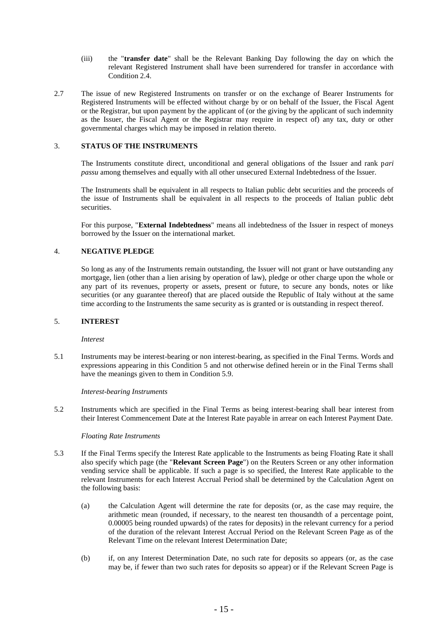- (iii) the "**transfer date**" shall be the Relevant Banking Day following the day on which the relevant Registered Instrument shall have been surrendered for transfer in accordance with Condition 2.4.
- 2.7 The issue of new Registered Instruments on transfer or on the exchange of Bearer Instruments for Registered Instruments will be effected without charge by or on behalf of the Issuer, the Fiscal Agent or the Registrar, but upon payment by the applicant of (or the giving by the applicant of such indemnity as the Issuer, the Fiscal Agent or the Registrar may require in respect of) any tax, duty or other governmental charges which may be imposed in relation thereto.

#### 3. **STATUS OF THE INSTRUMENTS**

The Instruments constitute direct, unconditional and general obligations of the Issuer and rank p*ari passu* among themselves and equally with all other unsecured External Indebtedness of the Issuer.

The Instruments shall be equivalent in all respects to Italian public debt securities and the proceeds of the issue of Instruments shall be equivalent in all respects to the proceeds of Italian public debt securities.

For this purpose, "**External Indebtedness**" means all indebtedness of the Issuer in respect of moneys borrowed by the Issuer on the international market.

#### 4. **NEGATIVE PLEDGE**

So long as any of the Instruments remain outstanding, the Issuer will not grant or have outstanding any mortgage, lien (other than a lien arising by operation of law), pledge or other charge upon the whole or any part of its revenues, property or assets, present or future, to secure any bonds, notes or like securities (or any guarantee thereof) that are placed outside the Republic of Italy without at the same time according to the Instruments the same security as is granted or is outstanding in respect thereof.

#### 5. **INTEREST**

#### *Interest*

5.1 Instruments may be interest-bearing or non interest-bearing, as specified in the Final Terms. Words and expressions appearing in this Condition 5 and not otherwise defined herein or in the Final Terms shall have the meanings given to them in Condition 5.9.

*Interest-bearing Instruments*

5.2 Instruments which are specified in the Final Terms as being interest-bearing shall bear interest from their Interest Commencement Date at the Interest Rate payable in arrear on each Interest Payment Date.

#### *Floating Rate Instruments*

- 5.3 If the Final Terms specify the Interest Rate applicable to the Instruments as being Floating Rate it shall also specify which page (the "**Relevant Screen Page**") on the Reuters Screen or any other information vending service shall be applicable. If such a page is so specified, the Interest Rate applicable to the relevant Instruments for each Interest Accrual Period shall be determined by the Calculation Agent on the following basis:
	- (a) the Calculation Agent will determine the rate for deposits (or, as the case may require, the arithmetic mean (rounded, if necessary, to the nearest ten thousandth of a percentage point, 0.00005 being rounded upwards) of the rates for deposits) in the relevant currency for a period of the duration of the relevant Interest Accrual Period on the Relevant Screen Page as of the Relevant Time on the relevant Interest Determination Date;
	- (b) if, on any Interest Determination Date, no such rate for deposits so appears (or, as the case may be, if fewer than two such rates for deposits so appear) or if the Relevant Screen Page is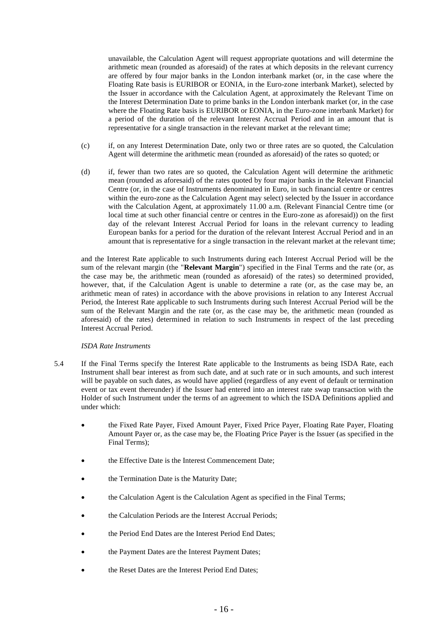unavailable, the Calculation Agent will request appropriate quotations and will determine the arithmetic mean (rounded as aforesaid) of the rates at which deposits in the relevant currency are offered by four major banks in the London interbank market (or, in the case where the Floating Rate basis is EURIBOR or EONIA, in the Euro-zone interbank Market), selected by the Issuer in accordance with the Calculation Agent, at approximately the Relevant Time on the Interest Determination Date to prime banks in the London interbank market (or, in the case where the Floating Rate basis is EURIBOR or EONIA, in the Euro-zone interbank Market) for a period of the duration of the relevant Interest Accrual Period and in an amount that is representative for a single transaction in the relevant market at the relevant time;

- (c) if, on any Interest Determination Date, only two or three rates are so quoted, the Calculation Agent will determine the arithmetic mean (rounded as aforesaid) of the rates so quoted; or
- (d) if, fewer than two rates are so quoted, the Calculation Agent will determine the arithmetic mean (rounded as aforesaid) of the rates quoted by four major banks in the Relevant Financial Centre (or, in the case of Instruments denominated in Euro, in such financial centre or centres within the euro-zone as the Calculation Agent may select) selected by the Issuer in accordance with the Calculation Agent, at approximately 11.00 a.m. (Relevant Financial Centre time (or local time at such other financial centre or centres in the Euro-zone as aforesaid)) on the first day of the relevant Interest Accrual Period for loans in the relevant currency to leading European banks for a period for the duration of the relevant Interest Accrual Period and in an amount that is representative for a single transaction in the relevant market at the relevant time;

and the Interest Rate applicable to such Instruments during each Interest Accrual Period will be the sum of the relevant margin (the "**Relevant Margin**") specified in the Final Terms and the rate (or, as the case may be, the arithmetic mean (rounded as aforesaid) of the rates) so determined provided, however, that, if the Calculation Agent is unable to determine a rate (or, as the case may be, an arithmetic mean of rates) in accordance with the above provisions in relation to any Interest Accrual Period, the Interest Rate applicable to such Instruments during such Interest Accrual Period will be the sum of the Relevant Margin and the rate (or, as the case may be, the arithmetic mean (rounded as aforesaid) of the rates) determined in relation to such Instruments in respect of the last preceding Interest Accrual Period.

#### *ISDA Rate Instruments*

- 5.4 If the Final Terms specify the Interest Rate applicable to the Instruments as being ISDA Rate, each Instrument shall bear interest as from such date, and at such rate or in such amounts, and such interest will be payable on such dates, as would have applied (regardless of any event of default or termination event or tax event thereunder) if the Issuer had entered into an interest rate swap transaction with the Holder of such Instrument under the terms of an agreement to which the ISDA Definitions applied and under which:
	- the Fixed Rate Payer, Fixed Amount Payer, Fixed Price Payer, Floating Rate Payer, Floating Amount Payer or, as the case may be, the Floating Price Payer is the Issuer (as specified in the Final Terms);
	- the Effective Date is the Interest Commencement Date;
	- the Termination Date is the Maturity Date;
	- the Calculation Agent is the Calculation Agent as specified in the Final Terms;
	- the Calculation Periods are the Interest Accrual Periods;
	- the Period End Dates are the Interest Period End Dates;
	- the Payment Dates are the Interest Payment Dates;
	- the Reset Dates are the Interest Period End Dates;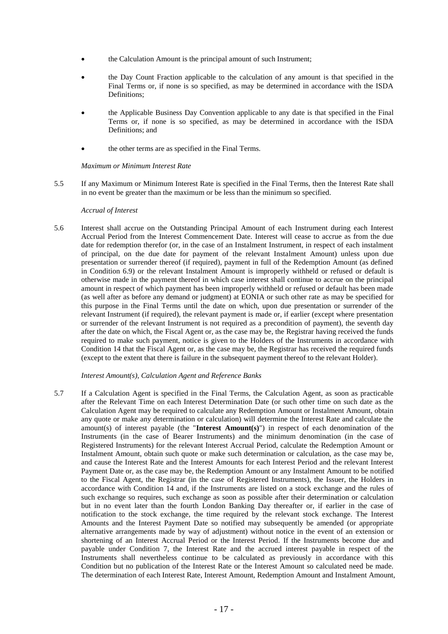- the Calculation Amount is the principal amount of such Instrument;
- the Day Count Fraction applicable to the calculation of any amount is that specified in the Final Terms or, if none is so specified, as may be determined in accordance with the ISDA Definitions;
- the Applicable Business Day Convention applicable to any date is that specified in the Final Terms or, if none is so specified, as may be determined in accordance with the ISDA Definitions; and
- the other terms are as specified in the Final Terms.

#### *Maximum or Minimum Interest Rate*

5.5 If any Maximum or Minimum Interest Rate is specified in the Final Terms, then the Interest Rate shall in no event be greater than the maximum or be less than the minimum so specified.

#### *Accrual of Interest*

5.6 Interest shall accrue on the Outstanding Principal Amount of each Instrument during each Interest Accrual Period from the Interest Commencement Date. Interest will cease to accrue as from the due date for redemption therefor (or, in the case of an Instalment Instrument, in respect of each instalment of principal, on the due date for payment of the relevant Instalment Amount) unless upon due presentation or surrender thereof (if required), payment in full of the Redemption Amount (as defined in Condition 6.9) or the relevant Instalment Amount is improperly withheld or refused or default is otherwise made in the payment thereof in which case interest shall continue to accrue on the principal amount in respect of which payment has been improperly withheld or refused or default has been made (as well after as before any demand or judgment) at EONIA or such other rate as may be specified for this purpose in the Final Terms until the date on which, upon due presentation or surrender of the relevant Instrument (if required), the relevant payment is made or, if earlier (except where presentation or surrender of the relevant Instrument is not required as a precondition of payment), the seventh day after the date on which, the Fiscal Agent or, as the case may be, the Registrar having received the funds required to make such payment, notice is given to the Holders of the Instruments in accordance with Condition 14 that the Fiscal Agent or, as the case may be, the Registrar has received the required funds (except to the extent that there is failure in the subsequent payment thereof to the relevant Holder).

#### *Interest Amount(s), Calculation Agent and Reference Banks*

5.7 If a Calculation Agent is specified in the Final Terms, the Calculation Agent, as soon as practicable after the Relevant Time on each Interest Determination Date (or such other time on such date as the Calculation Agent may be required to calculate any Redemption Amount or Instalment Amount, obtain any quote or make any determination or calculation) will determine the Interest Rate and calculate the amount(s) of interest payable (the "**Interest Amount(s)**") in respect of each denomination of the Instruments (in the case of Bearer Instruments) and the minimum denomination (in the case of Registered Instruments) for the relevant Interest Accrual Period, calculate the Redemption Amount or Instalment Amount, obtain such quote or make such determination or calculation, as the case may be, and cause the Interest Rate and the Interest Amounts for each Interest Period and the relevant Interest Payment Date or, as the case may be, the Redemption Amount or any Instalment Amount to be notified to the Fiscal Agent, the Registrar (in the case of Registered Instruments), the Issuer, the Holders in accordance with Condition 14 and, if the Instruments are listed on a stock exchange and the rules of such exchange so requires, such exchange as soon as possible after their determination or calculation but in no event later than the fourth London Banking Day thereafter or, if earlier in the case of notification to the stock exchange, the time required by the relevant stock exchange. The Interest Amounts and the Interest Payment Date so notified may subsequently be amended (or appropriate alternative arrangements made by way of adjustment) without notice in the event of an extension or shortening of an Interest Accrual Period or the Interest Period. If the Instruments become due and payable under Condition 7, the Interest Rate and the accrued interest payable in respect of the Instruments shall nevertheless continue to be calculated as previously in accordance with this Condition but no publication of the Interest Rate or the Interest Amount so calculated need be made. The determination of each Interest Rate, Interest Amount, Redemption Amount and Instalment Amount,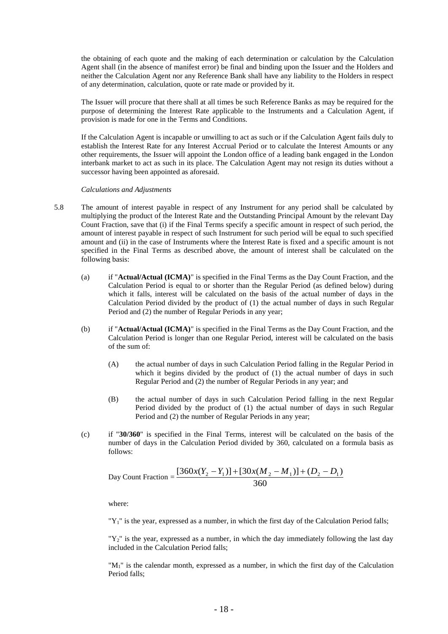the obtaining of each quote and the making of each determination or calculation by the Calculation Agent shall (in the absence of manifest error) be final and binding upon the Issuer and the Holders and neither the Calculation Agent nor any Reference Bank shall have any liability to the Holders in respect of any determination, calculation, quote or rate made or provided by it.

The Issuer will procure that there shall at all times be such Reference Banks as may be required for the purpose of determining the Interest Rate applicable to the Instruments and a Calculation Agent, if provision is made for one in the Terms and Conditions.

If the Calculation Agent is incapable or unwilling to act as such or if the Calculation Agent fails duly to establish the Interest Rate for any Interest Accrual Period or to calculate the Interest Amounts or any other requirements, the Issuer will appoint the London office of a leading bank engaged in the London interbank market to act as such in its place. The Calculation Agent may not resign its duties without a successor having been appointed as aforesaid.

*Calculations and Adjustments*

- 5.8 The amount of interest payable in respect of any Instrument for any period shall be calculated by multiplying the product of the Interest Rate and the Outstanding Principal Amount by the relevant Day Count Fraction, save that (i) if the Final Terms specify a specific amount in respect of such period, the amount of interest payable in respect of such Instrument for such period will be equal to such specified amount and (ii) in the case of Instruments where the Interest Rate is fixed and a specific amount is not specified in the Final Terms as described above, the amount of interest shall be calculated on the following basis:
	- (a) if "**Actual/Actual (ICMA)**" is specified in the Final Terms as the Day Count Fraction, and the Calculation Period is equal to or shorter than the Regular Period (as defined below) during which it falls, interest will be calculated on the basis of the actual number of days in the Calculation Period divided by the product of (1) the actual number of days in such Regular Period and (2) the number of Regular Periods in any year;
	- (b) if "**Actual/Actual (ICMA)**" is specified in the Final Terms as the Day Count Fraction, and the Calculation Period is longer than one Regular Period, interest will be calculated on the basis of the sum of:
		- (A) the actual number of days in such Calculation Period falling in the Regular Period in which it begins divided by the product of (1) the actual number of days in such Regular Period and (2) the number of Regular Periods in any year; and
		- (B) the actual number of days in such Calculation Period falling in the next Regular Period divided by the product of (1) the actual number of days in such Regular Period and (2) the number of Regular Periods in any year;
	- (c) if "**30/360**" is specified in the Final Terms, interest will be calculated on the basis of the number of days in the Calculation Period divided by 360, calculated on a formula basis as follows:

Day Count Fraction = 
$$
\frac{[360x(Y_2 - Y_1)] + [30x(M_2 - M_1)] + (D_2 - D_1)}{360}
$$

where:

"Y1" is the year, expressed as a number, in which the first day of the Calculation Period falls;

"Y2" is the year, expressed as a number, in which the day immediately following the last day included in the Calculation Period falls;

"M1" is the calendar month, expressed as a number, in which the first day of the Calculation Period falls;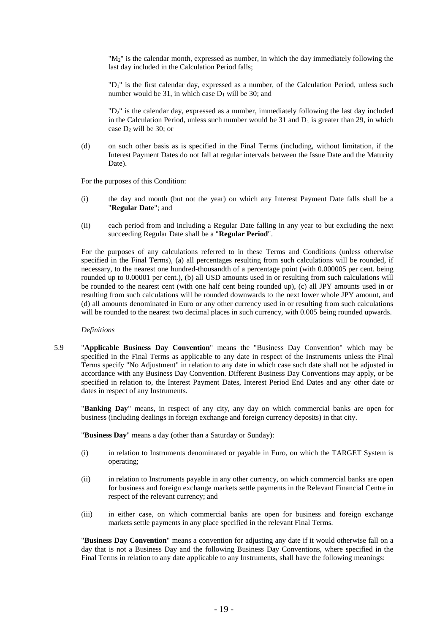"M2" is the calendar month, expressed as number, in which the day immediately following the last day included in the Calculation Period falls;

"D1" is the first calendar day, expressed as a number, of the Calculation Period, unless such number would be 31, in which case  $D_1$  will be 30; and

"D2" is the calendar day, expressed as a number, immediately following the last day included in the Calculation Period, unless such number would be 31 and  $D_1$  is greater than 29, in which case  $D_2$  will be 30; or

(d) on such other basis as is specified in the Final Terms (including, without limitation, if the Interest Payment Dates do not fall at regular intervals between the Issue Date and the Maturity Date).

For the purposes of this Condition:

- (i) the day and month (but not the year) on which any Interest Payment Date falls shall be a "**Regular Date**"; and
- (ii) each period from and including a Regular Date falling in any year to but excluding the next succeeding Regular Date shall be a "**Regular Period**".

For the purposes of any calculations referred to in these Terms and Conditions (unless otherwise specified in the Final Terms), (a) all percentages resulting from such calculations will be rounded, if necessary, to the nearest one hundred-thousandth of a percentage point (with 0.000005 per cent. being rounded up to 0.00001 per cent.), (b) all USD amounts used in or resulting from such calculations will be rounded to the nearest cent (with one half cent being rounded up), (c) all JPY amounts used in or resulting from such calculations will be rounded downwards to the next lower whole JPY amount, and (d) all amounts denominated in Euro or any other currency used in or resulting from such calculations will be rounded to the nearest two decimal places in such currency, with 0.005 being rounded upwards.

#### *Definitions*

5.9 "**Applicable Business Day Convention**" means the "Business Day Convention" which may be specified in the Final Terms as applicable to any date in respect of the Instruments unless the Final Terms specify "No Adjustment" in relation to any date in which case such date shall not be adjusted in accordance with any Business Day Convention. Different Business Day Conventions may apply, or be specified in relation to, the Interest Payment Dates, Interest Period End Dates and any other date or dates in respect of any Instruments.

"**Banking Day**" means, in respect of any city, any day on which commercial banks are open for business (including dealings in foreign exchange and foreign currency deposits) in that city.

"**Business Day**" means a day (other than a Saturday or Sunday):

- (i) in relation to Instruments denominated or payable in Euro, on which the TARGET System is operating;
- (ii) in relation to Instruments payable in any other currency, on which commercial banks are open for business and foreign exchange markets settle payments in the Relevant Financial Centre in respect of the relevant currency; and
- (iii) in either case, on which commercial banks are open for business and foreign exchange markets settle payments in any place specified in the relevant Final Terms.

"**Business Day Convention**" means a convention for adjusting any date if it would otherwise fall on a day that is not a Business Day and the following Business Day Conventions, where specified in the Final Terms in relation to any date applicable to any Instruments, shall have the following meanings: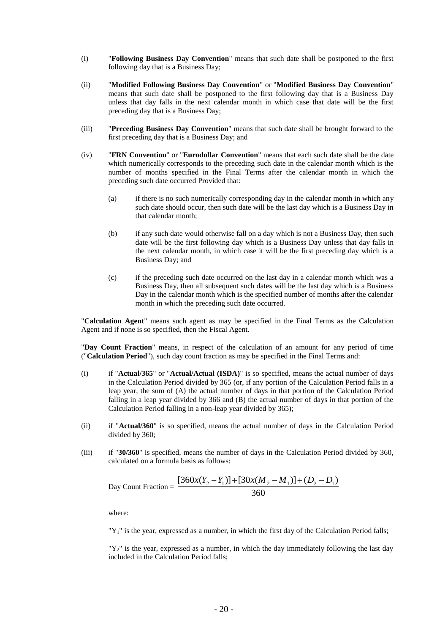- (i) "**Following Business Day Convention**" means that such date shall be postponed to the first following day that is a Business Day;
- (ii) "**Modified Following Business Day Convention**" or "**Modified Business Day Convention**" means that such date shall be postponed to the first following day that is a Business Day unless that day falls in the next calendar month in which case that date will be the first preceding day that is a Business Day;
- (iii) "**Preceding Business Day Convention**" means that such date shall be brought forward to the first preceding day that is a Business Day; and
- (iv) "**FRN Convention**" or "**Eurodollar Convention**" means that each such date shall be the date which numerically corresponds to the preceding such date in the calendar month which is the number of months specified in the Final Terms after the calendar month in which the preceding such date occurred Provided that:
	- (a) if there is no such numerically corresponding day in the calendar month in which any such date should occur, then such date will be the last day which is a Business Day in that calendar month;
	- (b) if any such date would otherwise fall on a day which is not a Business Day, then such date will be the first following day which is a Business Day unless that day falls in the next calendar month, in which case it will be the first preceding day which is a Business Day; and
	- (c) if the preceding such date occurred on the last day in a calendar month which was a Business Day, then all subsequent such dates will be the last day which is a Business Day in the calendar month which is the specified number of months after the calendar month in which the preceding such date occurred.

"**Calculation Agent**" means such agent as may be specified in the Final Terms as the Calculation Agent and if none is so specified, then the Fiscal Agent.

"**Day Count Fraction**" means, in respect of the calculation of an amount for any period of time ("**Calculation Period**"), such day count fraction as may be specified in the Final Terms and:

- (i) if "**Actual/365**" or "**Actual/Actual (ISDA)**" is so specified, means the actual number of days in the Calculation Period divided by 365 (or, if any portion of the Calculation Period falls in a leap year, the sum of (A) the actual number of days in that portion of the Calculation Period falling in a leap year divided by 366 and (B) the actual number of days in that portion of the Calculation Period falling in a non-leap year divided by 365);
- (ii) if "**Actual/360**" is so specified, means the actual number of days in the Calculation Period divided by 360;
- (iii) if "**30/360**" is specified, means the number of days in the Calculation Period divided by 360, calculated on a formula basis as follows:

Day Count Fraction = 
$$
\frac{[360x(Y_2 - Y_1)] + [30x(M_2 - M_1)] + (D_2 - D_1)}{360}
$$

where:

" $Y_1$ " is the year, expressed as a number, in which the first day of the Calculation Period falls;

 $T_{2}$ " is the year, expressed as a number, in which the day immediately following the last day included in the Calculation Period falls;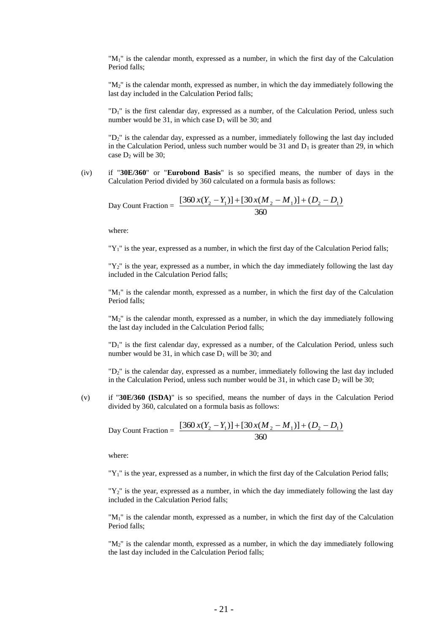"M1" is the calendar month, expressed as a number, in which the first day of the Calculation Period falls;

"M2" is the calendar month, expressed as number, in which the day immediately following the last day included in the Calculation Period falls;

"D1" is the first calendar day, expressed as a number, of the Calculation Period, unless such number would be 31, in which case  $D_1$  will be 30; and

"D<sub>2</sub>" is the calendar day, expressed as a number, immediately following the last day included in the Calculation Period, unless such number would be 31 and  $D_1$  is greater than 29, in which case  $D_2$  will be 30;

(iv) if "**30E/360**" or "**Eurobond Basis**" is so specified means, the number of days in the Calculation Period divided by 360 calculated on a formula basis as follows:

Day Count Fraction = 
$$
\frac{[360 x(Y_2 - Y_1)] + [30 x(M_2 - M_1)] + (D_2 - D_1)}{360}
$$

where:

" $Y_1$ " is the year, expressed as a number, in which the first day of the Calculation Period falls;

 $T_{2}$ " is the year, expressed as a number, in which the day immediately following the last day included in the Calculation Period falls;

"M1" is the calendar month, expressed as a number, in which the first day of the Calculation Period falls;

"M<sub>2</sub>" is the calendar month, expressed as a number, in which the day immediately following the last day included in the Calculation Period falls;

"D1" is the first calendar day, expressed as a number, of the Calculation Period, unless such number would be 31, in which case  $D_1$  will be 30; and

"D2" is the calendar day, expressed as a number, immediately following the last day included in the Calculation Period, unless such number would be 31, in which case  $D_2$  will be 30;

(v) if "**30E/360 (ISDA)**" is so specified, means the number of days in the Calculation Period divided by 360, calculated on a formula basis as follows:

Day Count Fraction = 
$$
\frac{[360 x(Y_2 - Y_1)] + [30 x(M_2 - M_1)] + (D_2 - D_1)}{360}
$$

where:

"Y<sub>1</sub>" is the year, expressed as a number, in which the first day of the Calculation Period falls;

 $T_2$ " is the year, expressed as a number, in which the day immediately following the last day included in the Calculation Period falls;

"M1" is the calendar month, expressed as a number, in which the first day of the Calculation Period falls;

"M2" is the calendar month, expressed as a number, in which the day immediately following the last day included in the Calculation Period falls;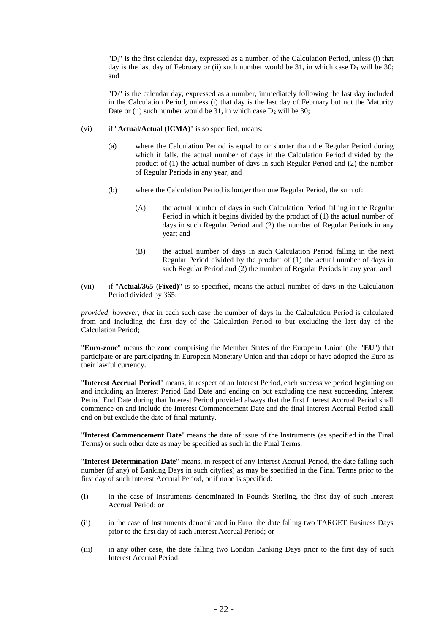"D1" is the first calendar day, expressed as a number, of the Calculation Period, unless (i) that day is the last day of February or (ii) such number would be 31, in which case  $D_1$  will be 30; and

"D2" is the calendar day, expressed as a number, immediately following the last day included in the Calculation Period, unless (i) that day is the last day of February but not the Maturity Date or (ii) such number would be 31, in which case  $D_2$  will be 30;

- (vi) if "**Actual/Actual (ICMA)**" is so specified, means:
	- (a) where the Calculation Period is equal to or shorter than the Regular Period during which it falls, the actual number of days in the Calculation Period divided by the product of (1) the actual number of days in such Regular Period and (2) the number of Regular Periods in any year; and
	- (b) where the Calculation Period is longer than one Regular Period, the sum of:
		- (A) the actual number of days in such Calculation Period falling in the Regular Period in which it begins divided by the product of (1) the actual number of days in such Regular Period and (2) the number of Regular Periods in any year; and
		- (B) the actual number of days in such Calculation Period falling in the next Regular Period divided by the product of (1) the actual number of days in such Regular Period and (2) the number of Regular Periods in any year; and
- (vii) if "**Actual/365 (Fixed)**" is so specified, means the actual number of days in the Calculation Period divided by 365;

*provided, however, that* in each such case the number of days in the Calculation Period is calculated from and including the first day of the Calculation Period to but excluding the last day of the Calculation Period;

"**Euro-zone**" means the zone comprising the Member States of the European Union (the "**EU**") that participate or are participating in European Monetary Union and that adopt or have adopted the Euro as their lawful currency.

"**Interest Accrual Period**" means, in respect of an Interest Period, each successive period beginning on and including an Interest Period End Date and ending on but excluding the next succeeding Interest Period End Date during that Interest Period provided always that the first Interest Accrual Period shall commence on and include the Interest Commencement Date and the final Interest Accrual Period shall end on but exclude the date of final maturity.

"**Interest Commencement Date**" means the date of issue of the Instruments (as specified in the Final Terms) or such other date as may be specified as such in the Final Terms.

"**Interest Determination Date**" means, in respect of any Interest Accrual Period, the date falling such number (if any) of Banking Days in such city(ies) as may be specified in the Final Terms prior to the first day of such Interest Accrual Period, or if none is specified:

- (i) in the case of Instruments denominated in Pounds Sterling, the first day of such Interest Accrual Period; or
- (ii) in the case of Instruments denominated in Euro, the date falling two TARGET Business Days prior to the first day of such Interest Accrual Period; or
- (iii) in any other case, the date falling two London Banking Days prior to the first day of such Interest Accrual Period.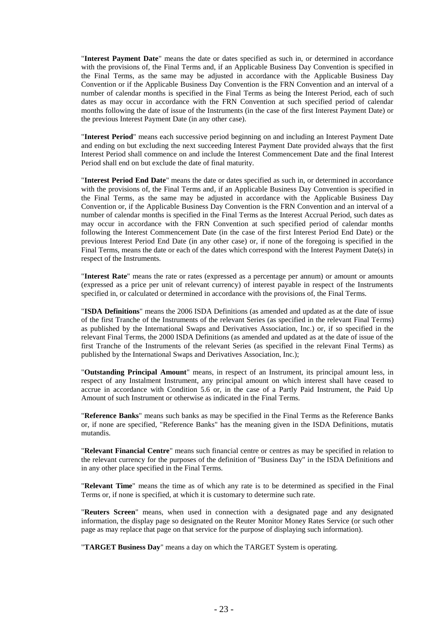"**Interest Payment Date**" means the date or dates specified as such in, or determined in accordance with the provisions of, the Final Terms and, if an Applicable Business Day Convention is specified in the Final Terms, as the same may be adjusted in accordance with the Applicable Business Day Convention or if the Applicable Business Day Convention is the FRN Convention and an interval of a number of calendar months is specified in the Final Terms as being the Interest Period, each of such dates as may occur in accordance with the FRN Convention at such specified period of calendar months following the date of issue of the Instruments (in the case of the first Interest Payment Date) or the previous Interest Payment Date (in any other case).

"**Interest Period**" means each successive period beginning on and including an Interest Payment Date and ending on but excluding the next succeeding Interest Payment Date provided always that the first Interest Period shall commence on and include the Interest Commencement Date and the final Interest Period shall end on but exclude the date of final maturity.

"**Interest Period End Date**" means the date or dates specified as such in, or determined in accordance with the provisions of, the Final Terms and, if an Applicable Business Day Convention is specified in the Final Terms, as the same may be adjusted in accordance with the Applicable Business Day Convention or, if the Applicable Business Day Convention is the FRN Convention and an interval of a number of calendar months is specified in the Final Terms as the Interest Accrual Period, such dates as may occur in accordance with the FRN Convention at such specified period of calendar months following the Interest Commencement Date (in the case of the first Interest Period End Date) or the previous Interest Period End Date (in any other case) or, if none of the foregoing is specified in the Final Terms, means the date or each of the dates which correspond with the Interest Payment Date(s) in respect of the Instruments.

"**Interest Rate**" means the rate or rates (expressed as a percentage per annum) or amount or amounts (expressed as a price per unit of relevant currency) of interest payable in respect of the Instruments specified in, or calculated or determined in accordance with the provisions of, the Final Terms.

"**ISDA Definitions**" means the 2006 ISDA Definitions (as amended and updated as at the date of issue of the first Tranche of the Instruments of the relevant Series (as specified in the relevant Final Terms) as published by the International Swaps and Derivatives Association, Inc.) or, if so specified in the relevant Final Terms, the 2000 ISDA Definitions (as amended and updated as at the date of issue of the first Tranche of the Instruments of the relevant Series (as specified in the relevant Final Terms) as published by the International Swaps and Derivatives Association, Inc.);

"**Outstanding Principal Amount**" means, in respect of an Instrument, its principal amount less, in respect of any Instalment Instrument, any principal amount on which interest shall have ceased to accrue in accordance with Condition 5.6 or, in the case of a Partly Paid Instrument, the Paid Up Amount of such Instrument or otherwise as indicated in the Final Terms.

"**Reference Banks**" means such banks as may be specified in the Final Terms as the Reference Banks or, if none are specified, "Reference Banks" has the meaning given in the ISDA Definitions, mutatis mutandis.

"**Relevant Financial Centre**" means such financial centre or centres as may be specified in relation to the relevant currency for the purposes of the definition of "Business Day" in the ISDA Definitions and in any other place specified in the Final Terms.

"**Relevant Time**" means the time as of which any rate is to be determined as specified in the Final Terms or, if none is specified, at which it is customary to determine such rate.

"**Reuters Screen**" means, when used in connection with a designated page and any designated information, the display page so designated on the Reuter Monitor Money Rates Service (or such other page as may replace that page on that service for the purpose of displaying such information).

"**TARGET Business Day**" means a day on which the TARGET System is operating.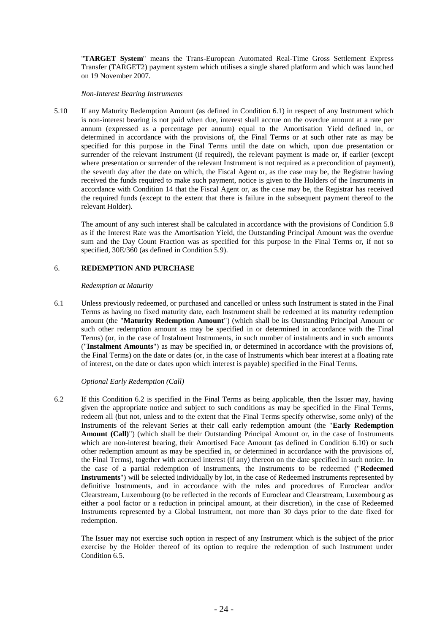"**TARGET System**" means the Trans-European Automated Real-Time Gross Settlement Express Transfer (TARGET2) payment system which utilises a single shared platform and which was launched on 19 November 2007.

#### *Non-Interest Bearing Instruments*

5.10 If any Maturity Redemption Amount (as defined in Condition 6.1) in respect of any Instrument which is non-interest bearing is not paid when due, interest shall accrue on the overdue amount at a rate per annum (expressed as a percentage per annum) equal to the Amortisation Yield defined in, or determined in accordance with the provisions of, the Final Terms or at such other rate as may be specified for this purpose in the Final Terms until the date on which, upon due presentation or surrender of the relevant Instrument (if required), the relevant payment is made or, if earlier (except where presentation or surrender of the relevant Instrument is not required as a precondition of payment), the seventh day after the date on which, the Fiscal Agent or, as the case may be, the Registrar having received the funds required to make such payment, notice is given to the Holders of the Instruments in accordance with Condition 14 that the Fiscal Agent or, as the case may be, the Registrar has received the required funds (except to the extent that there is failure in the subsequent payment thereof to the relevant Holder).

The amount of any such interest shall be calculated in accordance with the provisions of Condition 5.8 as if the Interest Rate was the Amortisation Yield, the Outstanding Principal Amount was the overdue sum and the Day Count Fraction was as specified for this purpose in the Final Terms or, if not so specified, 30E/360 (as defined in Condition 5.9).

#### 6. **REDEMPTION AND PURCHASE**

#### *Redemption at Maturity*

6.1 Unless previously redeemed, or purchased and cancelled or unless such Instrument is stated in the Final Terms as having no fixed maturity date, each Instrument shall be redeemed at its maturity redemption amount (the "**Maturity Redemption Amount**") (which shall be its Outstanding Principal Amount or such other redemption amount as may be specified in or determined in accordance with the Final Terms) (or, in the case of Instalment Instruments, in such number of instalments and in such amounts ("**Instalment Amounts**") as may be specified in, or determined in accordance with the provisions of, the Final Terms) on the date or dates (or, in the case of Instruments which bear interest at a floating rate of interest, on the date or dates upon which interest is payable) specified in the Final Terms.

#### *Optional Early Redemption (Call)*

6.2 If this Condition 6.2 is specified in the Final Terms as being applicable, then the Issuer may, having given the appropriate notice and subject to such conditions as may be specified in the Final Terms, redeem all (but not, unless and to the extent that the Final Terms specify otherwise, some only) of the Instruments of the relevant Series at their call early redemption amount (the "**Early Redemption Amount (Call)**") (which shall be their Outstanding Principal Amount or, in the case of Instruments which are non-interest bearing, their Amortised Face Amount (as defined in Condition 6.10) or such other redemption amount as may be specified in, or determined in accordance with the provisions of, the Final Terms), together with accrued interest (if any) thereon on the date specified in such notice. In the case of a partial redemption of Instruments, the Instruments to be redeemed ("**Redeemed Instruments**") will be selected individually by lot, in the case of Redeemed Instruments represented by definitive Instruments, and in accordance with the rules and procedures of Euroclear and/or Clearstream, Luxembourg (to be reflected in the records of Euroclear and Clearstream, Luxembourg as either a pool factor or a reduction in principal amount, at their discretion), in the case of Redeemed Instruments represented by a Global Instrument, not more than 30 days prior to the date fixed for redemption.

The Issuer may not exercise such option in respect of any Instrument which is the subject of the prior exercise by the Holder thereof of its option to require the redemption of such Instrument under Condition 6.5.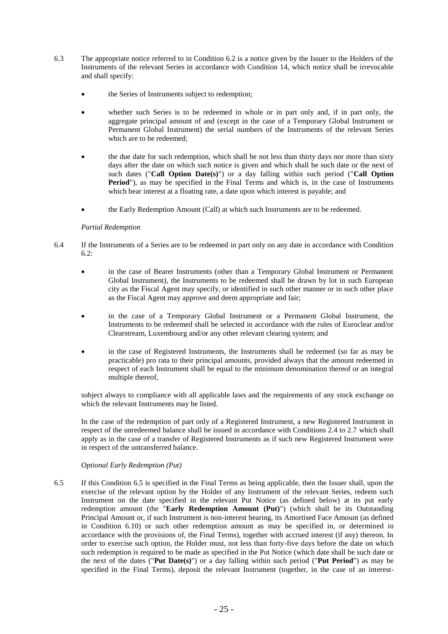- 6.3 The appropriate notice referred to in Condition 6.2 is a notice given by the Issuer to the Holders of the Instruments of the relevant Series in accordance with Condition 14, which notice shall be irrevocable and shall specify:
	- the Series of Instruments subject to redemption;
	- whether such Series is to be redeemed in whole or in part only and, if in part only, the aggregate principal amount of and (except in the case of a Temporary Global Instrument or Permanent Global Instrument) the serial numbers of the Instruments of the relevant Series which are to be redeemed:
	- the due date for such redemption, which shall be not less than thirty days nor more than sixty days after the date on which such notice is given and which shall be such date or the next of such dates ("**Call Option Date(s)**") or a day falling within such period ("**Call Option**  Period"), as may be specified in the Final Terms and which is, in the case of Instruments which bear interest at a floating rate, a date upon which interest is payable; and
	- the Early Redemption Amount (Call) at which such Instruments are to be redeemed.

#### *Partial Redemption*

- 6.4 If the Instruments of a Series are to be redeemed in part only on any date in accordance with Condition 6.2:
	- in the case of Bearer Instruments (other than a Temporary Global Instrument or Permanent Global Instrument), the Instruments to be redeemed shall be drawn by lot in such European city as the Fiscal Agent may specify, or identified in such other manner or in such other place as the Fiscal Agent may approve and deem appropriate and fair;
	- in the case of a Temporary Global Instrument or a Permanent Global Instrument, the Instruments to be redeemed shall be selected in accordance with the rules of Euroclear and/or Clearstream, Luxembourg and/or any other relevant clearing system; and
	- in the case of Registered Instruments, the Instruments shall be redeemed (so far as may be practicable) pro rata to their principal amounts, provided always that the amount redeemed in respect of each Instrument shall be equal to the minimum denomination thereof or an integral multiple thereof,

subject always to compliance with all applicable laws and the requirements of any stock exchange on which the relevant Instruments may be listed.

In the case of the redemption of part only of a Registered Instrument, a new Registered Instrument in respect of the unredeemed balance shall be issued in accordance with Conditions 2.4 to 2.7 which shall apply as in the case of a transfer of Registered Instruments as if such new Registered Instrument were in respect of the untransferred balance.

#### *Optional Early Redemption (Put)*

6.5 If this Condition 6.5 is specified in the Final Terms as being applicable, then the Issuer shall, upon the exercise of the relevant option by the Holder of any Instrument of the relevant Series, redeem such Instrument on the date specified in the relevant Put Notice (as defined below) at its put early redemption amount (the "**Early Redemption Amount (Put)**") (which shall be its Outstanding Principal Amount or, if such Instrument is non-interest bearing, its Amortised Face Amount (as defined in Condition 6.10) or such other redemption amount as may be specified in, or determined in accordance with the provisions of, the Final Terms), together with accrued interest (if any) thereon. In order to exercise such option, the Holder must, not less than forty-five days before the date on which such redemption is required to be made as specified in the Put Notice (which date shall be such date or the next of the dates ("**Put Date(s)**") or a day falling within such period ("**Put Period**") as may be specified in the Final Terms), deposit the relevant Instrument (together, in the case of an interest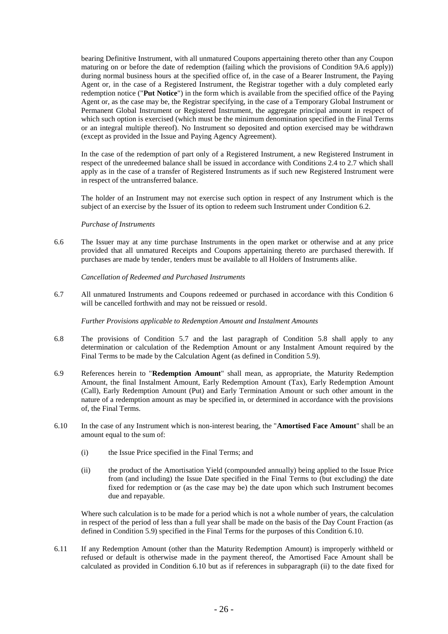bearing Definitive Instrument, with all unmatured Coupons appertaining thereto other than any Coupon maturing on or before the date of redemption (failing which the provisions of Condition 9A.6 apply)) during normal business hours at the specified office of, in the case of a Bearer Instrument, the Paying Agent or, in the case of a Registered Instrument, the Registrar together with a duly completed early redemption notice ("**Put Notice**") in the form which is available from the specified office of the Paying Agent or, as the case may be, the Registrar specifying, in the case of a Temporary Global Instrument or Permanent Global Instrument or Registered Instrument, the aggregate principal amount in respect of which such option is exercised (which must be the minimum denomination specified in the Final Terms or an integral multiple thereof). No Instrument so deposited and option exercised may be withdrawn (except as provided in the Issue and Paying Agency Agreement).

In the case of the redemption of part only of a Registered Instrument, a new Registered Instrument in respect of the unredeemed balance shall be issued in accordance with Conditions 2.4 to 2.7 which shall apply as in the case of a transfer of Registered Instruments as if such new Registered Instrument were in respect of the untransferred balance.

The holder of an Instrument may not exercise such option in respect of any Instrument which is the subject of an exercise by the Issuer of its option to redeem such Instrument under Condition 6.2.

#### *Purchase of Instruments*

6.6 The Issuer may at any time purchase Instruments in the open market or otherwise and at any price provided that all unmatured Receipts and Coupons appertaining thereto are purchased therewith. If purchases are made by tender, tenders must be available to all Holders of Instruments alike.

*Cancellation of Redeemed and Purchased Instruments*

6.7 All unmatured Instruments and Coupons redeemed or purchased in accordance with this Condition 6 will be cancelled forthwith and may not be reissued or resold.

*Further Provisions applicable to Redemption Amount and Instalment Amounts*

- 6.8 The provisions of Condition 5.7 and the last paragraph of Condition 5.8 shall apply to any determination or calculation of the Redemption Amount or any Instalment Amount required by the Final Terms to be made by the Calculation Agent (as defined in Condition 5.9).
- 6.9 References herein to "**Redemption Amount**" shall mean, as appropriate, the Maturity Redemption Amount, the final Instalment Amount, Early Redemption Amount (Tax), Early Redemption Amount (Call), Early Redemption Amount (Put) and Early Termination Amount or such other amount in the nature of a redemption amount as may be specified in, or determined in accordance with the provisions of, the Final Terms.
- 6.10 In the case of any Instrument which is non-interest bearing, the "**Amortised Face Amount**" shall be an amount equal to the sum of:
	- (i) the Issue Price specified in the Final Terms; and
	- (ii) the product of the Amortisation Yield (compounded annually) being applied to the Issue Price from (and including) the Issue Date specified in the Final Terms to (but excluding) the date fixed for redemption or (as the case may be) the date upon which such Instrument becomes due and repayable.

Where such calculation is to be made for a period which is not a whole number of years, the calculation in respect of the period of less than a full year shall be made on the basis of the Day Count Fraction (as defined in Condition 5.9) specified in the Final Terms for the purposes of this Condition 6.10.

6.11 If any Redemption Amount (other than the Maturity Redemption Amount) is improperly withheld or refused or default is otherwise made in the payment thereof, the Amortised Face Amount shall be calculated as provided in Condition 6.10 but as if references in subparagraph (ii) to the date fixed for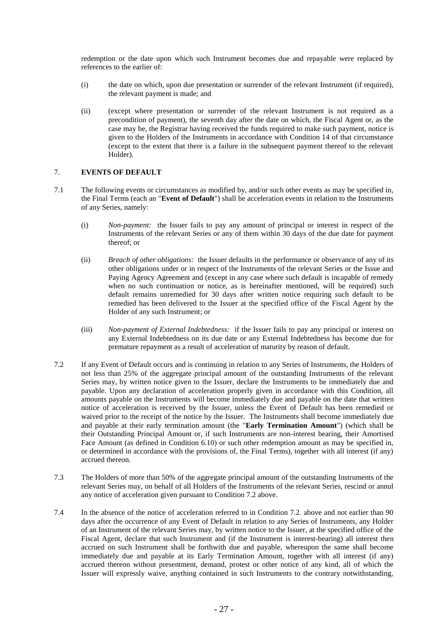redemption or the date upon which such Instrument becomes due and repayable were replaced by references to the earlier of:

- (i) the date on which, upon due presentation or surrender of the relevant Instrument (if required), the relevant payment is made; and
- (ii) (except where presentation or surrender of the relevant Instrument is not required as a precondition of payment), the seventh day after the date on which, the Fiscal Agent or, as the case may be, the Registrar having received the funds required to make such payment, notice is given to the Holders of the Instruments in accordance with Condition 14 of that circumstance (except to the extent that there is a failure in the subsequent payment thereof to the relevant Holder).

#### 7. **EVENTS OF DEFAULT**

- 7.1 The following events or circumstances as modified by, and/or such other events as may be specified in, the Final Terms (each an "**Event of Default**") shall be acceleration events in relation to the Instruments of any Series, namely:
	- (i) *Non-payment:* the Issuer fails to pay any amount of principal or interest in respect of the Instruments of the relevant Series or any of them within 30 days of the due date for payment thereof; or
	- (ii) *Breach of other obligations:* the Issuer defaults in the performance or observance of any of its other obligations under or in respect of the Instruments of the relevant Series or the Issue and Paying Agency Agreement and (except in any case where such default is incapable of remedy when no such continuation or notice, as is hereinafter mentioned, will be required) such default remains unremedied for 30 days after written notice requiring such default to be remedied has been delivered to the Issuer at the specified office of the Fiscal Agent by the Holder of any such Instrument; or
	- (iii) *Non-payment of External Indebtedness:* if the Issuer fails to pay any principal or interest on any External Indebtedness on its due date or any External Indebtedness has become due for premature repayment as a result of acceleration of maturity by reason of default.
- 7.2 If any Event of Default occurs and is continuing in relation to any Series of Instruments, the Holders of not less than 25% of the aggregate principal amount of the outstanding Instruments of the relevant Series may, by written notice given to the Issuer, declare the Instruments to be immediately due and payable. Upon any declaration of acceleration properly given in accordance with this Condition, all amounts payable on the Instruments will become immediately due and payable on the date that written notice of acceleration is received by the Issuer, unless the Event of Default has been remedied or waived prior to the receipt of the notice by the Issuer. The Instruments shall become immediately due and payable at their early termination amount (the "**Early Termination Amount**") (which shall be their Outstanding Principal Amount or, if such Instruments are non-interest bearing, their Amortised Face Amount (as defined in Condition 6.10) or such other redemption amount as may be specified in, or determined in accordance with the provisions of, the Final Terms), together with all interest (if any) accrued thereon.
- 7.3 The Holders of more than 50% of the aggregate principal amount of the outstanding Instruments of the relevant Series may, on behalf of all Holders of the Instruments of the relevant Series, rescind or annul any notice of acceleration given pursuant to Condition 7.2 above.
- 7.4 In the absence of the notice of acceleration referred to in Condition 7.2. above and not earlier than 90 days after the occurrence of any Event of Default in relation to any Series of Instruments, any Holder of an Instrument of the relevant Series may, by written notice to the Issuer, at the specified office of the Fiscal Agent, declare that such Instrument and (if the Instrument is interest-bearing) all interest then accrued on such Instrument shall be forthwith due and payable, whereupon the same shall become immediately due and payable at its Early Termination Amount, together with all interest (if any) accrued thereon without presentment, demand, protest or other notice of any kind, all of which the Issuer will expressly waive, anything contained in such Instruments to the contrary notwithstanding,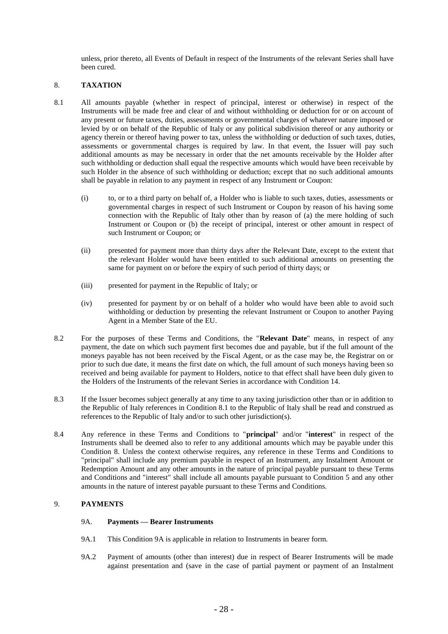unless, prior thereto, all Events of Default in respect of the Instruments of the relevant Series shall have been cured.

#### 8. **TAXATION**

- 8.1 All amounts payable (whether in respect of principal, interest or otherwise) in respect of the Instruments will be made free and clear of and without withholding or deduction for or on account of any present or future taxes, duties, assessments or governmental charges of whatever nature imposed or levied by or on behalf of the Republic of Italy or any political subdivision thereof or any authority or agency therein or thereof having power to tax, unless the withholding or deduction of such taxes, duties, assessments or governmental charges is required by law. In that event, the Issuer will pay such additional amounts as may be necessary in order that the net amounts receivable by the Holder after such withholding or deduction shall equal the respective amounts which would have been receivable by such Holder in the absence of such withholding or deduction; except that no such additional amounts shall be payable in relation to any payment in respect of any Instrument or Coupon:
	- (i) to, or to a third party on behalf of, a Holder who is liable to such taxes, duties, assessments or governmental charges in respect of such Instrument or Coupon by reason of his having some connection with the Republic of Italy other than by reason of (a) the mere holding of such Instrument or Coupon or (b) the receipt of principal, interest or other amount in respect of such Instrument or Coupon; or
	- (ii) presented for payment more than thirty days after the Relevant Date, except to the extent that the relevant Holder would have been entitled to such additional amounts on presenting the same for payment on or before the expiry of such period of thirty days; or
	- (iii) presented for payment in the Republic of Italy; or
	- (iv) presented for payment by or on behalf of a holder who would have been able to avoid such withholding or deduction by presenting the relevant Instrument or Coupon to another Paying Agent in a Member State of the EU.
- 8.2 For the purposes of these Terms and Conditions, the "**Relevant Date**" means, in respect of any payment, the date on which such payment first becomes due and payable, but if the full amount of the moneys payable has not been received by the Fiscal Agent, or as the case may be, the Registrar on or prior to such due date, it means the first date on which, the full amount of such moneys having been so received and being available for payment to Holders, notice to that effect shall have been duly given to the Holders of the Instruments of the relevant Series in accordance with Condition 14.
- 8.3 If the Issuer becomes subject generally at any time to any taxing jurisdiction other than or in addition to the Republic of Italy references in Condition 8.1 to the Republic of Italy shall be read and construed as references to the Republic of Italy and/or to such other jurisdiction(s).
- 8.4 Any reference in these Terms and Conditions to "**principal**" and/or "**interest**" in respect of the Instruments shall be deemed also to refer to any additional amounts which may be payable under this Condition 8. Unless the context otherwise requires, any reference in these Terms and Conditions to "principal" shall include any premium payable in respect of an Instrument, any Instalment Amount or Redemption Amount and any other amounts in the nature of principal payable pursuant to these Terms and Conditions and "interest" shall include all amounts payable pursuant to Condition 5 and any other amounts in the nature of interest payable pursuant to these Terms and Conditions.

#### 9. **PAYMENTS**

#### 9A. **Payments — Bearer Instruments**

- 9A.1 This Condition 9A is applicable in relation to Instruments in bearer form.
- 9A.2 Payment of amounts (other than interest) due in respect of Bearer Instruments will be made against presentation and (save in the case of partial payment or payment of an Instalment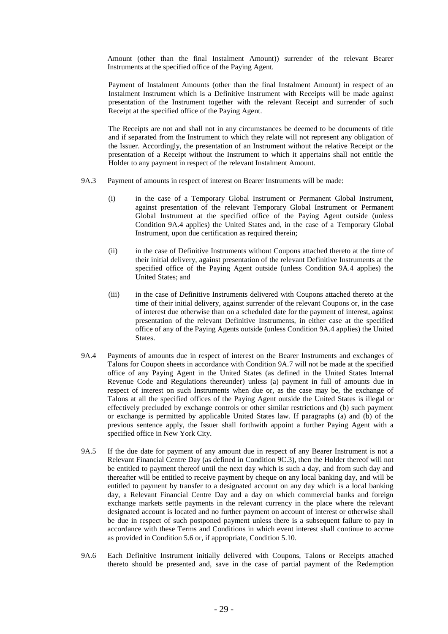Amount (other than the final Instalment Amount)) surrender of the relevant Bearer Instruments at the specified office of the Paying Agent.

Payment of Instalment Amounts (other than the final Instalment Amount) in respect of an Instalment Instrument which is a Definitive Instrument with Receipts will be made against presentation of the Instrument together with the relevant Receipt and surrender of such Receipt at the specified office of the Paying Agent.

The Receipts are not and shall not in any circumstances be deemed to be documents of title and if separated from the Instrument to which they relate will not represent any obligation of the Issuer. Accordingly, the presentation of an Instrument without the relative Receipt or the presentation of a Receipt without the Instrument to which it appertains shall not entitle the Holder to any payment in respect of the relevant Instalment Amount.

- 9A.3 Payment of amounts in respect of interest on Bearer Instruments will be made:
	- (i) in the case of a Temporary Global Instrument or Permanent Global Instrument, against presentation of the relevant Temporary Global Instrument or Permanent Global Instrument at the specified office of the Paying Agent outside (unless Condition 9A.4 applies) the United States and, in the case of a Temporary Global Instrument, upon due certification as required therein;
	- (ii) in the case of Definitive Instruments without Coupons attached thereto at the time of their initial delivery, against presentation of the relevant Definitive Instruments at the specified office of the Paying Agent outside (unless Condition 9A.4 applies) the United States; and
	- (iii) in the case of Definitive Instruments delivered with Coupons attached thereto at the time of their initial delivery, against surrender of the relevant Coupons or, in the case of interest due otherwise than on a scheduled date for the payment of interest, against presentation of the relevant Definitive Instruments, in either case at the specified office of any of the Paying Agents outside (unless Condition 9A.4 applies) the United States.
- 9A.4 Payments of amounts due in respect of interest on the Bearer Instruments and exchanges of Talons for Coupon sheets in accordance with Condition 9A.7 will not be made at the specified office of any Paying Agent in the United States (as defined in the United States Internal Revenue Code and Regulations thereunder) unless (a) payment in full of amounts due in respect of interest on such Instruments when due or, as the case may be, the exchange of Talons at all the specified offices of the Paying Agent outside the United States is illegal or effectively precluded by exchange controls or other similar restrictions and (b) such payment or exchange is permitted by applicable United States law. If paragraphs (a) and (b) of the previous sentence apply, the Issuer shall forthwith appoint a further Paying Agent with a specified office in New York City.
- 9A.5 If the due date for payment of any amount due in respect of any Bearer Instrument is not a Relevant Financial Centre Day (as defined in Condition 9C.3), then the Holder thereof will not be entitled to payment thereof until the next day which is such a day, and from such day and thereafter will be entitled to receive payment by cheque on any local banking day, and will be entitled to payment by transfer to a designated account on any day which is a local banking day, a Relevant Financial Centre Day and a day on which commercial banks and foreign exchange markets settle payments in the relevant currency in the place where the relevant designated account is located and no further payment on account of interest or otherwise shall be due in respect of such postponed payment unless there is a subsequent failure to pay in accordance with these Terms and Conditions in which event interest shall continue to accrue as provided in Condition 5.6 or, if appropriate, Condition 5.10.
- 9A.6 Each Definitive Instrument initially delivered with Coupons, Talons or Receipts attached thereto should be presented and, save in the case of partial payment of the Redemption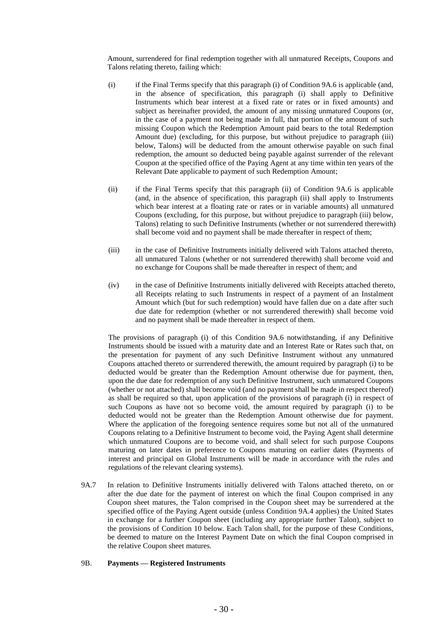Amount, surrendered for final redemption together with all unmatured Receipts, Coupons and Talons relating thereto, failing which:

- (i) if the Final Terms specify that this paragraph (i) of Condition 9A.6 is applicable (and, in the absence of specification, this paragraph (i) shall apply to Definitive Instruments which bear interest at a fixed rate or rates or in fixed amounts) and subject as hereinafter provided, the amount of any missing unmatured Coupons (or, in the case of a payment not being made in full, that portion of the amount of such missing Coupon which the Redemption Amount paid bears to the total Redemption Amount due) (excluding, for this purpose, but without prejudice to paragraph (iii) below, Talons) will be deducted from the amount otherwise payable on such final redemption, the amount so deducted being payable against surrender of the relevant Coupon at the specified office of the Paying Agent at any time within ten years of the Relevant Date applicable to payment of such Redemption Amount;
- (ii) if the Final Terms specify that this paragraph (ii) of Condition 9A.6 is applicable (and, in the absence of specification, this paragraph (ii) shall apply to Instruments which bear interest at a floating rate or rates or in variable amounts) all unmatured Coupons (excluding, for this purpose, but without prejudice to paragraph (iii) below, Talons) relating to such Definitive Instruments (whether or not surrendered therewith) shall become void and no payment shall be made thereafter in respect of them;
- (iii) in the case of Definitive Instruments initially delivered with Talons attached thereto, all unmatured Talons (whether or not surrendered therewith) shall become void and no exchange for Coupons shall be made thereafter in respect of them; and
- (iv) in the case of Definitive Instruments initially delivered with Receipts attached thereto, all Receipts relating to such Instruments in respect of a payment of an Instalment Amount which (but for such redemption) would have fallen due on a date after such due date for redemption (whether or not surrendered therewith) shall become void and no payment shall be made thereafter in respect of them.

The provisions of paragraph (i) of this Condition 9A.6 notwithstanding, if any Definitive Instruments should be issued with a maturity date and an Interest Rate or Rates such that, on the presentation for payment of any such Definitive Instrument without any unmatured Coupons attached thereto or surrendered therewith, the amount required by paragraph (i) to be deducted would be greater than the Redemption Amount otherwise due for payment, then, upon the due date for redemption of any such Definitive Instrument, such unmatured Coupons (whether or not attached) shall become void (and no payment shall be made in respect thereof) as shall be required so that, upon application of the provisions of paragraph (i) in respect of such Coupons as have not so become void, the amount required by paragraph (i) to be deducted would not be greater than the Redemption Amount otherwise due for payment. Where the application of the foregoing sentence requires some but not all of the unmatured Coupons relating to a Definitive Instrument to become void, the Paying Agent shall determine which unmatured Coupons are to become void, and shall select for such purpose Coupons maturing on later dates in preference to Coupons maturing on earlier dates (Payments of interest and principal on Global Instruments will be made in accordance with the rules and regulations of the relevant clearing systems).

9A.7 In relation to Definitive Instruments initially delivered with Talons attached thereto, on or after the due date for the payment of interest on which the final Coupon comprised in any Coupon sheet matures, the Talon comprised in the Coupon sheet may be surrendered at the specified office of the Paying Agent outside (unless Condition 9A.4 applies) the United States in exchange for a further Coupon sheet (including any appropriate further Talon), subject to the provisions of Condition 10 below. Each Talon shall, for the purpose of these Conditions, be deemed to mature on the Interest Payment Date on which the final Coupon comprised in the relative Coupon sheet matures.

#### 9B. **Payments — Registered Instruments**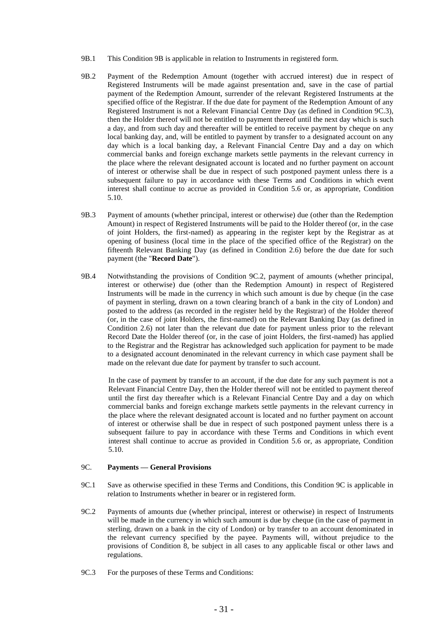- 9B.1 This Condition 9B is applicable in relation to Instruments in registered form.
- 9B.2 Payment of the Redemption Amount (together with accrued interest) due in respect of Registered Instruments will be made against presentation and, save in the case of partial payment of the Redemption Amount, surrender of the relevant Registered Instruments at the specified office of the Registrar. If the due date for payment of the Redemption Amount of any Registered Instrument is not a Relevant Financial Centre Day (as defined in Condition 9C.3), then the Holder thereof will not be entitled to payment thereof until the next day which is such a day, and from such day and thereafter will be entitled to receive payment by cheque on any local banking day, and, will be entitled to payment by transfer to a designated account on any day which is a local banking day, a Relevant Financial Centre Day and a day on which commercial banks and foreign exchange markets settle payments in the relevant currency in the place where the relevant designated account is located and no further payment on account of interest or otherwise shall be due in respect of such postponed payment unless there is a subsequent failure to pay in accordance with these Terms and Conditions in which event interest shall continue to accrue as provided in Condition 5.6 or, as appropriate, Condition 5.10.
- 9B.3 Payment of amounts (whether principal, interest or otherwise) due (other than the Redemption Amount) in respect of Registered Instruments will be paid to the Holder thereof (or, in the case of joint Holders, the first-named) as appearing in the register kept by the Registrar as at opening of business (local time in the place of the specified office of the Registrar) on the fifteenth Relevant Banking Day (as defined in Condition 2.6) before the due date for such payment (the "**Record Date**").
- 9B.4 Notwithstanding the provisions of Condition 9C.2, payment of amounts (whether principal, interest or otherwise) due (other than the Redemption Amount) in respect of Registered Instruments will be made in the currency in which such amount is due by cheque (in the case of payment in sterling, drawn on a town clearing branch of a bank in the city of London) and posted to the address (as recorded in the register held by the Registrar) of the Holder thereof (or, in the case of joint Holders, the first-named) on the Relevant Banking Day (as defined in Condition 2.6) not later than the relevant due date for payment unless prior to the relevant Record Date the Holder thereof (or, in the case of joint Holders, the first-named) has applied to the Registrar and the Registrar has acknowledged such application for payment to be made to a designated account denominated in the relevant currency in which case payment shall be made on the relevant due date for payment by transfer to such account.

In the case of payment by transfer to an account, if the due date for any such payment is not a Relevant Financial Centre Day, then the Holder thereof will not be entitled to payment thereof until the first day thereafter which is a Relevant Financial Centre Day and a day on which commercial banks and foreign exchange markets settle payments in the relevant currency in the place where the relevant designated account is located and no further payment on account of interest or otherwise shall be due in respect of such postponed payment unless there is a subsequent failure to pay in accordance with these Terms and Conditions in which event interest shall continue to accrue as provided in Condition 5.6 or, as appropriate, Condition 5.10.

#### 9C. **Payments — General Provisions**

- 9C.1 Save as otherwise specified in these Terms and Conditions, this Condition 9C is applicable in relation to Instruments whether in bearer or in registered form.
- 9C.2 Payments of amounts due (whether principal, interest or otherwise) in respect of Instruments will be made in the currency in which such amount is due by cheque (in the case of payment in sterling, drawn on a bank in the city of London) or by transfer to an account denominated in the relevant currency specified by the payee. Payments will, without prejudice to the provisions of Condition 8, be subject in all cases to any applicable fiscal or other laws and regulations.
- 9C.3 For the purposes of these Terms and Conditions: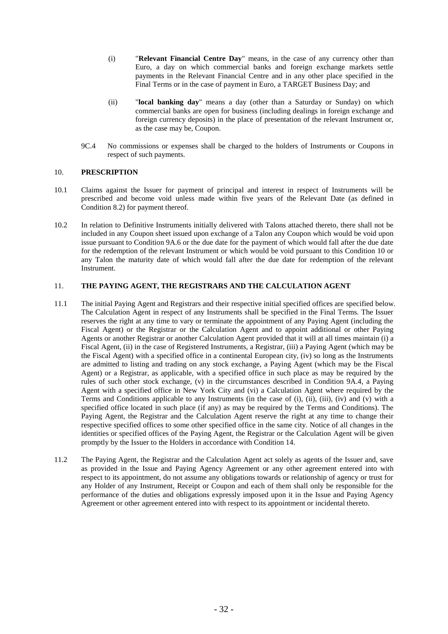- (i) "**Relevant Financial Centre Day**" means, in the case of any currency other than Euro, a day on which commercial banks and foreign exchange markets settle payments in the Relevant Financial Centre and in any other place specified in the Final Terms or in the case of payment in Euro, a TARGET Business Day; and
- (ii) "**local banking day**" means a day (other than a Saturday or Sunday) on which commercial banks are open for business (including dealings in foreign exchange and foreign currency deposits) in the place of presentation of the relevant Instrument or, as the case may be, Coupon.
- 9C.4 No commissions or expenses shall be charged to the holders of Instruments or Coupons in respect of such payments.

#### 10. **PRESCRIPTION**

- 10.1 Claims against the Issuer for payment of principal and interest in respect of Instruments will be prescribed and become void unless made within five years of the Relevant Date (as defined in Condition 8.2) for payment thereof.
- 10.2 In relation to Definitive Instruments initially delivered with Talons attached thereto, there shall not be included in any Coupon sheet issued upon exchange of a Talon any Coupon which would be void upon issue pursuant to Condition 9A.6 or the due date for the payment of which would fall after the due date for the redemption of the relevant Instrument or which would be void pursuant to this Condition 10 or any Talon the maturity date of which would fall after the due date for redemption of the relevant Instrument.

#### 11. **THE PAYING AGENT, THE REGISTRARS AND THE CALCULATION AGENT**

- 11.1 The initial Paying Agent and Registrars and their respective initial specified offices are specified below. The Calculation Agent in respect of any Instruments shall be specified in the Final Terms. The Issuer reserves the right at any time to vary or terminate the appointment of any Paying Agent (including the Fiscal Agent) or the Registrar or the Calculation Agent and to appoint additional or other Paying Agents or another Registrar or another Calculation Agent provided that it will at all times maintain (i) a Fiscal Agent, (ii) in the case of Registered Instruments, a Registrar, (iii) a Paying Agent (which may be the Fiscal Agent) with a specified office in a continental European city, (iv) so long as the Instruments are admitted to listing and trading on any stock exchange, a Paying Agent (which may be the Fiscal Agent) or a Registrar, as applicable, with a specified office in such place as may be required by the rules of such other stock exchange, (v) in the circumstances described in Condition 9A.4, a Paying Agent with a specified office in New York City and (vi) a Calculation Agent where required by the Terms and Conditions applicable to any Instruments (in the case of (i), (ii), (iii), (iv) and (v) with a specified office located in such place (if any) as may be required by the Terms and Conditions). The Paying Agent, the Registrar and the Calculation Agent reserve the right at any time to change their respective specified offices to some other specified office in the same city. Notice of all changes in the identities or specified offices of the Paying Agent, the Registrar or the Calculation Agent will be given promptly by the Issuer to the Holders in accordance with Condition 14.
- 11.2 The Paying Agent, the Registrar and the Calculation Agent act solely as agents of the Issuer and, save as provided in the Issue and Paying Agency Agreement or any other agreement entered into with respect to its appointment, do not assume any obligations towards or relationship of agency or trust for any Holder of any Instrument, Receipt or Coupon and each of them shall only be responsible for the performance of the duties and obligations expressly imposed upon it in the Issue and Paying Agency Agreement or other agreement entered into with respect to its appointment or incidental thereto.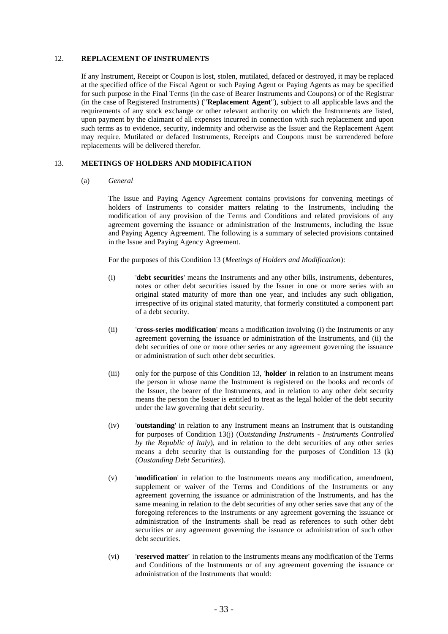#### 12. **REPLACEMENT OF INSTRUMENTS**

If any Instrument, Receipt or Coupon is lost, stolen, mutilated, defaced or destroyed, it may be replaced at the specified office of the Fiscal Agent or such Paying Agent or Paying Agents as may be specified for such purpose in the Final Terms (in the case of Bearer Instruments and Coupons) or of the Registrar (in the case of Registered Instruments) ("**Replacement Agent**"), subject to all applicable laws and the requirements of any stock exchange or other relevant authority on which the Instruments are listed, upon payment by the claimant of all expenses incurred in connection with such replacement and upon such terms as to evidence, security, indemnity and otherwise as the Issuer and the Replacement Agent may require. Mutilated or defaced Instruments, Receipts and Coupons must be surrendered before replacements will be delivered therefor.

#### 13. **MEETINGS OF HOLDERS AND MODIFICATION**

#### (a) *General*

The Issue and Paying Agency Agreement contains provisions for convening meetings of holders of Instruments to consider matters relating to the Instruments, including the modification of any provision of the Terms and Conditions and related provisions of any agreement governing the issuance or administration of the Instruments, including the Issue and Paying Agency Agreement. The following is a summary of selected provisions contained in the Issue and Paying Agency Agreement.

For the purposes of this Condition 13 (*Meetings of Holders and Modification*):

- (i) '**debt securities**' means the Instruments and any other bills, instruments, debentures, notes or other debt securities issued by the Issuer in one or more series with an original stated maturity of more than one year, and includes any such obligation, irrespective of its original stated maturity, that formerly constituted a component part of a debt security.
- (ii) '**cross-series modification**' means a modification involving (i) the Instruments or any agreement governing the issuance or administration of the Instruments, and (ii) the debt securities of one or more other series or any agreement governing the issuance or administration of such other debt securities.
- (iii) only for the purpose of this Condition 13, '**holder**' in relation to an Instrument means the person in whose name the Instrument is registered on the books and records of the Issuer, the bearer of the Instruments, and in relation to any other debt security means the person the Issuer is entitled to treat as the legal holder of the debt security under the law governing that debt security.
- (iv) '**outstanding**' in relation to any Instrument means an Instrument that is outstanding for purposes of Condition 13(j) (O*utstanding Instruments - Instruments Controlled by the Republic of Italy*), and in relation to the debt securities of any other series means a debt security that is outstanding for the purposes of Condition 13 (k) (*Oustanding Debt Securities*).
- (v) '**modification**' in relation to the Instruments means any modification, amendment, supplement or waiver of the Terms and Conditions of the Instruments or any agreement governing the issuance or administration of the Instruments, and has the same meaning in relation to the debt securities of any other series save that any of the foregoing references to the Instruments or any agreement governing the issuance or administration of the Instruments shall be read as references to such other debt securities or any agreement governing the issuance or administration of such other debt securities.
- (vi) '**reserved matter'** in relation to the Instruments means any modification of the Terms and Conditions of the Instruments or of any agreement governing the issuance or administration of the Instruments that would: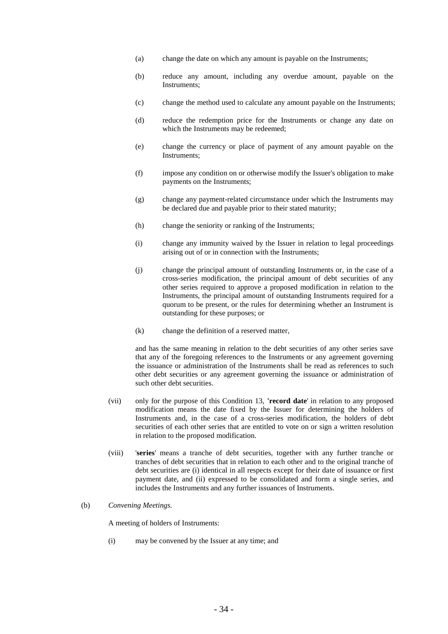- (a) change the date on which any amount is payable on the Instruments;
- (b) reduce any amount, including any overdue amount, payable on the Instruments;
- (c) change the method used to calculate any amount payable on the Instruments;
- (d) reduce the redemption price for the Instruments or change any date on which the Instruments may be redeemed:
- (e) change the currency or place of payment of any amount payable on the Instruments;
- (f) impose any condition on or otherwise modify the Issuer's obligation to make payments on the Instruments;
- (g) change any payment-related circumstance under which the Instruments may be declared due and payable prior to their stated maturity;
- (h) change the seniority or ranking of the Instruments;
- (i) change any immunity waived by the Issuer in relation to legal proceedings arising out of or in connection with the Instruments;
- (j) change the principal amount of outstanding Instruments or, in the case of a cross-series modification, the principal amount of debt securities of any other series required to approve a proposed modification in relation to the Instruments, the principal amount of outstanding Instruments required for a quorum to be present, or the rules for determining whether an Instrument is outstanding for these purposes; or
- (k) change the definition of a reserved matter,

and has the same meaning in relation to the debt securities of any other series save that any of the foregoing references to the Instruments or any agreement governing the issuance or administration of the Instruments shall be read as references to such other debt securities or any agreement governing the issuance or administration of such other debt securities.

- (vii) only for the purpose of this Condition 13, **'record date**' in relation to any proposed modification means the date fixed by the Issuer for determining the holders of Instruments and, in the case of a cross-series modification, the holders of debt securities of each other series that are entitled to vote on or sign a written resolution in relation to the proposed modification.
- (viii) '**series**' means a tranche of debt securities, together with any further tranche or tranches of debt securities that in relation to each other and to the original tranche of debt securities are (i) identical in all respects except for their date of issuance or first payment date, and (ii) expressed to be consolidated and form a single series, and includes the Instruments and any further issuances of Instruments.

#### (b) *Convening Meetings.*

A meeting of holders of Instruments:

(i) may be convened by the Issuer at any time; and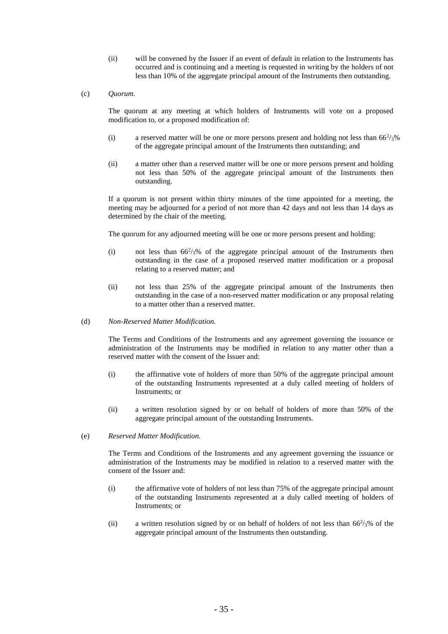- (ii) will be convened by the Issuer if an event of default in relation to the Instruments has occurred and is continuing and a meeting is requested in writing by the holders of not less than 10% of the aggregate principal amount of the Instruments then outstanding.
- (c) *Quorum.*

The quorum at any meeting at which holders of Instruments will vote on a proposed modification to, or a proposed modification of:

- (i) a reserved matter will be one or more persons present and holding not less than  $66\frac{2}{3}\%$ of the aggregate principal amount of the Instruments then outstanding; and
- (ii) a matter other than a reserved matter will be one or more persons present and holding not less than 50% of the aggregate principal amount of the Instruments then outstanding.

If a quorum is not present within thirty minutes of the time appointed for a meeting, the meeting may be adjourned for a period of not more than 42 days and not less than 14 days as determined by the chair of the meeting.

The quorum for any adjourned meeting will be one or more persons present and holding:

- (i) not less than  $66\frac{2}{3}\%$  of the aggregate principal amount of the Instruments then outstanding in the case of a proposed reserved matter modification or a proposal relating to a reserved matter; and
- (ii) not less than 25% of the aggregate principal amount of the Instruments then outstanding in the case of a non-reserved matter modification or any proposal relating to a matter other than a reserved matter.
- (d) *Non-Reserved Matter Modification.*

The Terms and Conditions of the Instruments and any agreement governing the issuance or administration of the Instruments may be modified in relation to any matter other than a reserved matter with the consent of the Issuer and:

- (i) the affirmative vote of holders of more than 50% of the aggregate principal amount of the outstanding Instruments represented at a duly called meeting of holders of Instruments; or
- (ii) a written resolution signed by or on behalf of holders of more than 50% of the aggregate principal amount of the outstanding Instruments.
- (e) *Reserved Matter Modification.*

The Terms and Conditions of the Instruments and any agreement governing the issuance or administration of the Instruments may be modified in relation to a reserved matter with the consent of the Issuer and:

- (i) the affirmative vote of holders of not less than 75% of the aggregate principal amount of the outstanding Instruments represented at a duly called meeting of holders of Instruments; or
- (ii) a written resolution signed by or on behalf of holders of not less than  $66^2/3\%$  of the aggregate principal amount of the Instruments then outstanding.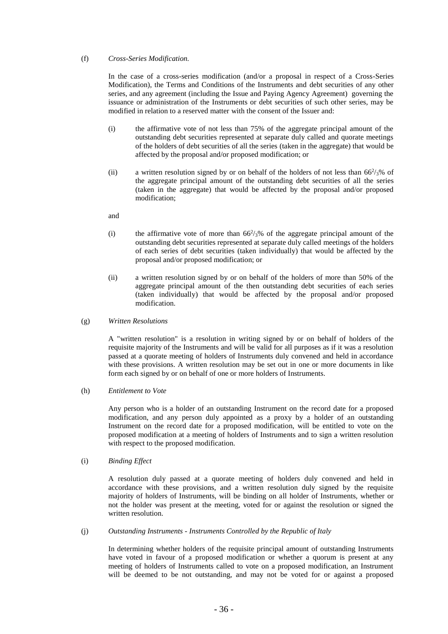#### (f) *Cross-Series Modification.*

In the case of a cross-series modification (and/or a proposal in respect of a Cross-Series Modification), the Terms and Conditions of the Instruments and debt securities of any other series, and any agreement (including the Issue and Paying Agency Agreement) governing the issuance or administration of the Instruments or debt securities of such other series, may be modified in relation to a reserved matter with the consent of the Issuer and:

- (i) the affirmative vote of not less than 75% of the aggregate principal amount of the outstanding debt securities represented at separate duly called and quorate meetings of the holders of debt securities of all the series (taken in the aggregate) that would be affected by the proposal and/or proposed modification; or
- (ii) a written resolution signed by or on behalf of the holders of not less than  $66\frac{2}{3}\%$  of the aggregate principal amount of the outstanding debt securities of all the series (taken in the aggregate) that would be affected by the proposal and/or proposed modification;
- and
- (i) the affirmative vote of more than  $66\frac{2}{3}\%$  of the aggregate principal amount of the outstanding debt securities represented at separate duly called meetings of the holders of each series of debt securities (taken individually) that would be affected by the proposal and/or proposed modification; or
- (ii) a written resolution signed by or on behalf of the holders of more than 50% of the aggregate principal amount of the then outstanding debt securities of each series (taken individually) that would be affected by the proposal and/or proposed modification.
- (g) *Written Resolutions*

A "written resolution" is a resolution in writing signed by or on behalf of holders of the requisite majority of the Instruments and will be valid for all purposes as if it was a resolution passed at a quorate meeting of holders of Instruments duly convened and held in accordance with these provisions. A written resolution may be set out in one or more documents in like form each signed by or on behalf of one or more holders of Instruments.

(h) *Entitlement to Vote*

Any person who is a holder of an outstanding Instrument on the record date for a proposed modification, and any person duly appointed as a proxy by a holder of an outstanding Instrument on the record date for a proposed modification, will be entitled to vote on the proposed modification at a meeting of holders of Instruments and to sign a written resolution with respect to the proposed modification.

(i) *Binding Effect*

A resolution duly passed at a quorate meeting of holders duly convened and held in accordance with these provisions, and a written resolution duly signed by the requisite majority of holders of Instruments, will be binding on all holder of Instruments, whether or not the holder was present at the meeting, voted for or against the resolution or signed the written resolution.

(j) *Outstanding Instruments - Instruments Controlled by the Republic of Italy*

In determining whether holders of the requisite principal amount of outstanding Instruments have voted in favour of a proposed modification or whether a quorum is present at any meeting of holders of Instruments called to vote on a proposed modification, an Instrument will be deemed to be not outstanding, and may not be voted for or against a proposed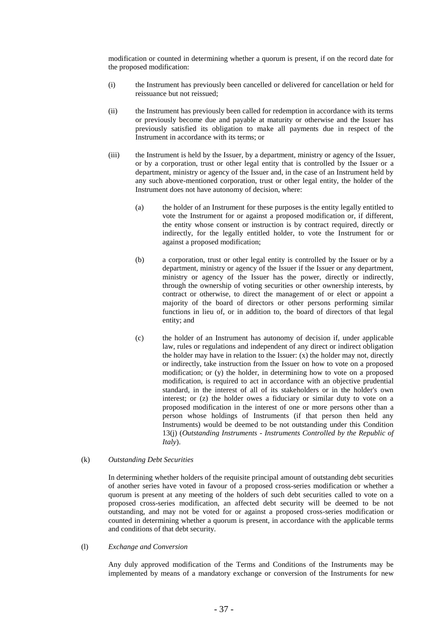modification or counted in determining whether a quorum is present, if on the record date for the proposed modification:

- (i) the Instrument has previously been cancelled or delivered for cancellation or held for reissuance but not reissued;
- (ii) the Instrument has previously been called for redemption in accordance with its terms or previously become due and payable at maturity or otherwise and the Issuer has previously satisfied its obligation to make all payments due in respect of the Instrument in accordance with its terms; or
- (iii) the Instrument is held by the Issuer, by a department, ministry or agency of the Issuer, or by a corporation, trust or other legal entity that is controlled by the Issuer or a department, ministry or agency of the Issuer and, in the case of an Instrument held by any such above-mentioned corporation, trust or other legal entity, the holder of the Instrument does not have autonomy of decision, where:
	- (a) the holder of an Instrument for these purposes is the entity legally entitled to vote the Instrument for or against a proposed modification or, if different, the entity whose consent or instruction is by contract required, directly or indirectly, for the legally entitled holder, to vote the Instrument for or against a proposed modification;
	- (b) a corporation, trust or other legal entity is controlled by the Issuer or by a department, ministry or agency of the Issuer if the Issuer or any department, ministry or agency of the Issuer has the power, directly or indirectly, through the ownership of voting securities or other ownership interests, by contract or otherwise, to direct the management of or elect or appoint a majority of the board of directors or other persons performing similar functions in lieu of, or in addition to, the board of directors of that legal entity; and
	- (c) the holder of an Instrument has autonomy of decision if, under applicable law, rules or regulations and independent of any direct or indirect obligation the holder may have in relation to the Issuer: (x) the holder may not, directly or indirectly, take instruction from the Issuer on how to vote on a proposed modification; or (y) the holder, in determining how to vote on a proposed modification, is required to act in accordance with an objective prudential standard, in the interest of all of its stakeholders or in the holder's own interest; or (z) the holder owes a fiduciary or similar duty to vote on a proposed modification in the interest of one or more persons other than a person whose holdings of Instruments (if that person then held any Instruments) would be deemed to be not outstanding under this Condition 13(j) (*Outstanding Instruments - Instruments Controlled by the Republic of Italy*).

### (k) *Outstanding Debt Securities*

In determining whether holders of the requisite principal amount of outstanding debt securities of another series have voted in favour of a proposed cross-series modification or whether a quorum is present at any meeting of the holders of such debt securities called to vote on a proposed cross-series modification, an affected debt security will be deemed to be not outstanding, and may not be voted for or against a proposed cross-series modification or counted in determining whether a quorum is present, in accordance with the applicable terms and conditions of that debt security.

#### (l) *Exchange and Conversion*

Any duly approved modification of the Terms and Conditions of the Instruments may be implemented by means of a mandatory exchange or conversion of the Instruments for new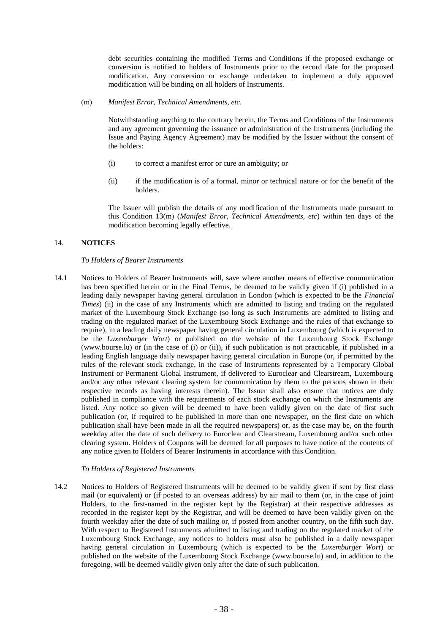debt securities containing the modified Terms and Conditions if the proposed exchange or conversion is notified to holders of Instruments prior to the record date for the proposed modification. Any conversion or exchange undertaken to implement a duly approved modification will be binding on all holders of Instruments.

(m) *Manifest Error, Technical Amendments, etc.*

Notwithstanding anything to the contrary herein, the Terms and Conditions of the Instruments and any agreement governing the issuance or administration of the Instruments (including the Issue and Paying Agency Agreement) may be modified by the Issuer without the consent of the holders:

- (i) to correct a manifest error or cure an ambiguity; or
- (ii) if the modification is of a formal, minor or technical nature or for the benefit of the holders.

The Issuer will publish the details of any modification of the Instruments made pursuant to this Condition 13(m) (*Manifest Error, Technical Amendments, etc*) within ten days of the modification becoming legally effective.

# 14. **NOTICES**

# *To Holders of Bearer Instruments*

14.1 Notices to Holders of Bearer Instruments will, save where another means of effective communication has been specified herein or in the Final Terms, be deemed to be validly given if (i) published in a leading daily newspaper having general circulation in London (which is expected to be the *Financial Times*) (ii) in the case of any Instruments which are admitted to listing and trading on the regulated market of the Luxembourg Stock Exchange (so long as such Instruments are admitted to listing and trading on the regulated market of the Luxembourg Stock Exchange and the rules of that exchange so require), in a leading daily newspaper having general circulation in Luxembourg (which is expected to be the *Luxemburger Wort*) or published on the website of the Luxembourg Stock Exchange (www.bourse.lu) or (in the case of (i) or (ii)), if such publication is not practicable, if published in a leading English language daily newspaper having general circulation in Europe (or, if permitted by the rules of the relevant stock exchange, in the case of Instruments represented by a Temporary Global Instrument or Permanent Global Instrument, if delivered to Euroclear and Clearstream, Luxembourg and/or any other relevant clearing system for communication by them to the persons shown in their respective records as having interests therein). The Issuer shall also ensure that notices are duly published in compliance with the requirements of each stock exchange on which the Instruments are listed. Any notice so given will be deemed to have been validly given on the date of first such publication (or, if required to be published in more than one newspaper, on the first date on which publication shall have been made in all the required newspapers) or, as the case may be, on the fourth weekday after the date of such delivery to Euroclear and Clearstream, Luxembourg and/or such other clearing system. Holders of Coupons will be deemed for all purposes to have notice of the contents of any notice given to Holders of Bearer Instruments in accordance with this Condition.

# *To Holders of Registered Instruments*

14.2 Notices to Holders of Registered Instruments will be deemed to be validly given if sent by first class mail (or equivalent) or (if posted to an overseas address) by air mail to them (or, in the case of joint Holders, to the first-named in the register kept by the Registrar) at their respective addresses as recorded in the register kept by the Registrar, and will be deemed to have been validly given on the fourth weekday after the date of such mailing or, if posted from another country, on the fifth such day. With respect to Registered Instruments admitted to listing and trading on the regulated market of the Luxembourg Stock Exchange, any notices to holders must also be published in a daily newspaper having general circulation in Luxembourg (which is expected to be the *Luxemburger Wort*) or published on the website of the Luxembourg Stock Exchange (www.bourse.lu) and, in addition to the foregoing, will be deemed validly given only after the date of such publication.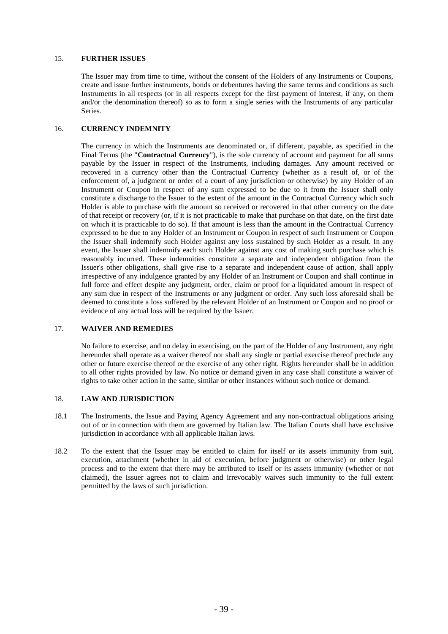# 15. **FURTHER ISSUES**

The Issuer may from time to time, without the consent of the Holders of any Instruments or Coupons, create and issue further instruments, bonds or debentures having the same terms and conditions as such Instruments in all respects (or in all respects except for the first payment of interest, if any, on them and/or the denomination thereof) so as to form a single series with the Instruments of any particular Series.

# 16. **CURRENCY INDEMNITY**

The currency in which the Instruments are denominated or, if different, payable, as specified in the Final Terms (the "**Contractual Currency**"), is the sole currency of account and payment for all sums payable by the Issuer in respect of the Instruments, including damages. Any amount received or recovered in a currency other than the Contractual Currency (whether as a result of, or of the enforcement of, a judgment or order of a court of any jurisdiction or otherwise) by any Holder of an Instrument or Coupon in respect of any sum expressed to be due to it from the Issuer shall only constitute a discharge to the Issuer to the extent of the amount in the Contractual Currency which such Holder is able to purchase with the amount so received or recovered in that other currency on the date of that receipt or recovery (or, if it is not practicable to make that purchase on that date, on the first date on which it is practicable to do so). If that amount is less than the amount in the Contractual Currency expressed to be due to any Holder of an Instrument or Coupon in respect of such Instrument or Coupon the Issuer shall indemnify such Holder against any loss sustained by such Holder as a result. In any event, the Issuer shall indemnify each such Holder against any cost of making such purchase which is reasonably incurred. These indemnities constitute a separate and independent obligation from the Issuer's other obligations, shall give rise to a separate and independent cause of action, shall apply irrespective of any indulgence granted by any Holder of an Instrument or Coupon and shall continue in full force and effect despite any judgment, order, claim or proof for a liquidated amount in respect of any sum due in respect of the Instruments or any judgment or order. Any such loss aforesaid shall be deemed to constitute a loss suffered by the relevant Holder of an Instrument or Coupon and no proof or evidence of any actual loss will be required by the Issuer.

# 17. **WAIVER AND REMEDIES**

No failure to exercise, and no delay in exercising, on the part of the Holder of any Instrument, any right hereunder shall operate as a waiver thereof nor shall any single or partial exercise thereof preclude any other or future exercise thereof or the exercise of any other right. Rights hereunder shall be in addition to all other rights provided by law. No notice or demand given in any case shall constitute a waiver of rights to take other action in the same, similar or other instances without such notice or demand.

# 18. **LAW AND JURISDICTION**

- 18.1 The Instruments, the Issue and Paying Agency Agreement and any non-contractual obligations arising out of or in connection with them are governed by Italian law. The Italian Courts shall have exclusive jurisdiction in accordance with all applicable Italian laws.
- 18.2 To the extent that the Issuer may be entitled to claim for itself or its assets immunity from suit, execution, attachment (whether in aid of execution, before judgment or otherwise) or other legal process and to the extent that there may be attributed to itself or its assets immunity (whether or not claimed), the Issuer agrees not to claim and irrevocably waives such immunity to the full extent permitted by the laws of such jurisdiction.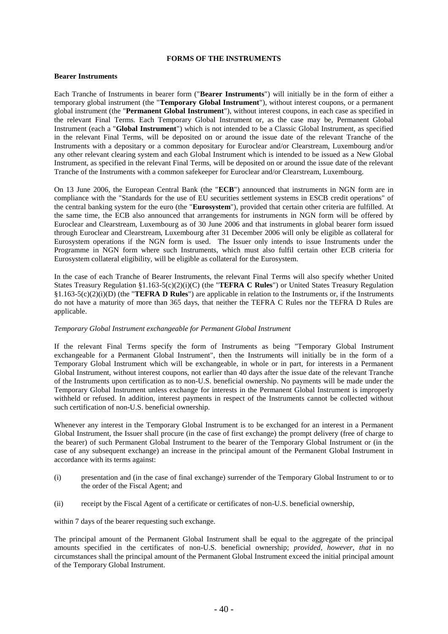#### **FORMS OF THE INSTRUMENTS**

#### **Bearer Instruments**

Each Tranche of Instruments in bearer form ("**Bearer Instruments**") will initially be in the form of either a temporary global instrument (the "**Temporary Global Instrument**"), without interest coupons, or a permanent global instrument (the "**Permanent Global Instrument**"), without interest coupons, in each case as specified in the relevant Final Terms. Each Temporary Global Instrument or, as the case may be, Permanent Global Instrument (each a "**Global Instrument**") which is not intended to be a Classic Global Instrument, as specified in the relevant Final Terms, will be deposited on or around the issue date of the relevant Tranche of the Instruments with a depositary or a common depositary for Euroclear and/or Clearstream, Luxembourg and/or any other relevant clearing system and each Global Instrument which is intended to be issued as a New Global Instrument, as specified in the relevant Final Terms, will be deposited on or around the issue date of the relevant Tranche of the Instruments with a common safekeeper for Euroclear and/or Clearstream, Luxembourg.

On 13 June 2006, the European Central Bank (the "**ECB**") announced that instruments in NGN form are in compliance with the "Standards for the use of EU securities settlement systems in ESCB credit operations" of the central banking system for the euro (the "**Eurosystem**"), provided that certain other criteria are fulfilled. At the same time, the ECB also announced that arrangements for instruments in NGN form will be offered by Euroclear and Clearstream, Luxembourg as of 30 June 2006 and that instruments in global bearer form issued through Euroclear and Clearstream, Luxembourg after 31 December 2006 will only be eligible as collateral for Eurosystem operations if the NGN form is used. The Issuer only intends to issue Instruments under the Programme in NGN form where such Instruments, which must also fulfil certain other ECB criteria for Eurosystem collateral eligibility, will be eligible as collateral for the Eurosystem.

In the case of each Tranche of Bearer Instruments, the relevant Final Terms will also specify whether United States Treasury Regulation §1.163-5(c)(2)(i)(C) (the "**TEFRA C Rules**") or United States Treasury Regulation §1.163-5(c)(2)(i)(D) (the "**TEFRA D Rules**") are applicable in relation to the Instruments or, if the Instruments do not have a maturity of more than 365 days, that neither the TEFRA C Rules nor the TEFRA D Rules are applicable.

#### *Temporary Global Instrument exchangeable for Permanent Global Instrument*

If the relevant Final Terms specify the form of Instruments as being "Temporary Global Instrument exchangeable for a Permanent Global Instrument", then the Instruments will initially be in the form of a Temporary Global Instrument which will be exchangeable, in whole or in part, for interests in a Permanent Global Instrument, without interest coupons, not earlier than 40 days after the issue date of the relevant Tranche of the Instruments upon certification as to non-U.S. beneficial ownership. No payments will be made under the Temporary Global Instrument unless exchange for interests in the Permanent Global Instrument is improperly withheld or refused. In addition, interest payments in respect of the Instruments cannot be collected without such certification of non-U.S. beneficial ownership.

Whenever any interest in the Temporary Global Instrument is to be exchanged for an interest in a Permanent Global Instrument, the Issuer shall procure (in the case of first exchange) the prompt delivery (free of charge to the bearer) of such Permanent Global Instrument to the bearer of the Temporary Global Instrument or (in the case of any subsequent exchange) an increase in the principal amount of the Permanent Global Instrument in accordance with its terms against:

- (i) presentation and (in the case of final exchange) surrender of the Temporary Global Instrument to or to the order of the Fiscal Agent; and
- (ii) receipt by the Fiscal Agent of a certificate or certificates of non-U.S. beneficial ownership,

within 7 days of the bearer requesting such exchange.

The principal amount of the Permanent Global Instrument shall be equal to the aggregate of the principal amounts specified in the certificates of non-U.S. beneficial ownership; *provided, however, that* in no circumstances shall the principal amount of the Permanent Global Instrument exceed the initial principal amount of the Temporary Global Instrument.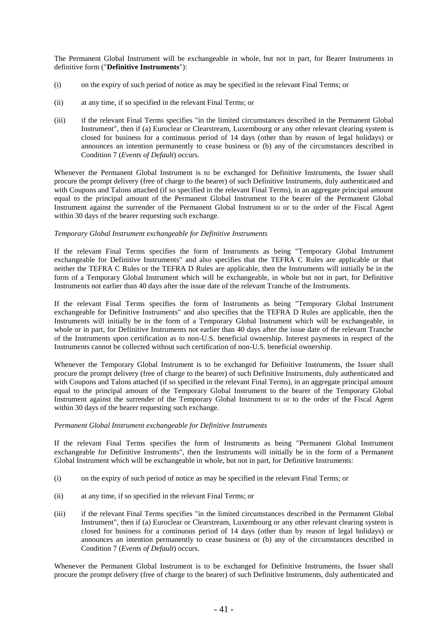The Permanent Global Instrument will be exchangeable in whole, but not in part, for Bearer Instruments in definitive form ("**Definitive Instruments**"):

- (i) on the expiry of such period of notice as may be specified in the relevant Final Terms; or
- (ii) at any time, if so specified in the relevant Final Terms; or
- (iii) if the relevant Final Terms specifies "in the limited circumstances described in the Permanent Global Instrument", then if (a) Euroclear or Clearstream, Luxembourg or any other relevant clearing system is closed for business for a continuous period of 14 days (other than by reason of legal holidays) or announces an intention permanently to cease business or (b) any of the circumstances described in Condition 7 (*Events of Default*) occurs.

Whenever the Permanent Global Instrument is to be exchanged for Definitive Instruments, the Issuer shall procure the prompt delivery (free of charge to the bearer) of such Definitive Instruments, duly authenticated and with Coupons and Talons attached (if so specified in the relevant Final Terms), in an aggregate principal amount equal to the principal amount of the Permanent Global Instrument to the bearer of the Permanent Global Instrument against the surrender of the Permanent Global Instrument to or to the order of the Fiscal Agent within 30 days of the bearer requesting such exchange.

#### *Temporary Global Instrument exchangeable for Definitive Instruments*

If the relevant Final Terms specifies the form of Instruments as being "Temporary Global Instrument exchangeable for Definitive Instruments" and also specifies that the TEFRA C Rules are applicable or that neither the TEFRA C Rules or the TEFRA D Rules are applicable, then the Instruments will initially be in the form of a Temporary Global Instrument which will be exchangeable, in whole but not in part, for Definitive Instruments not earlier than 40 days after the issue date of the relevant Tranche of the Instruments.

If the relevant Final Terms specifies the form of Instruments as being "Temporary Global Instrument exchangeable for Definitive Instruments" and also specifies that the TEFRA D Rules are applicable, then the Instruments will initially be in the form of a Temporary Global Instrument which will be exchangeable, in whole or in part, for Definitive Instruments not earlier than 40 days after the issue date of the relevant Tranche of the Instruments upon certification as to non-U.S. beneficial ownership. Interest payments in respect of the Instruments cannot be collected without such certification of non-U.S. beneficial ownership.

Whenever the Temporary Global Instrument is to be exchanged for Definitive Instruments, the Issuer shall procure the prompt delivery (free of charge to the bearer) of such Definitive Instruments, duly authenticated and with Coupons and Talons attached (if so specified in the relevant Final Terms), in an aggregate principal amount equal to the principal amount of the Temporary Global Instrument to the bearer of the Temporary Global Instrument against the surrender of the Temporary Global Instrument to or to the order of the Fiscal Agent within 30 days of the bearer requesting such exchange.

#### *Permanent Global Instrument exchangeable for Definitive Instruments*

If the relevant Final Terms specifies the form of Instruments as being "Permanent Global Instrument exchangeable for Definitive Instruments", then the Instruments will initially be in the form of a Permanent Global Instrument which will be exchangeable in whole, but not in part, for Definitive Instruments:

- (i) on the expiry of such period of notice as may be specified in the relevant Final Terms; or
- (ii) at any time, if so specified in the relevant Final Terms; or
- (iii) if the relevant Final Terms specifies "in the limited circumstances described in the Permanent Global Instrument", then if (a) Euroclear or Clearstream, Luxembourg or any other relevant clearing system is closed for business for a continuous period of 14 days (other than by reason of legal holidays) or announces an intention permanently to cease business or (b) any of the circumstances described in Condition 7 (*Events of Default*) occurs.

Whenever the Permanent Global Instrument is to be exchanged for Definitive Instruments, the Issuer shall procure the prompt delivery (free of charge to the bearer) of such Definitive Instruments, duly authenticated and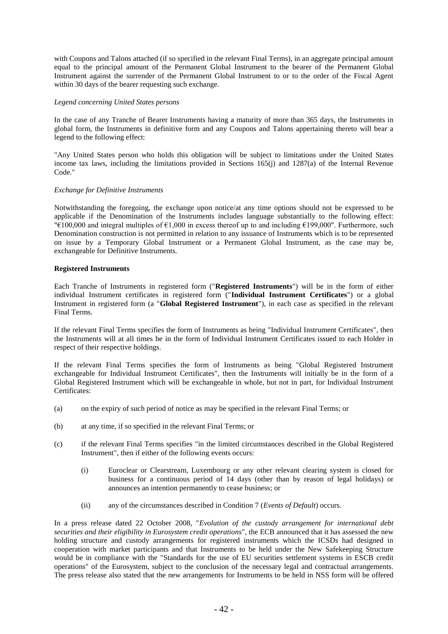with Coupons and Talons attached (if so specified in the relevant Final Terms), in an aggregate principal amount equal to the principal amount of the Permanent Global Instrument to the bearer of the Permanent Global Instrument against the surrender of the Permanent Global Instrument to or to the order of the Fiscal Agent within 30 days of the bearer requesting such exchange.

#### *Legend concerning United States persons*

In the case of any Tranche of Bearer Instruments having a maturity of more than 365 days, the Instruments in global form, the Instruments in definitive form and any Coupons and Talons appertaining thereto will bear a legend to the following effect:

"Any United States person who holds this obligation will be subject to limitations under the United States income tax laws, including the limitations provided in Sections 165(j) and 1287(a) of the Internal Revenue Code."

#### *Exchange for Definitive Instruments*

Notwithstanding the foregoing, the exchange upon notice/at any time options should not be expressed to be applicable if the Denomination of the Instruments includes language substantially to the following effect: "€100,000 and integral multiples of €1,000 in excess thereof up to and including €199,000". Furthermore, such Denomination construction is not permitted in relation to any issuance of Instruments which is to be represented on issue by a Temporary Global Instrument or a Permanent Global Instrument, as the case may be, exchangeable for Definitive Instruments.

#### **Registered Instruments**

Each Tranche of Instruments in registered form ("**Registered Instruments**") will be in the form of either individual Instrument certificates in registered form ("**Individual Instrument Certificates**") or a global Instrument in registered form (a "**Global Registered Instrument**"), in each case as specified in the relevant Final Terms.

If the relevant Final Terms specifies the form of Instruments as being "Individual Instrument Certificates", then the Instruments will at all times be in the form of Individual Instrument Certificates issued to each Holder in respect of their respective holdings.

If the relevant Final Terms specifies the form of Instruments as being "Global Registered Instrument exchangeable for Individual Instrument Certificates", then the Instruments will initially be in the form of a Global Registered Instrument which will be exchangeable in whole, but not in part, for Individual Instrument Certificates:

- (a) on the expiry of such period of notice as may be specified in the relevant Final Terms; or
- (b) at any time, if so specified in the relevant Final Terms; or
- (c) if the relevant Final Terms specifies "in the limited circumstances described in the Global Registered Instrument", then if either of the following events occurs:
	- (i) Euroclear or Clearstream, Luxembourg or any other relevant clearing system is closed for business for a continuous period of 14 days (other than by reason of legal holidays) or announces an intention permanently to cease business; or
	- (ii) any of the circumstances described in Condition 7 (*Events of Default*) occurs.

In a press release dated 22 October 2008, "*Evolution of the custody arrangement for international debt securities and their eligibility in Eurosystem credit operations*", the ECB announced that it has assessed the new holding structure and custody arrangements for registered instruments which the ICSDs had designed in cooperation with market participants and that Instruments to be held under the New Safekeeping Structure would be in compliance with the "Standards for the use of EU securities settlement systems in ESCB credit operations" of the Eurosystem, subject to the conclusion of the necessary legal and contractual arrangements. The press release also stated that the new arrangements for Instruments to be held in NSS form will be offered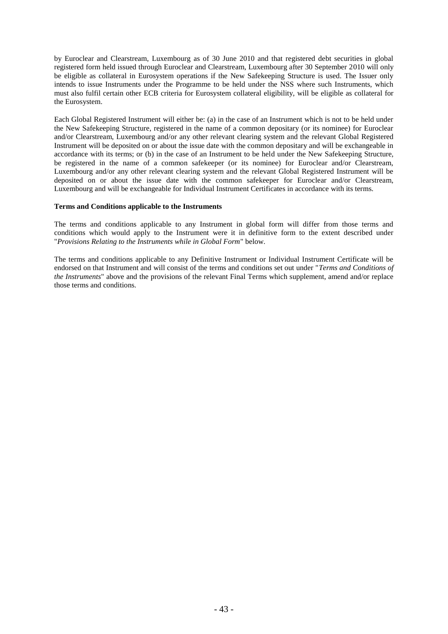by Euroclear and Clearstream, Luxembourg as of 30 June 2010 and that registered debt securities in global registered form held issued through Euroclear and Clearstream, Luxembourg after 30 September 2010 will only be eligible as collateral in Eurosystem operations if the New Safekeeping Structure is used. The Issuer only intends to issue Instruments under the Programme to be held under the NSS where such Instruments, which must also fulfil certain other ECB criteria for Eurosystem collateral eligibility, will be eligible as collateral for the Eurosystem.

Each Global Registered Instrument will either be: (a) in the case of an Instrument which is not to be held under the New Safekeeping Structure, registered in the name of a common depositary (or its nominee) for Euroclear and/or Clearstream, Luxembourg and/or any other relevant clearing system and the relevant Global Registered Instrument will be deposited on or about the issue date with the common depositary and will be exchangeable in accordance with its terms; or (b) in the case of an Instrument to be held under the New Safekeeping Structure, be registered in the name of a common safekeeper (or its nominee) for Euroclear and/or Clearstream, Luxembourg and/or any other relevant clearing system and the relevant Global Registered Instrument will be deposited on or about the issue date with the common safekeeper for Euroclear and/or Clearstream, Luxembourg and will be exchangeable for Individual Instrument Certificates in accordance with its terms.

#### **Terms and Conditions applicable to the Instruments**

The terms and conditions applicable to any Instrument in global form will differ from those terms and conditions which would apply to the Instrument were it in definitive form to the extent described under "*Provisions Relating to the Instruments while in Global Form*" below.

The terms and conditions applicable to any Definitive Instrument or Individual Instrument Certificate will be endorsed on that Instrument and will consist of the terms and conditions set out under "*Terms and Conditions of the Instruments*" above and the provisions of the relevant Final Terms which supplement, amend and/or replace those terms and conditions.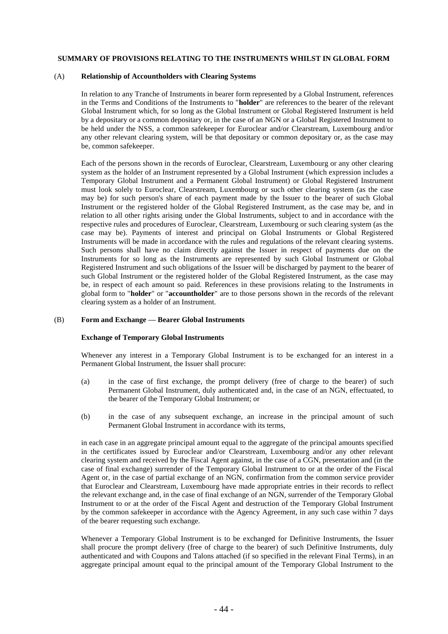## **SUMMARY OF PROVISIONS RELATING TO THE INSTRUMENTS WHILST IN GLOBAL FORM**

#### (A) **Relationship of Accountholders with Clearing Systems**

In relation to any Tranche of Instruments in bearer form represented by a Global Instrument, references in the Terms and Conditions of the Instruments to "**holder**" are references to the bearer of the relevant Global Instrument which, for so long as the Global Instrument or Global Registered Instrument is held by a depositary or a common depositary or, in the case of an NGN or a Global Registered Instrument to be held under the NSS, a common safekeeper for Euroclear and/or Clearstream, Luxembourg and/or any other relevant clearing system, will be that depositary or common depositary or, as the case may be, common safekeeper.

Each of the persons shown in the records of Euroclear, Clearstream, Luxembourg or any other clearing system as the holder of an Instrument represented by a Global Instrument (which expression includes a Temporary Global Instrument and a Permanent Global Instrument) or Global Registered Instrument must look solely to Euroclear, Clearstream, Luxembourg or such other clearing system (as the case may be) for such person's share of each payment made by the Issuer to the bearer of such Global Instrument or the registered holder of the Global Registered Instrument, as the case may be, and in relation to all other rights arising under the Global Instruments, subject to and in accordance with the respective rules and procedures of Euroclear, Clearstream, Luxembourg or such clearing system (as the case may be). Payments of interest and principal on Global Instruments or Global Registered Instruments will be made in accordance with the rules and regulations of the relevant clearing systems. Such persons shall have no claim directly against the Issuer in respect of payments due on the Instruments for so long as the Instruments are represented by such Global Instrument or Global Registered Instrument and such obligations of the Issuer will be discharged by payment to the bearer of such Global Instrument or the registered holder of the Global Registered Instrument, as the case may be, in respect of each amount so paid. References in these provisions relating to the Instruments in global form to "**holder**" or "**accountholder**" are to those persons shown in the records of the relevant clearing system as a holder of an Instrument.

# (B) **Form and Exchange — Bearer Global Instruments**

#### **Exchange of Temporary Global Instruments**

Whenever any interest in a Temporary Global Instrument is to be exchanged for an interest in a Permanent Global Instrument, the Issuer shall procure:

- (a) in the case of first exchange, the prompt delivery (free of charge to the bearer) of such Permanent Global Instrument, duly authenticated and, in the case of an NGN, effectuated, to the bearer of the Temporary Global Instrument; or
- (b) in the case of any subsequent exchange, an increase in the principal amount of such Permanent Global Instrument in accordance with its terms,

in each case in an aggregate principal amount equal to the aggregate of the principal amounts specified in the certificates issued by Euroclear and/or Clearstream, Luxembourg and/or any other relevant clearing system and received by the Fiscal Agent against, in the case of a CGN, presentation and (in the case of final exchange) surrender of the Temporary Global Instrument to or at the order of the Fiscal Agent or, in the case of partial exchange of an NGN, confirmation from the common service provider that Euroclear and Clearstream, Luxembourg have made appropriate entries in their records to reflect the relevant exchange and, in the case of final exchange of an NGN, surrender of the Temporary Global Instrument to or at the order of the Fiscal Agent and destruction of the Temporary Global Instrument by the common safekeeper in accordance with the Agency Agreement, in any such case within 7 days of the bearer requesting such exchange.

Whenever a Temporary Global Instrument is to be exchanged for Definitive Instruments, the Issuer shall procure the prompt delivery (free of charge to the bearer) of such Definitive Instruments, duly authenticated and with Coupons and Talons attached (if so specified in the relevant Final Terms), in an aggregate principal amount equal to the principal amount of the Temporary Global Instrument to the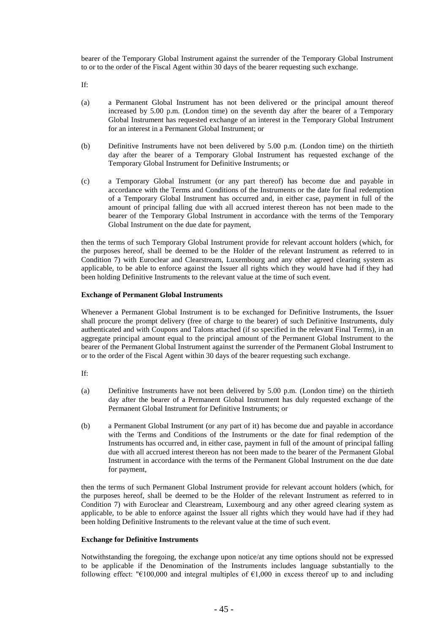bearer of the Temporary Global Instrument against the surrender of the Temporary Global Instrument to or to the order of the Fiscal Agent within 30 days of the bearer requesting such exchange.

If:

- (a) a Permanent Global Instrument has not been delivered or the principal amount thereof increased by 5.00 p.m. (London time) on the seventh day after the bearer of a Temporary Global Instrument has requested exchange of an interest in the Temporary Global Instrument for an interest in a Permanent Global Instrument; or
- (b) Definitive Instruments have not been delivered by 5.00 p.m. (London time) on the thirtieth day after the bearer of a Temporary Global Instrument has requested exchange of the Temporary Global Instrument for Definitive Instruments; or
- (c) a Temporary Global Instrument (or any part thereof) has become due and payable in accordance with the Terms and Conditions of the Instruments or the date for final redemption of a Temporary Global Instrument has occurred and, in either case, payment in full of the amount of principal falling due with all accrued interest thereon has not been made to the bearer of the Temporary Global Instrument in accordance with the terms of the Temporary Global Instrument on the due date for payment,

then the terms of such Temporary Global Instrument provide for relevant account holders (which, for the purposes hereof, shall be deemed to be the Holder of the relevant Instrument as referred to in Condition 7) with Euroclear and Clearstream, Luxembourg and any other agreed clearing system as applicable, to be able to enforce against the Issuer all rights which they would have had if they had been holding Definitive Instruments to the relevant value at the time of such event.

# **Exchange of Permanent Global Instruments**

Whenever a Permanent Global Instrument is to be exchanged for Definitive Instruments, the Issuer shall procure the prompt delivery (free of charge to the bearer) of such Definitive Instruments, duly authenticated and with Coupons and Talons attached (if so specified in the relevant Final Terms), in an aggregate principal amount equal to the principal amount of the Permanent Global Instrument to the bearer of the Permanent Global Instrument against the surrender of the Permanent Global Instrument to or to the order of the Fiscal Agent within 30 days of the bearer requesting such exchange.

If:

- (a) Definitive Instruments have not been delivered by 5.00 p.m. (London time) on the thirtieth day after the bearer of a Permanent Global Instrument has duly requested exchange of the Permanent Global Instrument for Definitive Instruments; or
- (b) a Permanent Global Instrument (or any part of it) has become due and payable in accordance with the Terms and Conditions of the Instruments or the date for final redemption of the Instruments has occurred and, in either case, payment in full of the amount of principal falling due with all accrued interest thereon has not been made to the bearer of the Permanent Global Instrument in accordance with the terms of the Permanent Global Instrument on the due date for payment,

then the terms of such Permanent Global Instrument provide for relevant account holders (which, for the purposes hereof, shall be deemed to be the Holder of the relevant Instrument as referred to in Condition 7) with Euroclear and Clearstream, Luxembourg and any other agreed clearing system as applicable, to be able to enforce against the Issuer all rights which they would have had if they had been holding Definitive Instruments to the relevant value at the time of such event.

# **Exchange for Definitive Instruments**

Notwithstanding the foregoing, the exchange upon notice/at any time options should not be expressed to be applicable if the Denomination of the Instruments includes language substantially to the following effect: " $E100,000$  and integral multiples of  $E1,000$  in excess thereof up to and including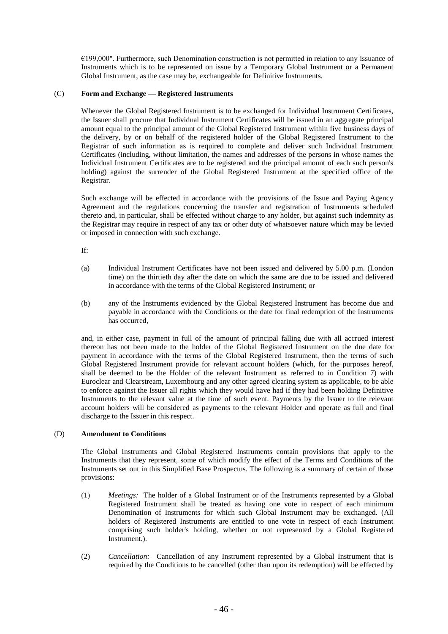€199,000". Furthermore, such Denomination construction is not permitted in relation to any issuance of Instruments which is to be represented on issue by a Temporary Global Instrument or a Permanent Global Instrument, as the case may be, exchangeable for Definitive Instruments.

# (C) **Form and Exchange — Registered Instruments**

Whenever the Global Registered Instrument is to be exchanged for Individual Instrument Certificates, the Issuer shall procure that Individual Instrument Certificates will be issued in an aggregate principal amount equal to the principal amount of the Global Registered Instrument within five business days of the delivery, by or on behalf of the registered holder of the Global Registered Instrument to the Registrar of such information as is required to complete and deliver such Individual Instrument Certificates (including, without limitation, the names and addresses of the persons in whose names the Individual Instrument Certificates are to be registered and the principal amount of each such person's holding) against the surrender of the Global Registered Instrument at the specified office of the Registrar.

Such exchange will be effected in accordance with the provisions of the Issue and Paying Agency Agreement and the regulations concerning the transfer and registration of Instruments scheduled thereto and, in particular, shall be effected without charge to any holder, but against such indemnity as the Registrar may require in respect of any tax or other duty of whatsoever nature which may be levied or imposed in connection with such exchange.

If:

- (a) Individual Instrument Certificates have not been issued and delivered by 5.00 p.m. (London time) on the thirtieth day after the date on which the same are due to be issued and delivered in accordance with the terms of the Global Registered Instrument; or
- (b) any of the Instruments evidenced by the Global Registered Instrument has become due and payable in accordance with the Conditions or the date for final redemption of the Instruments has occurred,

and, in either case, payment in full of the amount of principal falling due with all accrued interest thereon has not been made to the holder of the Global Registered Instrument on the due date for payment in accordance with the terms of the Global Registered Instrument, then the terms of such Global Registered Instrument provide for relevant account holders (which, for the purposes hereof, shall be deemed to be the Holder of the relevant Instrument as referred to in Condition 7) with Euroclear and Clearstream, Luxembourg and any other agreed clearing system as applicable, to be able to enforce against the Issuer all rights which they would have had if they had been holding Definitive Instruments to the relevant value at the time of such event. Payments by the Issuer to the relevant account holders will be considered as payments to the relevant Holder and operate as full and final discharge to the Issuer in this respect.

# (D) **Amendment to Conditions**

The Global Instruments and Global Registered Instruments contain provisions that apply to the Instruments that they represent, some of which modify the effect of the Terms and Conditions of the Instruments set out in this Simplified Base Prospectus. The following is a summary of certain of those provisions:

- (1) *Meetings:* The holder of a Global Instrument or of the Instruments represented by a Global Registered Instrument shall be treated as having one vote in respect of each minimum Denomination of Instruments for which such Global Instrument may be exchanged. (All holders of Registered Instruments are entitled to one vote in respect of each Instrument comprising such holder's holding, whether or not represented by a Global Registered Instrument.).
- (2) *Cancellation:* Cancellation of any Instrument represented by a Global Instrument that is required by the Conditions to be cancelled (other than upon its redemption) will be effected by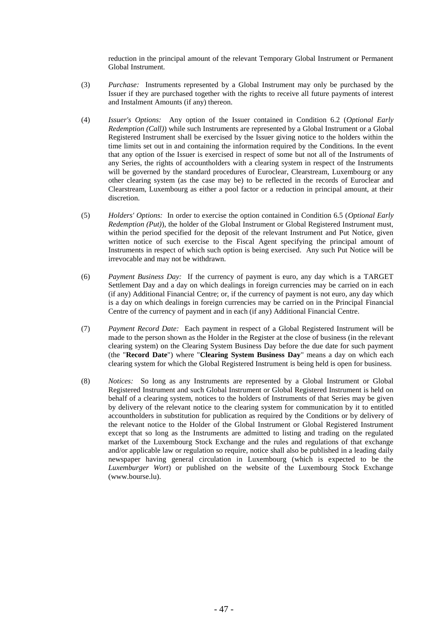reduction in the principal amount of the relevant Temporary Global Instrument or Permanent Global Instrument.

- (3) *Purchase:* Instruments represented by a Global Instrument may only be purchased by the Issuer if they are purchased together with the rights to receive all future payments of interest and Instalment Amounts (if any) thereon.
- (4) *Issuer's Options:* Any option of the Issuer contained in Condition 6.2 (*Optional Early Redemption (Call)*) while such Instruments are represented by a Global Instrument or a Global Registered Instrument shall be exercised by the Issuer giving notice to the holders within the time limits set out in and containing the information required by the Conditions. In the event that any option of the Issuer is exercised in respect of some but not all of the Instruments of any Series, the rights of accountholders with a clearing system in respect of the Instruments will be governed by the standard procedures of Euroclear, Clearstream, Luxembourg or any other clearing system (as the case may be) to be reflected in the records of Euroclear and Clearstream, Luxembourg as either a pool factor or a reduction in principal amount, at their discretion.
- (5) *Holders' Options:* In order to exercise the option contained in Condition 6.5 (*Optional Early Redemption (Put)*), the holder of the Global Instrument or Global Registered Instrument must, within the period specified for the deposit of the relevant Instrument and Put Notice, given written notice of such exercise to the Fiscal Agent specifying the principal amount of Instruments in respect of which such option is being exercised. Any such Put Notice will be irrevocable and may not be withdrawn.
- (6) *Payment Business Day:* If the currency of payment is euro, any day which is a TARGET Settlement Day and a day on which dealings in foreign currencies may be carried on in each (if any) Additional Financial Centre; or, if the currency of payment is not euro, any day which is a day on which dealings in foreign currencies may be carried on in the Principal Financial Centre of the currency of payment and in each (if any) Additional Financial Centre.
- (7) *Payment Record Date:* Each payment in respect of a Global Registered Instrument will be made to the person shown as the Holder in the Register at the close of business (in the relevant clearing system) on the Clearing System Business Day before the due date for such payment (the "**Record Date**") where "**Clearing System Business Day**" means a day on which each clearing system for which the Global Registered Instrument is being held is open for business.
- (8) *Notices:* So long as any Instruments are represented by a Global Instrument or Global Registered Instrument and such Global Instrument or Global Registered Instrument is held on behalf of a clearing system, notices to the holders of Instruments of that Series may be given by delivery of the relevant notice to the clearing system for communication by it to entitled accountholders in substitution for publication as required by the Conditions or by delivery of the relevant notice to the Holder of the Global Instrument or Global Registered Instrument except that so long as the Instruments are admitted to listing and trading on the regulated market of the Luxembourg Stock Exchange and the rules and regulations of that exchange and/or applicable law or regulation so require, notice shall also be published in a leading daily newspaper having general circulation in Luxembourg (which is expected to be the *Luxemburger Wort*) or published on the website of the Luxembourg Stock Exchange (www.bourse.lu).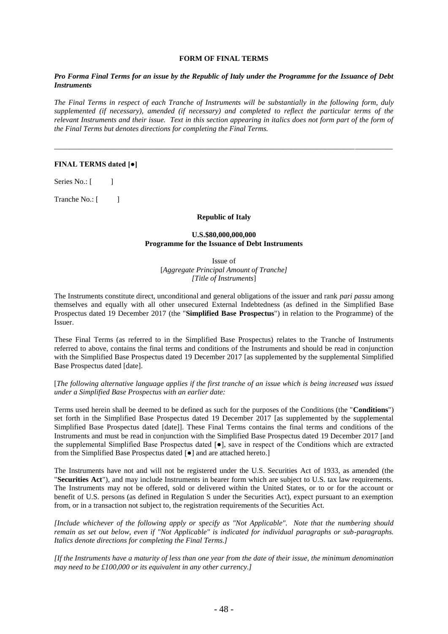#### **FORM OF FINAL TERMS**

# *Pro Forma Final Terms for an issue by the Republic of Italy under the Programme for the Issuance of Debt Instruments*

*The Final Terms in respect of each Tranche of Instruments will be substantially in the following form, duly supplemented (if necessary), amended (if necessary) and completed to reflect the particular terms of the relevant Instruments and their issue. Text in this section appearing in italics does not form part of the form of the Final Terms but denotes directions for completing the Final Terms.*

\_\_\_\_\_\_\_\_\_\_\_\_\_\_\_\_\_\_\_\_\_\_\_\_\_\_\_\_\_\_\_\_\_\_\_\_\_\_\_\_\_\_\_\_\_\_\_\_\_\_\_\_\_\_\_\_\_\_\_\_\_\_\_\_\_\_\_\_\_\_\_\_\_\_\_\_\_\_\_\_\_\_\_\_\_\_\_\_\_\_

# **FINAL TERMS dated [●]**

Series No.: [ ]

Tranche No.: [ ]

#### **Republic of Italy**

## **U.S.\$80,000,000,000 Programme for the Issuance of Debt Instruments**

Issue of [*Aggregate Principal Amount of Tranche] [Title of Instruments*]

The Instruments constitute direct, unconditional and general obligations of the issuer and rank *pari passu* among themselves and equally with all other unsecured External Indebtedness (as defined in the Simplified Base Prospectus dated 19 December 2017 (the "**Simplified Base Prospectus**") in relation to the Programme) of the Issuer.

These Final Terms (as referred to in the Simplified Base Prospectus) relates to the Tranche of Instruments referred to above, contains the final terms and conditions of the Instruments and should be read in conjunction with the Simplified Base Prospectus dated 19 December 2017 [as supplemented by the supplemental Simplified Base Prospectus dated [date].

[*The following alternative language applies if the first tranche of an issue which is being increased was issued under a Simplified Base Prospectus with an earlier date:*

Terms used herein shall be deemed to be defined as such for the purposes of the Conditions (the "**Conditions**") set forth in the Simplified Base Prospectus dated 19 December 2017 [as supplemented by the supplemental Simplified Base Prospectus dated [date]]. These Final Terms contains the final terms and conditions of the Instruments and must be read in conjunction with the Simplified Base Prospectus dated 19 December 2017 [and the supplemental Simplified Base Prospectus dated [●], save in respect of the Conditions which are extracted from the Simplified Base Prospectus dated  $[\bullet]$  and are attached hereto.]

The Instruments have not and will not be registered under the U.S. Securities Act of 1933, as amended (the "**Securities Act**"), and may include Instruments in bearer form which are subject to U.S. tax law requirements. The Instruments may not be offered, sold or delivered within the United States, or to or for the account or benefit of U.S. persons (as defined in Regulation S under the Securities Act), expect pursuant to an exemption from, or in a transaction not subject to, the registration requirements of the Securities Act.

*[Include whichever of the following apply or specify as "Not Applicable". Note that the numbering should remain as set out below, even if "Not Applicable" is indicated for individual paragraphs or sub-paragraphs. Italics denote directions for completing the Final Terms.]*

*[If the Instruments have a maturity of less than one year from the date of their issue, the minimum denomination may need to be £100,000 or its equivalent in any other currency.]*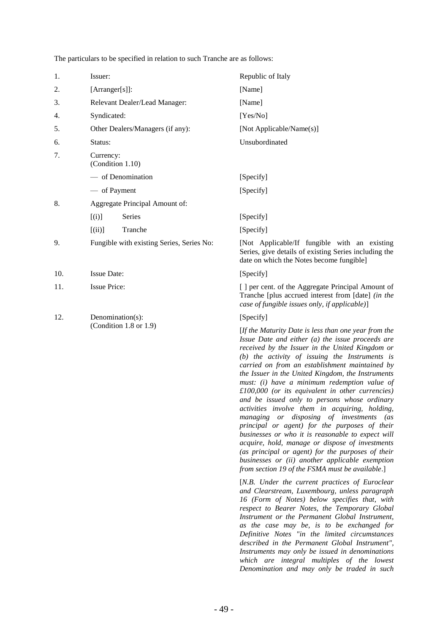The particulars to be specified in relation to such Tranche are as follows:

| 1.  | Issuer:                                   | Republic of Italy                                                                                                                                                                                                                                                                                                                                                                                                                                                                                                                                                                                                                                                                                                                                                                                                                                                                              |
|-----|-------------------------------------------|------------------------------------------------------------------------------------------------------------------------------------------------------------------------------------------------------------------------------------------------------------------------------------------------------------------------------------------------------------------------------------------------------------------------------------------------------------------------------------------------------------------------------------------------------------------------------------------------------------------------------------------------------------------------------------------------------------------------------------------------------------------------------------------------------------------------------------------------------------------------------------------------|
| 2.  | [Arranger[s]]:                            | [Name]                                                                                                                                                                                                                                                                                                                                                                                                                                                                                                                                                                                                                                                                                                                                                                                                                                                                                         |
| 3.  | Relevant Dealer/Lead Manager:             | [Name]                                                                                                                                                                                                                                                                                                                                                                                                                                                                                                                                                                                                                                                                                                                                                                                                                                                                                         |
| 4.  | Syndicated:                               | [Yes/No]                                                                                                                                                                                                                                                                                                                                                                                                                                                                                                                                                                                                                                                                                                                                                                                                                                                                                       |
| 5.  | Other Dealers/Managers (if any):          | [Not Applicable/Name(s)]                                                                                                                                                                                                                                                                                                                                                                                                                                                                                                                                                                                                                                                                                                                                                                                                                                                                       |
| 6.  | Status:                                   | Unsubordinated                                                                                                                                                                                                                                                                                                                                                                                                                                                                                                                                                                                                                                                                                                                                                                                                                                                                                 |
| 7.  | Currency:<br>(Condition 1.10)             |                                                                                                                                                                                                                                                                                                                                                                                                                                                                                                                                                                                                                                                                                                                                                                                                                                                                                                |
|     | - of Denomination                         | [Specify]                                                                                                                                                                                                                                                                                                                                                                                                                                                                                                                                                                                                                                                                                                                                                                                                                                                                                      |
|     | — of Payment                              | [Specify]                                                                                                                                                                                                                                                                                                                                                                                                                                                                                                                                                                                                                                                                                                                                                                                                                                                                                      |
| 8.  | Aggregate Principal Amount of:            |                                                                                                                                                                                                                                                                                                                                                                                                                                                                                                                                                                                                                                                                                                                                                                                                                                                                                                |
|     | Series<br>[(i)]                           | [Specify]                                                                                                                                                                                                                                                                                                                                                                                                                                                                                                                                                                                                                                                                                                                                                                                                                                                                                      |
|     | [(ii)]<br>Tranche                         | [Specify]                                                                                                                                                                                                                                                                                                                                                                                                                                                                                                                                                                                                                                                                                                                                                                                                                                                                                      |
| 9.  | Fungible with existing Series, Series No: | [Not Applicable/If fungible with an existing<br>Series, give details of existing Series including the<br>date on which the Notes become fungible]                                                                                                                                                                                                                                                                                                                                                                                                                                                                                                                                                                                                                                                                                                                                              |
| 10. | <b>Issue Date:</b>                        | [Specify]                                                                                                                                                                                                                                                                                                                                                                                                                                                                                                                                                                                                                                                                                                                                                                                                                                                                                      |
| 11. | <b>Issue Price:</b>                       | [ ] per cent. of the Aggregate Principal Amount of<br>Tranche [plus accrued interest from [date] (in the<br>case of fungible issues only, if applicable)]                                                                                                                                                                                                                                                                                                                                                                                                                                                                                                                                                                                                                                                                                                                                      |
| 12. | Denomination(s):                          | [Specify]                                                                                                                                                                                                                                                                                                                                                                                                                                                                                                                                                                                                                                                                                                                                                                                                                                                                                      |
|     | (Condition 1.8 or 1.9)                    | [If the Maturity Date is less than one year from the<br>Issue Date and either (a) the issue proceeds are<br>received by the Issuer in the United Kingdom or<br>$(b)$ the activity of issuing the Instruments is<br>carried on from an establishment maintained by<br>the Issuer in the United Kingdom, the Instruments<br>must: (i) have a minimum redemption value of<br>$£100,000$ (or its equivalent in other currencies)<br>and be issued only to persons whose ordinary<br>activities involve them in acquiring, holding,<br>managing or disposing of investments (as<br>principal or agent) for the purposes of their<br>businesses or who it is reasonable to expect will<br>acquire, hold, manage or dispose of investments<br>(as principal or agent) for the purposes of their<br>businesses or (ii) another applicable exemption<br>from section 19 of the FSMA must be available.] |
|     |                                           | [N.B. Under the current practices of Euroclear<br>and Clearstream, Luxembourg, unless paragraph<br>16 (Form of Notes) below specifies that, with                                                                                                                                                                                                                                                                                                                                                                                                                                                                                                                                                                                                                                                                                                                                               |

*<i>a and paragraph 16 (Form of Notes) below specifies that, with respect to Bearer Notes, the Temporary Global Instrument or the Permanent Global Instrument, as the case may be, is to be exchanged for Definitive Notes "in the limited circumstances described in the Permanent Global Instrument", Instruments may only be issued in denominations which are integral multiples of the lowest Denomination and may only be traded in such*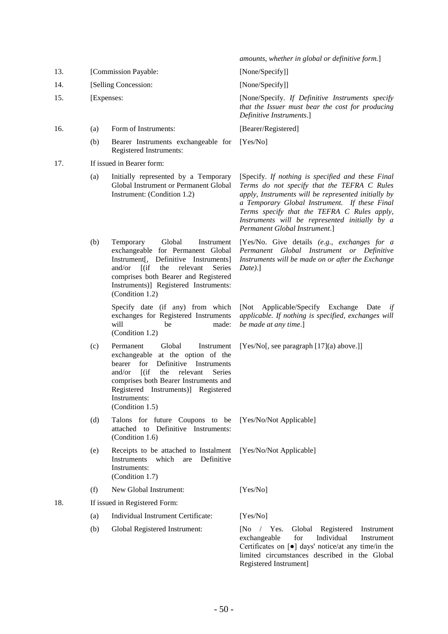|     |                      |                                                                                                                                                                                                                                                                                           | amounts, whether in global or definitive form.]                                                                                                                                                                                                                                                                                            |  |
|-----|----------------------|-------------------------------------------------------------------------------------------------------------------------------------------------------------------------------------------------------------------------------------------------------------------------------------------|--------------------------------------------------------------------------------------------------------------------------------------------------------------------------------------------------------------------------------------------------------------------------------------------------------------------------------------------|--|
| 13. | [Commission Payable: |                                                                                                                                                                                                                                                                                           | [None/Specify]]                                                                                                                                                                                                                                                                                                                            |  |
| 14. |                      | [Selling Concession:                                                                                                                                                                                                                                                                      | [None/Specify]]                                                                                                                                                                                                                                                                                                                            |  |
| 15. |                      | [Expenses:                                                                                                                                                                                                                                                                                | [None/Specify. If Definitive Instruments specify<br>that the Issuer must bear the cost for producing<br>Definitive Instruments.]                                                                                                                                                                                                           |  |
| 16. | (a)                  | Form of Instruments:                                                                                                                                                                                                                                                                      | [Bearer/Registered]                                                                                                                                                                                                                                                                                                                        |  |
|     | (b)                  | Bearer Instruments exchangeable for<br>Registered Instruments:                                                                                                                                                                                                                            | [Yes/No]                                                                                                                                                                                                                                                                                                                                   |  |
| 17. |                      | If issued in Bearer form:                                                                                                                                                                                                                                                                 |                                                                                                                                                                                                                                                                                                                                            |  |
|     | (a)                  | Initially represented by a Temporary<br>Global Instrument or Permanent Global<br>Instrument: (Condition 1.2)                                                                                                                                                                              | [Specify. If nothing is specified and these Final<br>Terms do not specify that the TEFRA C Rules<br>apply, Instruments will be represented initially by<br>a Temporary Global Instrument. If these Final<br>Terms specify that the TEFRA C Rules apply,<br>Instruments will be represented initially by a<br>Permanent Global Instrument.] |  |
|     | (b)                  | Global<br>Temporary<br>Instrument<br>exchangeable for Permanent Global<br>Instrument[, Definitive Instruments]<br>and/or<br>$\int (if)$<br>the<br>relevant<br><b>Series</b><br>comprises both Bearer and Registered<br>Instruments)] Registered Instruments:<br>(Condition 1.2)           | [Yes/No. Give details (e.g., exchanges for a<br>Permanent Global Instrument or Definitive<br>Instruments will be made on or after the Exchange<br>$Date$ .]                                                                                                                                                                                |  |
|     |                      | Specify date (if any) from which<br>exchanges for Registered Instruments<br>will<br>made:<br>be<br>(Condition 1.2)                                                                                                                                                                        | Applicable/Specify Exchange Date<br>$\sqrt{\text{Not}}$<br>if<br>applicable. If nothing is specified, exchanges will<br>be made at any time.]                                                                                                                                                                                              |  |
|     | (c)                  | Global<br>Permanent<br>Instrument<br>exchangeable at the option of the<br>Definitive<br>for<br>Instruments<br>bearer<br>$[$ (if<br>the<br>and/or<br>relevant<br>Series<br>comprises both Bearer Instruments and<br>Registered Instruments)] Registered<br>Instruments:<br>(Condition 1.5) | [Yes/No[, see paragraph $[17](a)$ above.]]                                                                                                                                                                                                                                                                                                 |  |
|     | (d)                  | Talons for future Coupons to be<br>attached to Definitive Instruments:<br>(Condition 1.6)                                                                                                                                                                                                 | [Yes/No/Not Applicable]                                                                                                                                                                                                                                                                                                                    |  |
|     | (e)                  | Receipts to be attached to Instalment<br>Instruments<br>Definitive<br>which<br>are<br>Instruments:<br>(Condition 1.7)                                                                                                                                                                     | [Yes/No/Not Applicable]                                                                                                                                                                                                                                                                                                                    |  |
|     | (f)                  | New Global Instrument:                                                                                                                                                                                                                                                                    | [Yes/No]                                                                                                                                                                                                                                                                                                                                   |  |
| 18. |                      | If issued in Registered Form:                                                                                                                                                                                                                                                             |                                                                                                                                                                                                                                                                                                                                            |  |
|     | (a)                  | Individual Instrument Certificate:                                                                                                                                                                                                                                                        | [Yes/No]                                                                                                                                                                                                                                                                                                                                   |  |
|     | (b)                  | Global Registered Instrument:                                                                                                                                                                                                                                                             | $[No \t  Yes.$<br>Global<br>Registered<br>Instrument<br>exchangeable<br>for<br>Individual<br>Instrument<br>Certificates on [ $\bullet$ ] days' notice/at any time/in the<br>limited circumstances described in the Global<br>Registered Instrument]                                                                                        |  |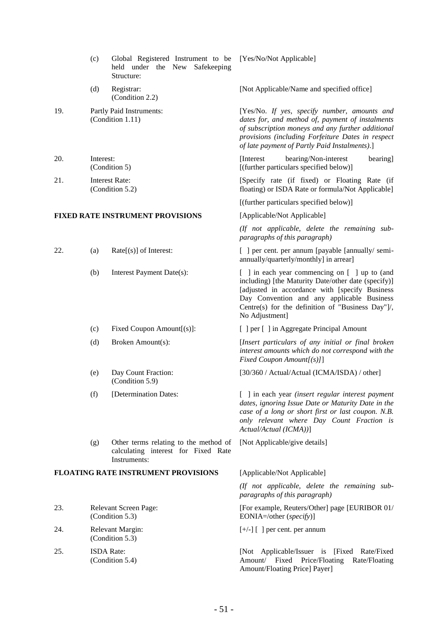|     | (c)               | Global Registered Instrument to be<br>held under the New<br>Safekeeping<br>Structure:        | [Yes/No/Not Applicable]                                                                                                                                                                                                                                                     |
|-----|-------------------|----------------------------------------------------------------------------------------------|-----------------------------------------------------------------------------------------------------------------------------------------------------------------------------------------------------------------------------------------------------------------------------|
|     | (d)               | Registrar:<br>(Condition 2.2)                                                                | [Not Applicable/Name and specified office]                                                                                                                                                                                                                                  |
| 19. |                   | Partly Paid Instruments:<br>(Condition 1.11)                                                 | [Yes/No. If yes, specify number, amounts and<br>dates for, and method of, payment of instalments<br>of subscription moneys and any further additional<br>provisions (including Forfeiture Dates in respect<br>of late payment of Partly Paid Instalments).]                 |
| 20. | Interest:         | (Condition 5)                                                                                | bearing/Non-interest<br>[Interest]<br>bearing]<br>[(further particulars specified below)]                                                                                                                                                                                   |
| 21. |                   | <b>Interest Rate:</b><br>(Condition 5.2)                                                     | [Specify rate (if fixed) or Floating Rate (if<br>floating) or ISDA Rate or formula/Not Applicable]                                                                                                                                                                          |
|     |                   |                                                                                              | [(further particulars specified below)]                                                                                                                                                                                                                                     |
|     |                   | FIXED RATE INSTRUMENT PROVISIONS                                                             | [Applicable/Not Applicable]                                                                                                                                                                                                                                                 |
|     |                   |                                                                                              | (If not applicable, delete the remaining sub-<br>paragraphs of this paragraph)                                                                                                                                                                                              |
| 22. | (a)               | $Rate[s]$ of Interest:                                                                       | [ ] per cent. per annum [payable [annually/ semi-<br>annually/quarterly/monthly] in arrear]                                                                                                                                                                                 |
|     | (b)               | Interest Payment Date(s):                                                                    | [ ] in each year commencing on [ ] up to (and<br>including) [the Maturity Date/other date (specify)]<br>[adjusted in accordance with [specify Business<br>Day Convention and any applicable Business<br>Centre(s) for the definition of "Business Day"]/,<br>No Adjustment] |
|     | (c)               | Fixed Coupon Amount[(s)]:                                                                    | [ ] per [ ] in Aggregate Principal Amount                                                                                                                                                                                                                                   |
|     | (d)               | Broken Amount(s):                                                                            | [Insert particulars of any initial or final broken<br>interest amounts which do not correspond with the<br>Fixed Coupon Amount[(s)]]                                                                                                                                        |
|     | (e)               | Day Count Fraction:<br>(Condition 5.9)                                                       | [30/360 / Actual/Actual (ICMA/ISDA) / other]                                                                                                                                                                                                                                |
|     | (f)               | [Determination Dates:                                                                        | [ ] in each year (insert regular interest payment<br>dates, ignoring Issue Date or Maturity Date in the<br>case of a long or short first or last coupon. N.B.<br>only relevant where Day Count Fraction is<br>Actual/Actual (ICMA))]                                        |
|     | (g)               | Other terms relating to the method of<br>calculating interest for Fixed Rate<br>Instruments: | [Not Applicable/give details]                                                                                                                                                                                                                                               |
|     |                   | FLOATING RATE INSTRUMENT PROVISIONS                                                          | [Applicable/Not Applicable]                                                                                                                                                                                                                                                 |
|     |                   |                                                                                              | (If not applicable, delete the remaining sub-<br>paragraphs of this paragraph)                                                                                                                                                                                              |
| 23. |                   | Relevant Screen Page:<br>(Condition 5.3)                                                     | [For example, Reuters/Other] page [EURIBOR 01/<br>EONIA=/other (specify)]                                                                                                                                                                                                   |
| 24. |                   | Relevant Margin:<br>(Condition 5.3)                                                          | $[+/$ ] [ ] per cent. per annum                                                                                                                                                                                                                                             |
| 25. | <b>ISDA</b> Rate: | (Condition 5.4)                                                                              | [Not Applicable/Issuer is [Fixed Rate/Fixed]<br>Amount/ Fixed Price/Floating<br>Rate/Floating<br>Amount/Floating Price] Payer]                                                                                                                                              |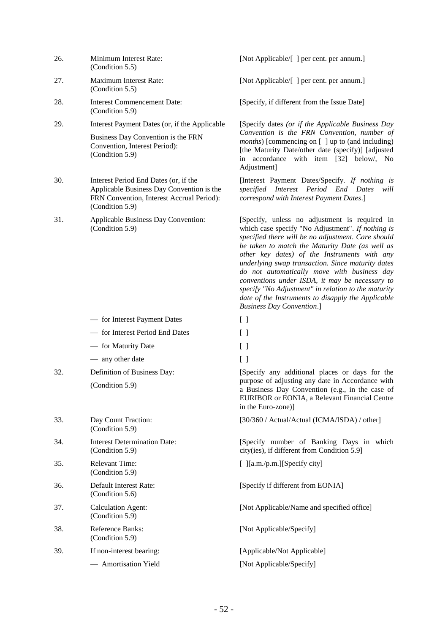| 26. | Minimum Interest Rate: |
|-----|------------------------|
|     | (Condition 5.5)        |

- 27. Maximum Interest Rate: (Condition 5.5)
- 28. **Interest Commencement Date:** (Condition 5.9)
- 29. Interest Payment Dates (or, if the Applicable

Business Day Convention is the FRN Convention, Interest Period): (Condition 5.9)

- 30. Interest Period End Dates (or, if the Applicable Business Day Convention is the FRN Convention, Interest Accrual Period): (Condition 5.9)
- 31. Applicable Business Day Convention: (Condition 5.9)

- for Interest Payment Dates [ ]
- for Interest Period End Dates [ ]
- for Maturity Date [ ]
- any other date [ ]
- 32. Definition of Business Day: (Condition 5.9)

| 33. | Day Count Fraction:<br>(Condition 5.9)          |
|-----|-------------------------------------------------|
| 34. | Interest Determination Date:<br>(Condition 5.9) |
| 35. | Relevant Time:<br>(Condition 5.9)               |
| 36. | Default Interest Rate:<br>(Condition 5.6)       |
| 37. | Calculation Agent:<br>(Condition 5.9)           |
| 38. | Reference Banks:<br>(Condition 5.9)             |
| 39. | If non-interest bearing:                        |
|     | — Amortisation Yield                            |

[Not Applicable/[ ] per cent. per annum.]

[Not Applicable/[ ] per cent. per annum.]

[Specify, if different from the Issue Date]

[Specify dates *(or if the Applicable Business Day Convention is the FRN Convention, number of months*) [commencing on [ ] up to (and including) [the Maturity Date/other date (specify)] [adjusted in accordance with item [32] below/, No Adjustment]

[Interest Payment Dates/Specify. *If nothing is specified Interest Period End Dates will correspond with Interest Payment Dates*.]

[Specify, unless no adjustment is required in which case specify "No Adjustment". *If nothing is specified there will be no adjustment. Care should be taken to match the Maturity Date (as well as other key dates) of the Instruments with any underlying swap transaction. Since maturity dates do not automatically move with business day conventions under ISDA, it may be necessary to specify "No Adjustment" in relation to the maturity date of the Instruments to disapply the Applicable Business Day Convention*.]

- 
- 
- 
- 

[Specify any additional places or days for the purpose of adjusting any date in Accordance with a Business Day Convention (e.g., in the case of EURIBOR or EONIA, a Relevant Financial Centre in the Euro-zone)]

[30/360 / Actual/Actual (ICMA/ISDA) / other]

[Specify number of Banking Days in which city(ies), if different from Condition 5.9]

[ ][a.m./p.m.][Specify city]

[Specify if different from EONIA]

[Not Applicable/Name and specified office]

[Not Applicable/Specify]

[Applicable/Not Applicable] [Not Applicable/Specify]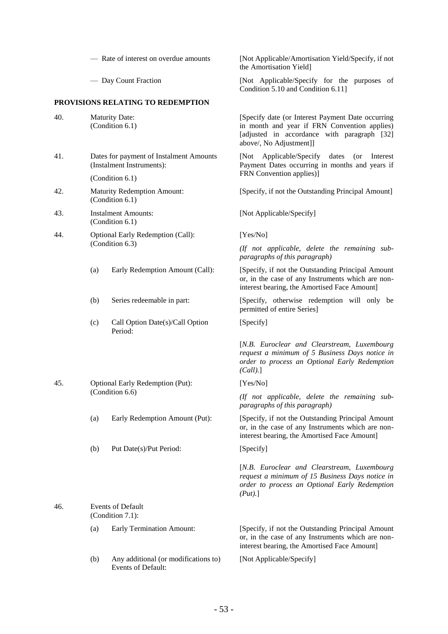#### **PROVISIONS RELATING TO REDEMPTION**

| 40. |     | <b>Maturity Date:</b><br>(Condition 6.1)                             | [Specify]<br>in month<br>[adjusted<br>above/, N  |
|-----|-----|----------------------------------------------------------------------|--------------------------------------------------|
| 41. |     | Dates for payment of Instalment Amounts<br>(Instalment Instruments): | [Not]<br>$\mathsf{A}$<br>Payment<br>FRN Con      |
|     |     | (Condition 6.1)                                                      |                                                  |
| 42. |     | <b>Maturity Redemption Amount:</b><br>(Condition 6.1)                | [Specify,                                        |
| 43. |     | <b>Instalment Amounts:</b><br>(Condition 6.1)                        | [Not App                                         |
| 44. |     | Optional Early Redemption (Call):                                    | [Yes/No]                                         |
|     |     | (Condition 6.3)                                                      | $($ ff not<br>paragrap                           |
|     | (a) | Early Redemption Amount (Call):                                      | [Specify,<br>or, in the<br>interest b            |
|     | (b) | Series redeemable in part:                                           | [Specify,<br>permitted                           |
|     | (c) | Call Option Date(s)/Call Option<br>Period:                           | [Specify]                                        |
|     |     |                                                                      | $[N.B. \tEu$<br>request a<br>order to<br>(Call). |
| 45. |     | Optional Early Redemption (Put):                                     | [Yes/No]                                         |
|     |     | (Condition 6.6)                                                      | $($ <i>If</i> not<br>paragrap                    |
|     | (a) | Early Redemption Amount (Put):                                       | [Specify,<br>or, in the<br>interest b            |
|     | (b) | Put Date(s)/Put Period:                                              | [Specify]                                        |

46. Events of Default (Condition 7.1):

> (b) Any additional (or modifications to) Events of Default:

— Rate of interest on overdue amounts [Not Applicable/Amortisation Yield/Specify, if not the Amortisation Yield]

— Day Count Fraction [Not Applicable/Specify for the purposes of Condition 5.10 and Condition 6.11]

> [Specify date (or Interest Payment Date occurring in month and year if FRN Convention applies) [adjusted in accordance with paragraph [32] above/, No Adjustment]]

> [Not Applicable/Specify dates (or Interest Payment Dates occurring in months and years if FRN Convention applies)]

> [Specify, if not the Outstanding Principal Amount]

[Not Applicable/Specify]

*(If not applicable, delete the remaining subparagraphs of this paragraph)*

[Specify, if not the Outstanding Principal Amount or, in the case of any Instruments which are noninterest bearing, the Amortised Face Amount]

(Specify, otherwise redemption will only be permitted of entire Series]

[Specify]

[*N.B. Euroclear and Clearstream, Luxembourg request a minimum of 5 Business Days notice in order to process an Optional Early Redemption (Call).*]

[Yes/No]

*(If not applicable, delete the remaining subparagraphs of this paragraph)*

[Specify, if not the Outstanding Principal Amount or, in the case of any Instruments which are noninterest bearing, the Amortised Face Amount]

[*N.B. Euroclear and Clearstream, Luxembourg request a minimum of 15 Business Days notice in order to process an Optional Early Redemption (Put).*]

(a) Early Termination Amount: [Specify, if not the Outstanding Principal Amount or, in the case of any Instruments which are noninterest bearing, the Amortised Face Amount]

[Not Applicable/Specify]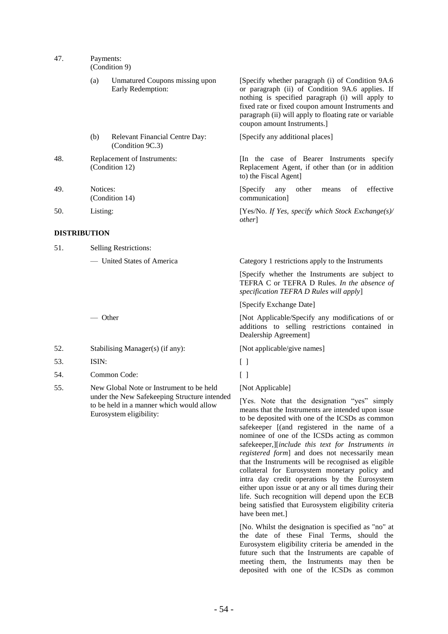47. Payments:

(Condition 9)

| (a) | Unmatured Coupons missing upon |
|-----|--------------------------------|
|     | Early Redemption:              |

- (b) Relevant Financial Centre Day: (Condition 9C.3)
- 48. Replacement of Instruments: (Condition 12)
- 49. Notices: (Condition 14)

#### **DISTRIBUTION**

| <b>Selling Restrictions:</b><br>51. |  |
|-------------------------------------|--|
|                                     |  |

- 52. Stabilising Manager(s) (if any): [Not applicable/give names]
- 53. ISIN: [ ]
- 54. Common Code: [ ]
- 55. New Global Note or Instrument to be held under the New Safekeeping Structure intended to be held in a manner which would allow Eurosystem eligibility:

[Specify whether paragraph (i) of Condition 9A.6 or paragraph (ii) of Condition 9A.6 applies. If nothing is specified paragraph (i) will apply to fixed rate or fixed coupon amount Instruments and paragraph (ii) will apply to floating rate or variable coupon amount Instruments.]

[Specify any additional places]

[In the case of Bearer Instruments specify Replacement Agent, if other than (or in addition to) the Fiscal Agent]

[Specify any other means of effective communication]

50. Listing: [Yes/No. *If Yes, specify which Stock Exchange(s)/ other*]

— United States of America Category 1 restrictions apply to the Instruments

[Specify whether the Instruments are subject to TEFRA C or TEFRA D Rules. *In the absence of specification TEFRA D Rules will apply*]

[Specify Exchange Date]

— Other **Example 2** [Not Applicable/Specify any modifications of or additions to selling restrictions contained in Dealership Agreement]

[Not Applicable]

[Yes. Note that the designation "yes" simply means that the Instruments are intended upon issue to be deposited with one of the ICSDs as common safekeeper [(and registered in the name of a nominee of one of the ICSDs acting as common safekeeper,][*include this text for Instruments in registered form*] and does not necessarily mean that the Instruments will be recognised as eligible collateral for Eurosystem monetary policy and intra day credit operations by the Eurosystem either upon issue or at any or all times during their life. Such recognition will depend upon the ECB being satisfied that Eurosystem eligibility criteria have been met.]

[No. Whilst the designation is specified as "no" at the date of these Final Terms, should the Eurosystem eligibility criteria be amended in the future such that the Instruments are capable of meeting them, the Instruments may then be deposited with one of the ICSDs as common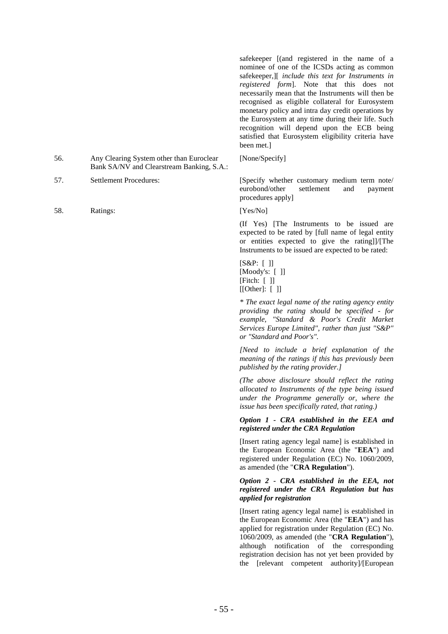safekeeper [(and registered in the name of a nominee of one of the ICSDs acting as common safekeeper,][ *include this text for Instruments in registered form*]. Note that this does not necessarily mean that the Instruments will then be recognised as eligible collateral for Eurosystem monetary policy and intra day credit operations by the Eurosystem at any time during their life. Such recognition will depend upon the ECB being satisfied that Eurosystem eligibility criteria have been met.]

[None/Specify]

57. Settlement Procedures: [Specify whether customary medium term note/ eurobond/other settlement and payment procedures apply]

(If Yes) [The Instruments to be issued are expected to be rated by [full name of legal entity or entities expected to give the rating]]/[The Instruments to be issued are expected to be rated:

[S&P: [ ]] [Moody's: [ ]] [Fitch: [ ]]  $[[Other]: [ ]]$ 

*\* The exact legal name of the rating agency entity providing the rating should be specified - for example, "Standard & Poor's Credit Market Services Europe Limited", rather than just "S&P" or "Standard and Poor's".*

*[Need to include a brief explanation of the meaning of the ratings if this has previously been published by the rating provider.]*

*(The above disclosure should reflect the rating allocated to Instruments of the type being issued under the Programme generally or, where the issue has been specifically rated, that rating.)*

# *Option 1 - CRA established in the EEA and registered under the CRA Regulation*

[Insert rating agency legal name] is established in the European Economic Area (the "**EEA**") and registered under Regulation (EC) No. 1060/2009, as amended (the "**CRA Regulation**").

# *Option 2 - CRA established in the EEA, not registered under the CRA Regulation but has applied for registration*

[Insert rating agency legal name] is established in the European Economic Area (the "**EEA**") and has applied for registration under Regulation (EC) No. 1060/2009, as amended (the "**CRA Regulation**"), although notification of the corresponding registration decision has not yet been provided by the [relevant competent authority]/[European

- 56. Any Clearing System other than Euroclear Bank SA/NV and Clearstream Banking, S.A.:
- 
- 58. Ratings: [Yes/No]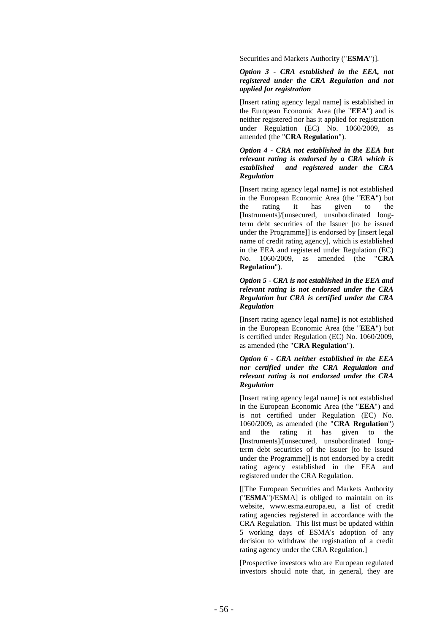Securities and Markets Authority ("**ESMA**")].

#### *Option 3 - CRA established in the EEA, not registered under the CRA Regulation and not applied for registration*

[Insert rating agency legal name] is established in the European Economic Area (the "**EEA**") and is neither registered nor has it applied for registration under Regulation (EC) No. 1060/2009, as amended (the "**CRA Regulation**").

# *Option 4 - CRA not established in the EEA but relevant rating is endorsed by a CRA which is established and registered under the CRA Regulation*

[Insert rating agency legal name] is not established in the European Economic Area (the "**EEA**") but the rating it has given to the [Instruments]/[unsecured, unsubordinated long term debt securities of the Issuer [to be issued under the Programme]] is endorsed by [insert legal name of credit rating agency], which is established in the EEA and registered under Regulation (EC) No. 1060/2009, as amended (the "**CRA Regulation**").

## *Option 5 - CRA is not established in the EEA and relevant rating is not endorsed under the CRA Regulation but CRA is certified under the CRA Regulation*

[Insert rating agency legal name] is not established in the European Economic Area (the "**EEA**") but is certified under Regulation (EC) No. 1060/2009, as amended (the "**CRA Regulation**").

## *Option 6 - CRA neither established in the EEA nor certified under the CRA Regulation and relevant rating is not endorsed under the CRA Regulation*

[Insert rating agency legal name] is not established in the European Economic Area (the "**EEA**") and is not certified under Regulation (EC) No. 1060/2009, as amended (the "**CRA Regulation**") and the rating it has given to the [Instruments]/[unsecured, unsubordinated long term debt securities of the Issuer [to be issued under the Programme]] is not endorsed by a credit rating agency established in the EEA and registered under the CRA Regulation.

[[The European Securities and Markets Authority ("**ESMA**")/ESMA] is obliged to maintain on its website, www.esma.europa.eu, a list of credit rating agencies registered in accordance with the CRA Regulation. This list must be updated within 5 working days of ESMA's adoption of any decision to withdraw the registration of a credit rating agency under the CRA Regulation. ]

[Prospective investors who are European regulated investors should note that, in general, they are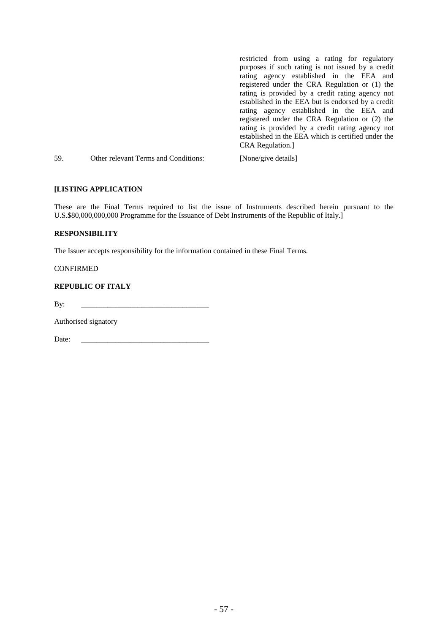|     |                                      | restricted from using a rating for regulatory       |
|-----|--------------------------------------|-----------------------------------------------------|
|     |                                      | purposes if such rating is not issued by a credit   |
|     |                                      | rating agency established in the EEA and            |
|     |                                      | registered under the CRA Regulation or (1) the      |
|     |                                      | rating is provided by a credit rating agency not    |
|     |                                      | established in the EEA but is endorsed by a credit  |
|     |                                      | rating agency established in the EEA and            |
|     |                                      | registered under the CRA Regulation or (2) the      |
|     |                                      | rating is provided by a credit rating agency not    |
|     |                                      | established in the EEA which is certified under the |
|     |                                      | CRA Regulation.]                                    |
| 59. | Other relevant Terms and Conditions: | [None/give details]                                 |

# **[LISTING APPLICATION**

These are the Final Terms required to list the issue of Instruments described herein pursuant to the U.S.\$80,000,000,000 Programme for the Issuance of Debt Instruments of the Republic of Italy.]

# **RESPONSIBILITY**

The Issuer accepts responsibility for the information contained in these Final Terms.

CONFIRMED

# **REPUBLIC OF ITALY**

By: \_\_\_\_\_\_\_\_\_\_\_\_\_\_\_\_\_\_\_\_\_\_\_\_\_\_\_\_\_\_\_\_\_\_

Authorised signatory

Date: \_\_\_\_\_\_\_\_\_\_\_\_\_\_\_\_\_\_\_\_\_\_\_\_\_\_\_\_\_\_\_\_\_\_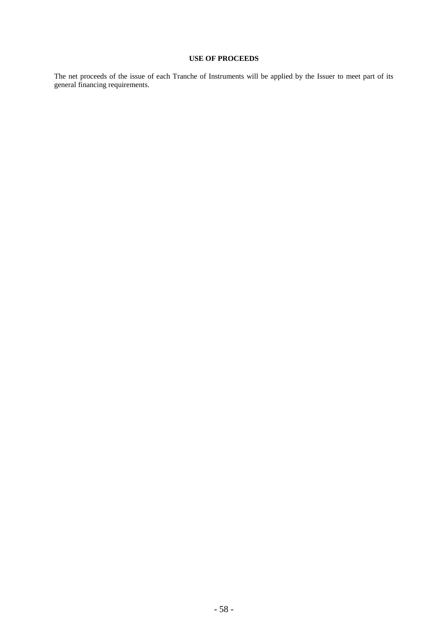# **USE OF PROCEEDS**

The net proceeds of the issue of each Tranche of Instruments will be applied by the Issuer to meet part of its general financing requirements.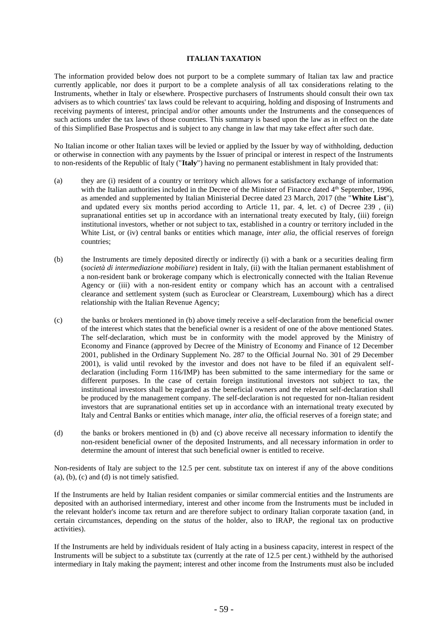#### **ITALIAN TAXATION**

The information provided below does not purport to be a complete summary of Italian tax law and practice currently applicable, nor does it purport to be a complete analysis of all tax considerations relating to the Instruments, whether in Italy or elsewhere. Prospective purchasers of Instruments should consult their own tax advisers as to which countries' tax laws could be relevant to acquiring, holding and disposing of Instruments and receiving payments of interest, principal and/or other amounts under the Instruments and the consequences of such actions under the tax laws of those countries. This summary is based upon the law as in effect on the date of this Simplified Base Prospectus and is subject to any change in law that may take effect after such date.

No Italian income or other Italian taxes will be levied or applied by the Issuer by way of withholding, deduction or otherwise in connection with any payments by the Issuer of principal or interest in respect of the Instruments to non-residents of the Republic of Italy ("**Italy**") having no permanent establishment in Italy provided that:

- (a) they are (i) resident of a country or territory which allows for a satisfactory exchange of information with the Italian authorities included in the Decree of the Minister of Finance dated 4<sup>th</sup> September, 1996, as amended and supplemented by Italian Ministerial Decree dated 23 March, 2017 (the "**White List**"), and updated every six months period according to Article 11, par. 4, let. c) of Decree 239 , (ii) supranational entities set up in accordance with an international treaty executed by Italy, (iii) foreign institutional investors, whether or not subject to tax, established in a country or territory included in the White List, or (iv) central banks or entities which manage, *inter alia*, the official reserves of foreign countries;
- (b) the Instruments are timely deposited directly or indirectly (i) with a bank or a securities dealing firm (*società di intermediazione mobiliare*) resident in Italy, (ii) with the Italian permanent establishment of a non-resident bank or brokerage company which is electronically connected with the Italian Revenue Agency or (iii) with a non-resident entity or company which has an account with a centralised clearance and settlement system (such as Euroclear or Clearstream, Luxembourg) which has a direct relationship with the Italian Revenue Agency;
- (c) the banks or brokers mentioned in (b) above timely receive a self-declaration from the beneficial owner of the interest which states that the beneficial owner is a resident of one of the above mentioned States. The self-declaration, which must be in conformity with the model approved by the Ministry of Economy and Finance (approved by Decree of the Ministry of Economy and Finance of 12 December 2001, published in the Ordinary Supplement No. 287 to the Official Journal No. 301 of 29 December 2001), is valid until revoked by the investor and does not have to be filed if an equivalent selfdeclaration (including Form 116/IMP) has been submitted to the same intermediary for the same or different purposes. In the case of certain foreign institutional investors not subject to tax, the institutional investors shall be regarded as the beneficial owners and the relevant self-declaration shall be produced by the management company. The self-declaration is not requested for non-Italian resident investors that are supranational entities set up in accordance with an international treaty executed by Italy and Central Banks or entities which manage, *inter alia*, the official reserves of a foreign state; and
- (d) the banks or brokers mentioned in (b) and (c) above receive all necessary information to identify the non-resident beneficial owner of the deposited Instruments, and all necessary information in order to determine the amount of interest that such beneficial owner is entitled to receive.

Non-residents of Italy are subject to the 12.5 per cent. substitute tax on interest if any of the above conditions  $(a)$ ,  $(b)$ ,  $(c)$  and  $(d)$  is not timely satisfied.

If the Instruments are held by Italian resident companies or similar commercial entities and the Instruments are deposited with an authorised intermediary, interest and other income from the Instruments must be included in the relevant holder's income tax return and are therefore subject to ordinary Italian corporate taxation (and, in certain circumstances, depending on the *status* of the holder, also to IRAP, the regional tax on productive activities).

If the Instruments are held by individuals resident of Italy acting in a business capacity, interest in respect of the Instruments will be subject to a substitute tax (currently at the rate of 12.5 per cent.) withheld by the authorised intermediary in Italy making the payment; interest and other income from the Instruments must also be included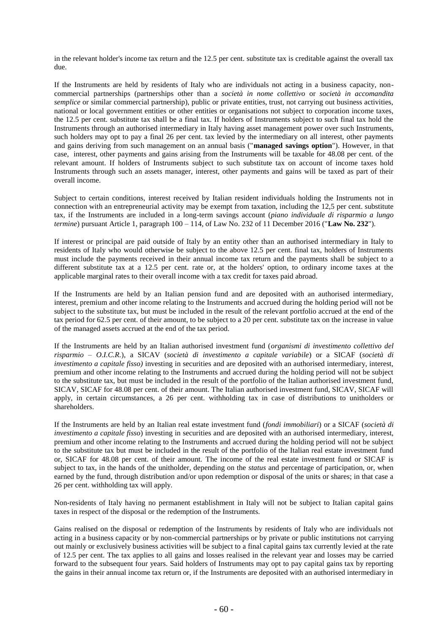in the relevant holder's income tax return and the 12.5 per cent. substitute tax is creditable against the overall tax due.

If the Instruments are held by residents of Italy who are individuals not acting in a business capacity, noncommercial partnerships (partnerships other than a *società in nome collettivo* or *società in accomandita semplice* or similar commercial partnership), public or private entities, trust, not carrying out business activities, national or local government entities or other entities or organisations not subject to corporation income taxes, the 12.5 per cent. substitute tax shall be a final tax. If holders of Instruments subject to such final tax hold the Instruments through an authorised intermediary in Italy having asset management power over such Instruments, such holders may opt to pay a final 26 per cent. tax levied by the intermediary on all interest, other payments and gains deriving from such management on an annual basis ("**managed savings option**"). However, in that case, interest, other payments and gains arising from the Instruments will be taxable for 48.08 per cent. of the relevant amount. If holders of Instruments subject to such substitute tax on account of income taxes hold Instruments through such an assets manager, interest, other payments and gains will be taxed as part of their overall income.

Subject to certain conditions, interest received by Italian resident individuals holding the Instruments not in connection with an entrepreneurial activity may be exempt from taxation, including the 12,5 per cent. substitute tax, if the Instruments are included in a long-term savings account (*piano individuale di risparmio a lungo termine*) pursuant Article 1, paragraph 100 – 114, of Law No. 232 of 11 December 2016 ("**Law No. 232**").

If interest or principal are paid outside of Italy by an entity other than an authorised intermediary in Italy to residents of Italy who would otherwise be subject to the above 12.5 per cent. final tax, holders of Instruments must include the payments received in their annual income tax return and the payments shall be subject to a different substitute tax at a 12.5 per cent. rate or, at the holders' option, to ordinary income taxes at the applicable marginal rates to their overall income with a tax credit for taxes paid abroad.

If the Instruments are held by an Italian pension fund and are deposited with an authorised intermediary, interest, premium and other income relating to the Instruments and accrued during the holding period will not be subject to the substitute tax, but must be included in the result of the relevant portfolio accrued at the end of the tax period for 62.5 per cent. of their amount, to be subject to a 20 per cent. substitute tax on the increase in value of the managed assets accrued at the end of the tax period.

If the Instruments are held by an Italian authorised investment fund (*organismi di investimento collettivo del risparmio – O.I.C.R.*), a SICAV (*società di investimento a capitale variabile*) or a SICAF (*società di investimento a capitale fisso)* investing in securities and are deposited with an authorised intermediary, interest, premium and other income relating to the Instruments and accrued during the holding period will not be subject to the substitute tax, but must be included in the result of the portfolio of the Italian authorised investment fund, SICAV, SICAF for 48.08 per cent. of their amount. The Italian authorised investment fund, SICAV, SICAF will apply, in certain circumstances, a 26 per cent. withholding tax in case of distributions to unitholders or shareholders.

If the Instruments are held by an Italian real estate investment fund (*fondi immobiliari*) or a SICAF (*società di investimento a capitale fisso*) investing in securities and are deposited with an authorised intermediary, interest, premium and other income relating to the Instruments and accrued during the holding period will not be subject to the substitute tax but must be included in the result of the portfolio of the Italian real estate investment fund or, SICAF for 48.08 per cent. of their amount. The income of the real estate investment fund or SICAF is subject to tax, in the hands of the unitholder, depending on the *status* and percentage of participation, or, when earned by the fund, through distribution and/or upon redemption or disposal of the units or shares; in that case a 26 per cent. withholding tax will apply.

Non-residents of Italy having no permanent establishment in Italy will not be subject to Italian capital gains taxes in respect of the disposal or the redemption of the Instruments.

Gains realised on the disposal or redemption of the Instruments by residents of Italy who are individuals not acting in a business capacity or by non-commercial partnerships or by private or public institutions not carrying out mainly or exclusively business activities will be subject to a final capital gains tax currently levied at the rate of 12.5 per cent. The tax applies to all gains and losses realised in the relevant year and losses may be carried forward to the subsequent four years. Said holders of Instruments may opt to pay capital gains tax by reporting the gains in their annual income tax return or, if the Instruments are deposited with an authorised intermediary in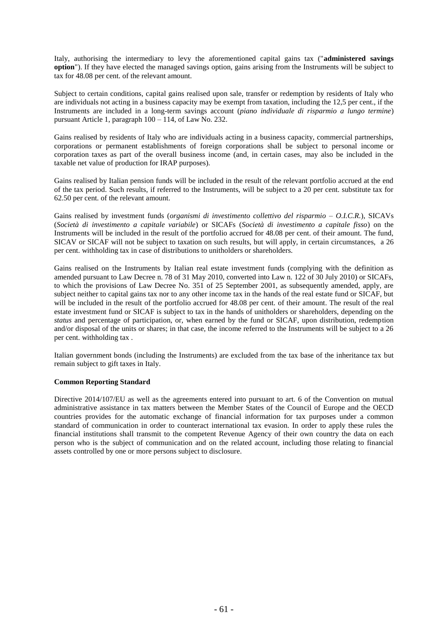Italy, authorising the intermediary to levy the aforementioned capital gains tax ("**administered savings option**"). If they have elected the managed savings option, gains arising from the Instruments will be subject to tax for 48.08 per cent. of the relevant amount.

Subject to certain conditions, capital gains realised upon sale, transfer or redemption by residents of Italy who are individuals not acting in a business capacity may be exempt from taxation, including the 12,5 per cent., if the Instruments are included in a long-term savings account (*piano individuale di risparmio a lungo termine*) pursuant Article 1, paragraph 100 – 114, of Law No. 232.

Gains realised by residents of Italy who are individuals acting in a business capacity, commercial partnerships, corporations or permanent establishments of foreign corporations shall be subject to personal income or corporation taxes as part of the overall business income (and, in certain cases, may also be included in the taxable net value of production for IRAP purposes).

Gains realised by Italian pension funds will be included in the result of the relevant portfolio accrued at the end of the tax period. Such results, if referred to the Instruments, will be subject to a 20 per cent. substitute tax for 62.50 per cent. of the relevant amount.

Gains realised by investment funds (*organismi di investimento collettivo del risparmio – O.I.C.R.*), SICAVs (*Società di investimento a capitale variabile*) or SICAFs (*Società di investimento a capitale fisso*) on the Instruments will be included in the result of the portfolio accrued for 48.08 per cent. of their amount. The fund, SICAV or SICAF will not be subject to taxation on such results, but will apply, in certain circumstances, a 26 per cent. withholding tax in case of distributions to unitholders or shareholders.

Gains realised on the Instruments by Italian real estate investment funds (complying with the definition as amended pursuant to Law Decree n. 78 of 31 May 2010, converted into Law n. 122 of 30 July 2010) or SICAFs, to which the provisions of Law Decree No. 351 of 25 September 2001, as subsequently amended, apply, are subject neither to capital gains tax nor to any other income tax in the hands of the real estate fund or SICAF, but will be included in the result of the portfolio accrued for 48.08 per cent. of their amount. The result of the real estate investment fund or SICAF is subject to tax in the hands of unitholders or shareholders, depending on the *status* and percentage of participation, or, when earned by the fund or SICAF, upon distribution, redemption and/or disposal of the units or shares; in that case, the income referred to the Instruments will be subject to a 26 per cent. withholding tax .

Italian government bonds (including the Instruments) are excluded from the tax base of the inheritance tax but remain subject to gift taxes in Italy.

# **Common Reporting Standard**

Directive 2014/107/EU as well as the agreements entered into pursuant to art. 6 of the Convention on mutual administrative assistance in tax matters between the Member States of the Council of Europe and the OECD countries provides for the automatic exchange of financial information for tax purposes under a common standard of communication in order to counteract international tax evasion. In order to apply these rules the financial institutions shall transmit to the competent Revenue Agency of their own country the data on each person who is the subject of communication and on the related account, including those relating to financial assets controlled by one or more persons subject to disclosure.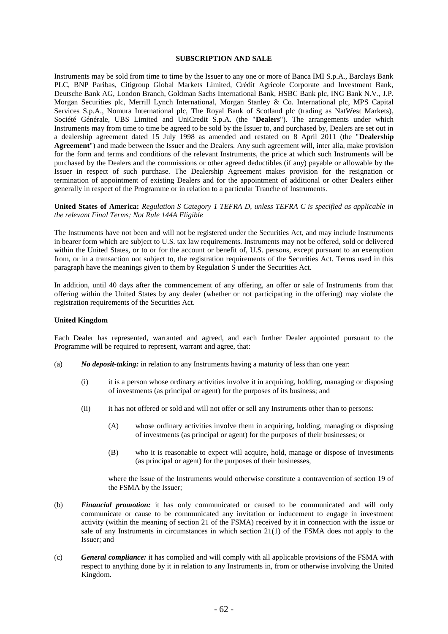### **SUBSCRIPTION AND SALE**

Instruments may be sold from time to time by the Issuer to any one or more of Banca IMI S.p.A., Barclays Bank PLC, BNP Paribas, Citigroup Global Markets Limited, Crédit Agricole Corporate and Investment Bank, Deutsche Bank AG, London Branch, Goldman Sachs International Bank, HSBC Bank plc, ING Bank N.V., J.P. Morgan Securities plc, Merrill Lynch International, Morgan Stanley & Co. International plc, MPS Capital Services S.p.A., Nomura International plc, The Royal Bank of Scotland plc (trading as NatWest Markets), Société Générale, UBS Limited and UniCredit S.p.A. (the "**Dealers**"). The arrangements under which Instruments may from time to time be agreed to be sold by the Issuer to, and purchased by, Dealers are set out in a dealership agreement dated 15 July 1998 as amended and restated on 8 April 2011 (the "**Dealership Agreement**") and made between the Issuer and the Dealers. Any such agreement will, inter alia, make provision for the form and terms and conditions of the relevant Instruments, the price at which such Instruments will be purchased by the Dealers and the commissions or other agreed deductibles (if any) payable or allowable by the Issuer in respect of such purchase. The Dealership Agreement makes provision for the resignation or termination of appointment of existing Dealers and for the appointment of additional or other Dealers either generally in respect of the Programme or in relation to a particular Tranche of Instruments.

**United States of America:** *Regulation S Category 1 TEFRA D, unless TEFRA C is specified as applicable in the relevant Final Terms; Not Rule 144A Eligible*

The Instruments have not been and will not be registered under the Securities Act, and may include Instruments in bearer form which are subject to U.S. tax law requirements. Instruments may not be offered, sold or delivered within the United States, or to or for the account or benefit of, U.S. persons, except pursuant to an exemption from, or in a transaction not subject to, the registration requirements of the Securities Act. Terms used in this paragraph have the meanings given to them by Regulation S under the Securities Act.

In addition, until 40 days after the commencement of any offering, an offer or sale of Instruments from that offering within the United States by any dealer (whether or not participating in the offering) may violate the registration requirements of the Securities Act.

#### **United Kingdom**

Each Dealer has represented, warranted and agreed, and each further Dealer appointed pursuant to the Programme will be required to represent, warrant and agree, that:

- (a) *No deposit-taking:* in relation to any Instruments having a maturity of less than one year:
	- (i) it is a person whose ordinary activities involve it in acquiring, holding, managing or disposing of investments (as principal or agent) for the purposes of its business; and
	- (ii) it has not offered or sold and will not offer or sell any Instruments other than to persons:
		- (A) whose ordinary activities involve them in acquiring, holding, managing or disposing of investments (as principal or agent) for the purposes of their businesses; or
		- (B) who it is reasonable to expect will acquire, hold, manage or dispose of investments (as principal or agent) for the purposes of their businesses,

where the issue of the Instruments would otherwise constitute a contravention of section 19 of the FSMA by the Issuer;

- (b) *Financial promotion:* it has only communicated or caused to be communicated and will only communicate or cause to be communicated any invitation or inducement to engage in investment activity (within the meaning of section 21 of the FSMA) received by it in connection with the issue or sale of any Instruments in circumstances in which section 21(1) of the FSMA does not apply to the Issuer; and
- (c) *General compliance:* it has complied and will comply with all applicable provisions of the FSMA with respect to anything done by it in relation to any Instruments in, from or otherwise involving the United Kingdom.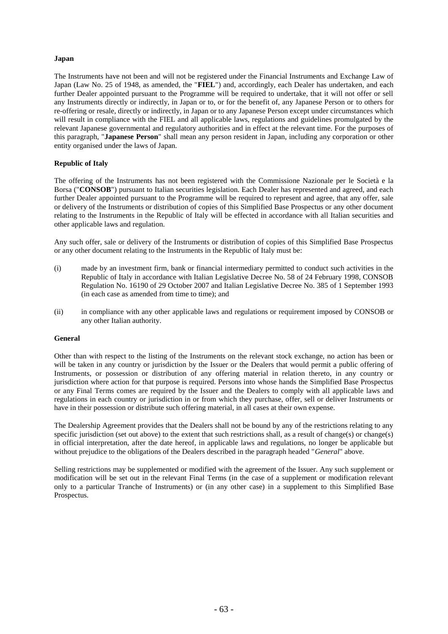# **Japan**

The Instruments have not been and will not be registered under the Financial Instruments and Exchange Law of Japan (Law No. 25 of 1948, as amended, the "**FIEL**") and, accordingly, each Dealer has undertaken, and each further Dealer appointed pursuant to the Programme will be required to undertake, that it will not offer or sell any Instruments directly or indirectly, in Japan or to, or for the benefit of, any Japanese Person or to others for re-offering or resale, directly or indirectly, in Japan or to any Japanese Person except under circumstances which will result in compliance with the FIEL and all applicable laws, regulations and guidelines promulgated by the relevant Japanese governmental and regulatory authorities and in effect at the relevant time. For the purposes of this paragraph, "**Japanese Person**" shall mean any person resident in Japan, including any corporation or other entity organised under the laws of Japan.

# **Republic of Italy**

The offering of the Instruments has not been registered with the Commissione Nazionale per le Società e la Borsa ("**CONSOB**") pursuant to Italian securities legislation. Each Dealer has represented and agreed, and each further Dealer appointed pursuant to the Programme will be required to represent and agree, that any offer, sale or delivery of the Instruments or distribution of copies of this Simplified Base Prospectus or any other document relating to the Instruments in the Republic of Italy will be effected in accordance with all Italian securities and other applicable laws and regulation.

Any such offer, sale or delivery of the Instruments or distribution of copies of this Simplified Base Prospectus or any other document relating to the Instruments in the Republic of Italy must be:

- (i) made by an investment firm, bank or financial intermediary permitted to conduct such activities in the Republic of Italy in accordance with Italian Legislative Decree No. 58 of 24 February 1998, CONSOB Regulation No. 16190 of 29 October 2007 and Italian Legislative Decree No. 385 of 1 September 1993 (in each case as amended from time to time); and
- (ii) in compliance with any other applicable laws and regulations or requirement imposed by CONSOB or any other Italian authority.

#### **General**

Other than with respect to the listing of the Instruments on the relevant stock exchange, no action has been or will be taken in any country or jurisdiction by the Issuer or the Dealers that would permit a public offering of Instruments, or possession or distribution of any offering material in relation thereto, in any country or jurisdiction where action for that purpose is required. Persons into whose hands the Simplified Base Prospectus or any Final Terms comes are required by the Issuer and the Dealers to comply with all applicable laws and regulations in each country or jurisdiction in or from which they purchase, offer, sell or deliver Instruments or have in their possession or distribute such offering material, in all cases at their own expense.

The Dealership Agreement provides that the Dealers shall not be bound by any of the restrictions relating to any specific jurisdiction (set out above) to the extent that such restrictions shall, as a result of change(s) or change(s) in official interpretation, after the date hereof, in applicable laws and regulations, no longer be applicable but without prejudice to the obligations of the Dealers described in the paragraph headed "*General*" above.

Selling restrictions may be supplemented or modified with the agreement of the Issuer. Any such supplement or modification will be set out in the relevant Final Terms (in the case of a supplement or modification relevant only to a particular Tranche of Instruments) or (in any other case) in a supplement to this Simplified Base Prospectus.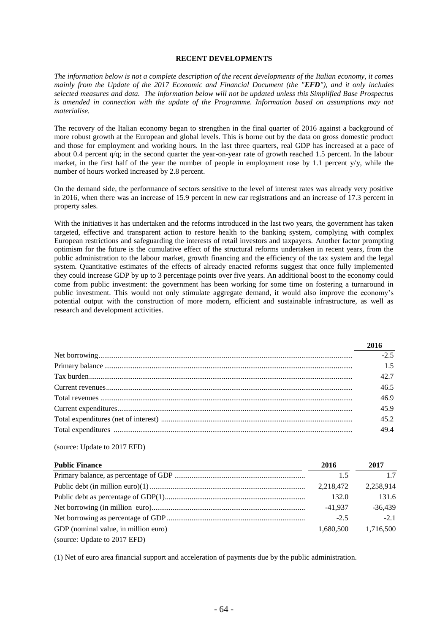#### **RECENT DEVELOPMENTS**

*The information below is not a complete description of the recent developments of the Italian economy, it comes mainly from the Update of the 2017 Economic and Financial Document (the "EFD"), and it only includes selected measures and data. The information below will not be updated unless this Simplified Base Prospectus is amended in connection with the update of the Programme. Information based on assumptions may not materialise.*

The recovery of the Italian economy began to strengthen in the final quarter of 2016 against a background of more robust growth at the European and global levels. This is borne out by the data on gross domestic product and those for employment and working hours. In the last three quarters, real GDP has increased at a pace of about 0.4 percent q/q; in the second quarter the year-on-year rate of growth reached 1.5 percent. In the labour market, in the first half of the year the number of people in employment rose by 1.1 percent  $y/y$ , while the number of hours worked increased by 2.8 percent.

On the demand side, the performance of sectors sensitive to the level of interest rates was already very positive in 2016, when there was an increase of 15.9 percent in new car registrations and an increase of 17.3 percent in property sales.

With the initiatives it has undertaken and the reforms introduced in the last two years, the government has taken targeted, effective and transparent action to restore health to the banking system, complying with complex European restrictions and safeguarding the interests of retail investors and taxpayers. Another factor prompting optimism for the future is the cumulative effect of the structural reforms undertaken in recent years, from the public administration to the labour market, growth financing and the efficiency of the tax system and the legal system. Quantitative estimates of the effects of already enacted reforms suggest that once fully implemented they could increase GDP by up to 3 percentage points over five years. An additional boost to the economy could come from public investment: the government has been working for some time on fostering a turnaround in public investment. This would not only stimulate aggregate demand, it would also improve the economy's potential output with the construction of more modern, efficient and sustainable infrastructure, as well as research and development activities.

| 2016   |
|--------|
| $-2.5$ |
| 1.5    |
| 42.7   |
| 46.5   |
| 46.9   |
| 45.9   |
| 45.2   |
| 494    |
|        |

(source: Update to 2017 EFD)

| <b>Public Finance</b>                | 2016      | 2017      |
|--------------------------------------|-----------|-----------|
|                                      | 1.5       | 17        |
|                                      | 2,218,472 | 2,258,914 |
|                                      | 132.0     | 131.6     |
|                                      | $-41.937$ | $-36,439$ |
|                                      | $-2.5$    | $-2.1$    |
| GDP (nominal value, in million euro) | 1,680,500 | 1,716,500 |
| (source: Update to 2017 EFD)         |           |           |

(1) Net of euro area financial support and acceleration of payments due by the public administration.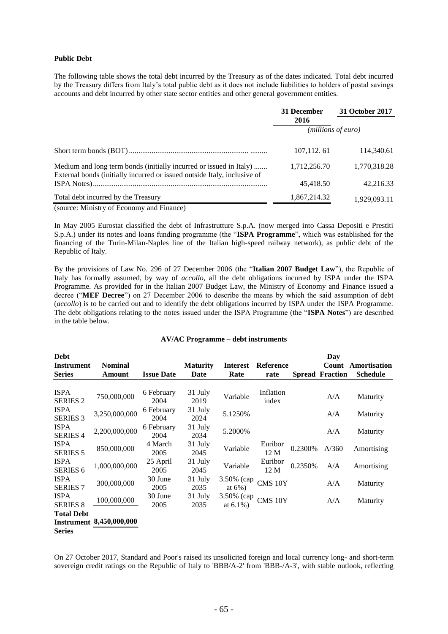#### **Public Debt**

The following table shows the total debt incurred by the Treasury as of the dates indicated. Total debt incurred by the Treasury differs from Italy's total public debt as it does not include liabilities to holders of postal savings accounts and debt incurred by other state sector entities and other general government entities.

|                                                                                                                                                | 31 December        | 31 October 2017 |  |
|------------------------------------------------------------------------------------------------------------------------------------------------|--------------------|-----------------|--|
|                                                                                                                                                | 2016               |                 |  |
|                                                                                                                                                | (millions of euro) |                 |  |
|                                                                                                                                                | 107, 112, 61       | 114,340.61      |  |
| Medium and long term bonds (initially incurred or issued in Italy)<br>External bonds (initially incurred or issued outside Italy, inclusive of | 1,712,256.70       | 1,770,318.28    |  |
|                                                                                                                                                | 45,418.50          | 42.216.33       |  |
| Total debt incurred by the Treasury                                                                                                            | 1,867,214.32       | 1,929,093.11    |  |
| (source: Ministry of Economy and Finance)                                                                                                      |                    |                 |  |

In May 2005 Eurostat classified the debt of Infrastrutture S.p.A. (now merged into Cassa Depositi e Prestiti S.p.A.) under its notes and loans funding programme (the "**ISPA Programme**", which was established for the financing of the Turin-Milan-Naples line of the Italian high-speed railway network), as public debt of the Republic of Italy.

By the provisions of Law No. 296 of 27 December 2006 (the "**Italian 2007 Budget Law**"), the Republic of Italy has formally assumed, by way of *accollo*, all the debt obligations incurred by ISPA under the ISPA Programme. As provided for in the Italian 2007 Budget Law, the Ministry of Economy and Finance issued a decree ("**MEF Decree**") on 27 December 2006 to describe the means by which the said assumption of debt (*accollo*) is to be carried out and to identify the debt obligations incurred by ISPA under the ISPA Programme. The debt obligations relating to the notes issued under the ISPA Programme (the "**ISPA Notes**") are described in the table below.

# **AV/AC Programme – debt instruments**

| Debt                           |                                 |                    |                 |                            |                    |         | Day                    |                 |
|--------------------------------|---------------------------------|--------------------|-----------------|----------------------------|--------------------|---------|------------------------|-----------------|
| <b>Instrument</b>              | <b>Nominal</b>                  |                    | <b>Maturity</b> | Interest                   | <b>Reference</b>   |         | Count                  | Amortisation    |
| <b>Series</b>                  | Amount                          | <b>Issue Date</b>  | Date            | Rate                       | rate               |         | <b>Spread Fraction</b> | <b>Schedule</b> |
| <b>ISPA</b><br><b>SERIES 2</b> | 750,000,000                     | 6 February<br>2004 | 31 July<br>2019 | Variable                   | Inflation<br>index |         | A/A                    | Maturity        |
| <b>ISPA</b><br><b>SERIES 3</b> | 3,250,000,000                   | 6 February<br>2004 | 31 July<br>2024 | 5.1250%                    |                    |         | A/A                    | Maturity        |
| <b>ISPA</b><br><b>SERIES 4</b> | 2,200,000,000                   | 6 February<br>2004 | 31 July<br>2034 | 5.2000%                    |                    |         | A/A                    | Maturity        |
| <b>ISPA</b><br><b>SERIES 5</b> | 850,000,000                     | 4 March<br>2005    | 31 July<br>2045 | Variable                   | Euribor<br>12 M    | 0.2300% | A/360                  | Amortising      |
| <b>ISPA</b><br><b>SERIES 6</b> | 1,000,000,000                   | 25 April<br>2005   | 31 July<br>2045 | Variable                   | Euribor<br>12 M    | 0.2350% | A/A                    | Amortising      |
| <b>ISPA</b><br><b>SERIES 7</b> | 300,000,000                     | 30 June<br>2005    | 31 July<br>2035 | 3.50% (cap<br>at $6\%$ )   | CMS 10Y            |         | A/A                    | Maturity        |
| <b>ISPA</b><br><b>SERIES 8</b> | 100,000,000                     | 30 June<br>2005    | 31 July<br>2035 | 3.50% (cap<br>at $6.1\%$ ) | CMS 10Y            |         | A/A                    | Maturity        |
| <b>Total Debt</b>              |                                 |                    |                 |                            |                    |         |                        |                 |
|                                | <b>Instrument 8,450,000,000</b> |                    |                 |                            |                    |         |                        |                 |
| <b>Series</b>                  |                                 |                    |                 |                            |                    |         |                        |                 |

On 27 October 2017, Standard and Poor's raised its unsolicited foreign and local currency long- and short-term sovereign credit ratings on the Republic of Italy to 'BBB/A-2' from 'BBB-/A-3', with stable outlook, reflecting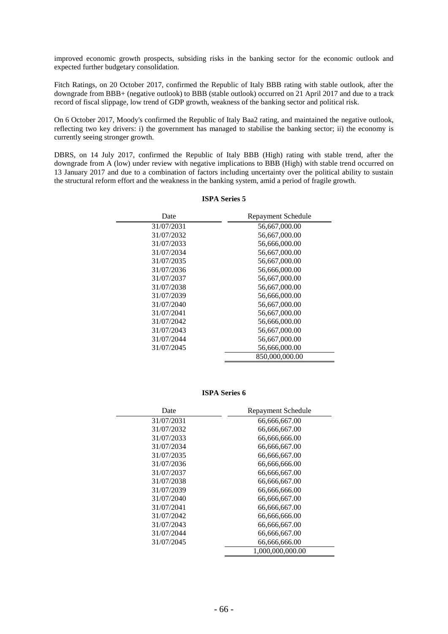improved economic growth prospects, subsiding risks in the banking sector for the economic outlook and expected further budgetary consolidation.

Fitch Ratings, on 20 October 2017, confirmed the Republic of Italy BBB rating with stable outlook, after the downgrade from BBB+ (negative outlook) to BBB (stable outlook) occurred on 21 April 2017 and due to a track record of fiscal slippage, low trend of GDP growth, weakness of the banking sector and political risk.

On 6 October 2017, Moody's confirmed the Republic of Italy Baa2 rating, and maintained the negative outlook, reflecting two key drivers: i) the government has managed to stabilise the banking sector; ii) the economy is currently seeing stronger growth.

DBRS, on 14 July 2017, confirmed the Republic of Italy BBB (High) rating with stable trend, after the downgrade from A (low) under review with negative implications to BBB (High) with stable trend occurred on 13 January 2017 and due to a combination of factors including uncertainty over the political ability to sustain the structural reform effort and the weakness in the banking system, amid a period of fragile growth.

| Date       | Repayment Schedule |
|------------|--------------------|
| 31/07/2031 | 56,667,000.00      |
| 31/07/2032 | 56,667,000.00      |
| 31/07/2033 | 56,666,000.00      |
| 31/07/2034 | 56,667,000.00      |
| 31/07/2035 | 56,667,000.00      |
| 31/07/2036 | 56,666,000.00      |
| 31/07/2037 | 56,667,000.00      |
| 31/07/2038 | 56,667,000.00      |
| 31/07/2039 | 56,666,000.00      |
| 31/07/2040 | 56,667,000.00      |
| 31/07/2041 | 56,667,000.00      |
| 31/07/2042 | 56,666,000.00      |
| 31/07/2043 | 56,667,000.00      |
| 31/07/2044 | 56,667,000.00      |
| 31/07/2045 | 56,666,000.00      |
|            | 850,000,000.00     |

## **ISPA Series 5**

**ISPA Series 6**

| Date       | Repayment Schedule |
|------------|--------------------|
| 31/07/2031 | 66,666,667.00      |
| 31/07/2032 | 66,666,667.00      |
| 31/07/2033 | 66,666,666.00      |
| 31/07/2034 | 66,666,667.00      |
| 31/07/2035 | 66,666,667.00      |
| 31/07/2036 | 66,666,666.00      |
| 31/07/2037 | 66,666,667.00      |
| 31/07/2038 | 66,666,667.00      |
| 31/07/2039 | 66,666,666.00      |
| 31/07/2040 | 66,666,667.00      |
| 31/07/2041 | 66,666,667.00      |
| 31/07/2042 | 66.666.666.00      |
| 31/07/2043 | 66,666,667.00      |
| 31/07/2044 | 66,666,667.00      |
| 31/07/2045 | 66,666,666.00      |
|            | 1,000,000,000.00   |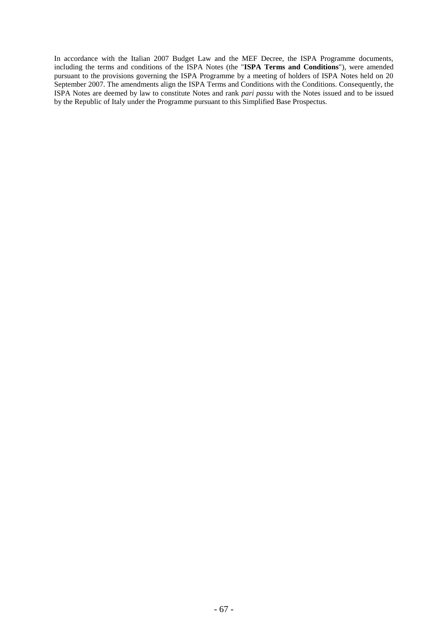In accordance with the Italian 2007 Budget Law and the MEF Decree, the ISPA Programme documents, including the terms and conditions of the ISPA Notes (the "**ISPA Terms and Conditions**"), were amended pursuant to the provisions governing the ISPA Programme by a meeting of holders of ISPA Notes held on 20 September 2007. The amendments align the ISPA Terms and Conditions with the Conditions. Consequently, the ISPA Notes are deemed by law to constitute Notes and rank *pari passu* with the Notes issued and to be issued by the Republic of Italy under the Programme pursuant to this Simplified Base Prospectus.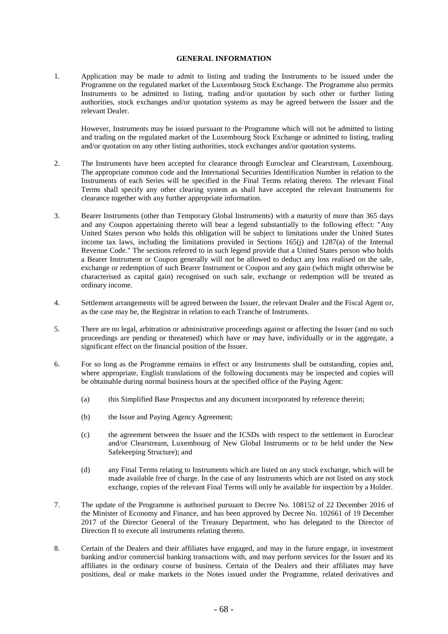### **GENERAL INFORMATION**

1. Application may be made to admit to listing and trading the Instruments to be issued under the Programme on the regulated market of the Luxembourg Stock Exchange. The Programme also permits Instruments to be admitted to listing, trading and/or quotation by such other or further listing authorities, stock exchanges and/or quotation systems as may be agreed between the Issuer and the relevant Dealer.

However, Instruments may be issued pursuant to the Programme which will not be admitted to listing and trading on the regulated market of the Luxembourg Stock Exchange or admitted to listing, trading and/or quotation on any other listing authorities, stock exchanges and/or quotation systems.

- 2. The Instruments have been accepted for clearance through Euroclear and Clearstream, Luxembourg. The appropriate common code and the International Securities Identification Number in relation to the Instruments of each Series will be specified in the Final Terms relating thereto. The relevant Final Terms shall specify any other clearing system as shall have accepted the relevant Instruments for clearance together with any further appropriate information.
- 3. Bearer Instruments (other than Temporary Global Instruments) with a maturity of more than 365 days and any Coupon appertaining thereto will bear a legend substantially to the following effect: "Any United States person who holds this obligation will be subject to limitations under the United States income tax laws, including the limitations provided in Sections 165(j) and 1287(a) of the Internal Revenue Code." The sections referred to in such legend provide that a United States person who holds a Bearer Instrument or Coupon generally will not be allowed to deduct any loss realised on the sale, exchange or redemption of such Bearer Instrument or Coupon and any gain (which might otherwise be characterised as capital gain) recognised on such sale, exchange or redemption will be treated as ordinary income.
- 4. Settlement arrangements will be agreed between the Issuer, the relevant Dealer and the Fiscal Agent or, as the case may be, the Registrar in relation to each Tranche of Instruments.
- 5. There are no legal, arbitration or administrative proceedings against or affecting the Issuer (and no such proceedings are pending or threatened) which have or may have, individually or in the aggregate, a significant effect on the financial position of the Issuer.
- 6. For so long as the Programme remains in effect or any Instruments shall be outstanding, copies and, where appropriate, English translations of the following documents may be inspected and copies will be obtainable during normal business hours at the specified office of the Paying Agent:
	- (a) this Simplified Base Prospectus and any document incorporated by reference therein;
	- (b) the Issue and Paying Agency Agreement;
	- (c) the agreement between the Issuer and the ICSDs with respect to the settlement in Euroclear and/or Clearstream, Luxembourg of New Global Instruments or to be held under the New Safekeeping Structure); and
	- (d) any Final Terms relating to Instruments which are listed on any stock exchange, which will be made available free of charge. In the case of any Instruments which are not listed on any stock exchange, copies of the relevant Final Terms will only be available for inspection by a Holder.
- 7. The update of the Programme is authorised pursuant to Decree No. 108152 of 22 December 2016 of the Minister of Economy and Finance, and has been approved by Decree No. 102661 of 19 December 2017 of the Director General of the Treasury Department, who has delegated to the Director of Direction II to execute all instruments relating thereto.
- 8. Certain of the Dealers and their affiliates have engaged, and may in the future engage, in investment banking and/or commercial banking transactions with, and may perform services for the Issuer and its affiliates in the ordinary course of business. Certain of the Dealers and their affiliates may have positions, deal or make markets in the Notes issued under the Programme, related derivatives and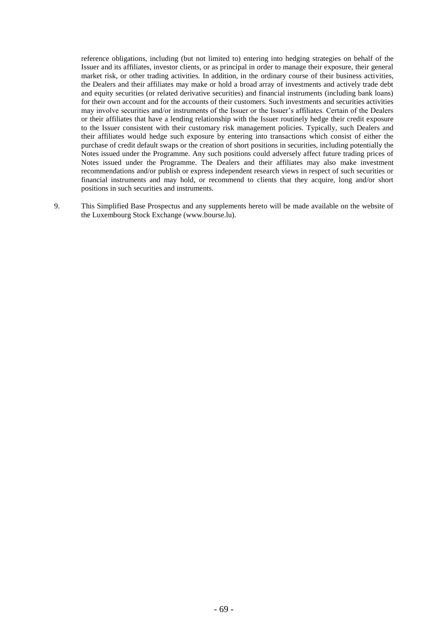reference obligations, including (but not limited to) entering into hedging strategies on behalf of the Issuer and its affiliates, investor clients, or as principal in order to manage their exposure, their general market risk, or other trading activities. In addition, in the ordinary course of their business activities, the Dealers and their affiliates may make or hold a broad array of investments and actively trade debt and equity securities (or related derivative securities) and financial instruments (including bank loans) for their own account and for the accounts of their customers. Such investments and securities activities may involve securities and/or instruments of the Issuer or the Issuer's affiliates. Certain of the Dealers or their affiliates that have a lending relationship with the Issuer routinely hedge their credit exposure to the Issuer consistent with their customary risk management policies. Typically, such Dealers and their affiliates would hedge such exposure by entering into transactions which consist of either the purchase of credit default swaps or the creation of short positions in securities, including potentially the Notes issued under the Programme. Any such positions could adversely affect future trading prices of Notes issued under the Programme. The Dealers and their affiliates may also make investment recommendations and/or publish or express independent research views in respect of such securities or financial instruments and may hold, or recommend to clients that they acquire, long and/or short positions in such securities and instruments.

9. This Simplified Base Prospectus and any supplements hereto will be made available on the website of the Luxembourg Stock Exchange (www.bourse.lu).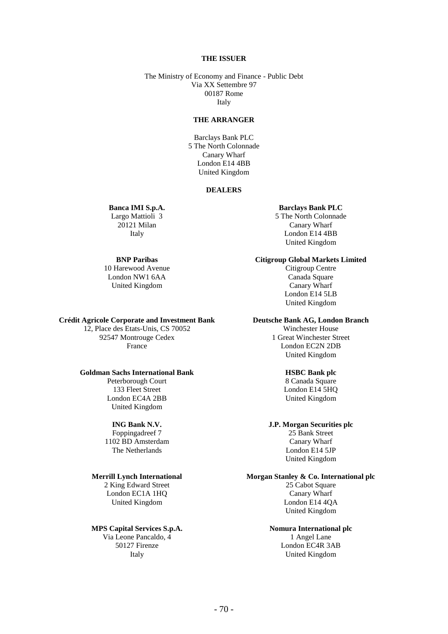#### **THE ISSUER**

The Ministry of Economy and Finance - Public Debt Via XX Settembre 97 00187 Rome Italy

#### **THE ARRANGER**

Barclays Bank PLC 5 The North Colonnade Canary Wharf London E14 4BB United Kingdom

#### **DEALERS**

# **Banca IMI S.p.A.**

Largo Mattioli 3 20121 Milan Italy

# **BNP Paribas**

10 Harewood Avenue London NW1 6AA United Kingdom

#### **Crédit Agricole Corporate and Investment Bank**

12, Place des Etats-Unis, CS 70052 92547 Montrouge Cedex France

# **Goldman Sachs International Bank**

Peterborough Court 133 Fleet Street London EC4A 2BB United Kingdom

# **ING Bank N.V.**

Foppingadreef 7 1102 BD Amsterdam The Netherlands

# **Merrill Lynch International**

2 King Edward Street London EC1A 1HQ United Kingdom

#### **MPS Capital Services S.p.A.**

Via Leone Pancaldo, 4 50127 Firenze Italy

#### **Barclays Bank PLC**

5 The North Colonnade Canary Wharf London E14 4BB United Kingdom

**Citigroup Global Markets Limited**

Citigroup Centre Canada Square Canary Wharf London E14 5LB United Kingdom

## **Deutsche Bank AG, London Branch**

Winchester House 1 Great Winchester Street London EC2N 2DB United Kingdom

# **HSBC Bank plc**

8 Canada Square London E14 5HQ United Kingdom

### **J.P. Morgan Securities plc**

25 Bank Street Canary Wharf London E14 5JP United Kingdom

# **Morgan Stanley & Co. International plc**

25 Cabot Square Canary Wharf London E14 4QA United Kingdom

#### **Nomura International plc** 1 Angel Lane London EC4R 3AB United Kingdom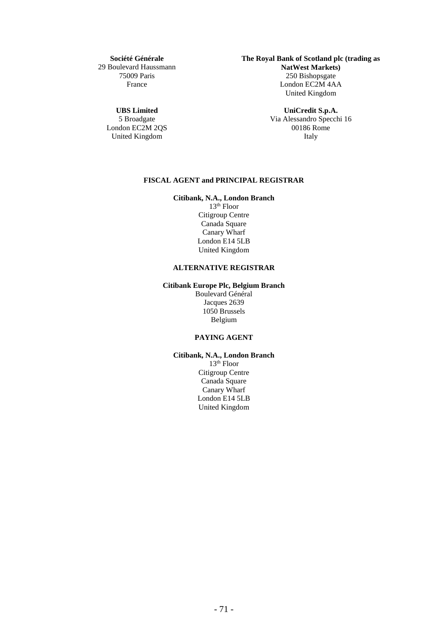**Société Générale** 29 Boulevard Haussmann 75009 Paris France

**UBS Limited**

5 Broadgate London EC2M 2QS United Kingdom

**The Royal Bank of Scotland plc (trading as NatWest Markets)** 250 Bishopsgate London EC2M 4AA United Kingdom

> **UniCredit S.p.A.** Via Alessandro Specchi 16 00186 Rome Italy

# **FISCAL AGENT and PRINCIPAL REGISTRAR**

**Citibank, N.A., London Branch**

 $13<sup>th</sup>$  Floor Citigroup Centre Canada Square Canary Wharf London E14 5LB United Kingdom

# **ALTERNATIVE REGISTRAR**

## **Citibank Europe Plc, Belgium Branch**

Boulevard Général Jacques 2639 1050 Brussels Belgium

# **PAYING AGENT**

# **Citibank, N.A., London Branch**

 $13<sup>th</sup>$  Floor Citigroup Centre Canada Square Canary Wharf London E14 5LB United Kingdom